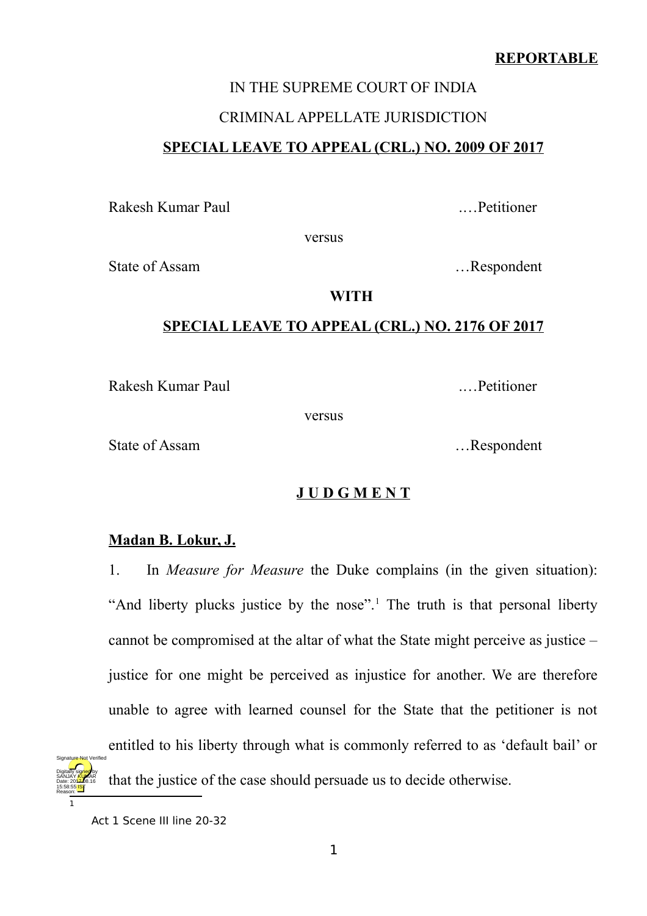## **REPORTABLE**

# IN THE SUPREME COURT OF INDIA CRIMINAL APPELLATE JURISDICTION **SPECIAL LEAVE TO APPEAL (CRL.) NO. 2009 OF 2017**

Rakesh Kumar Paul .…Petitioner

versus

State of Assam <br>
Exercise 2. Alternative method is not all the second method in the second method in the second method in the second method in the second method in the second method in the second method in the second metho

#### **WITH**

## **SPECIAL LEAVE TO APPEAL (CRL.) NO. 2176 OF 2017**

Rakesh Kumar Paul **Rakesh Kumar Paul 2008** 

versus

State of Assam <br>
....Respondent

## **J U D G M E N T**

## **Madan B. Lokur, J.**

1. In *Measure for Measure* the Duke complains (in the given situation): "And liberty plucks justice by the nose".<sup>[1](#page-0-0)</sup> The truth is that personal liberty cannot be compromised at the altar of what the State might perceive as justice – justice for one might be perceived as injustice for another. We are therefore unable to agree with learned counsel for the State that the petitioner is not entitled to his liberty through what is commonly referred to as 'default bail' or that the justice of the case should persuade us to decide otherwise. Signature Not Verified

Digitally signed by SANJAY <mark>KU</mark>MAR Date: 2017-08.16

<span id="page-0-0"></span><sup>1</sup> 15:58:55 IST Reason:

Act 1 Scene III line 20-32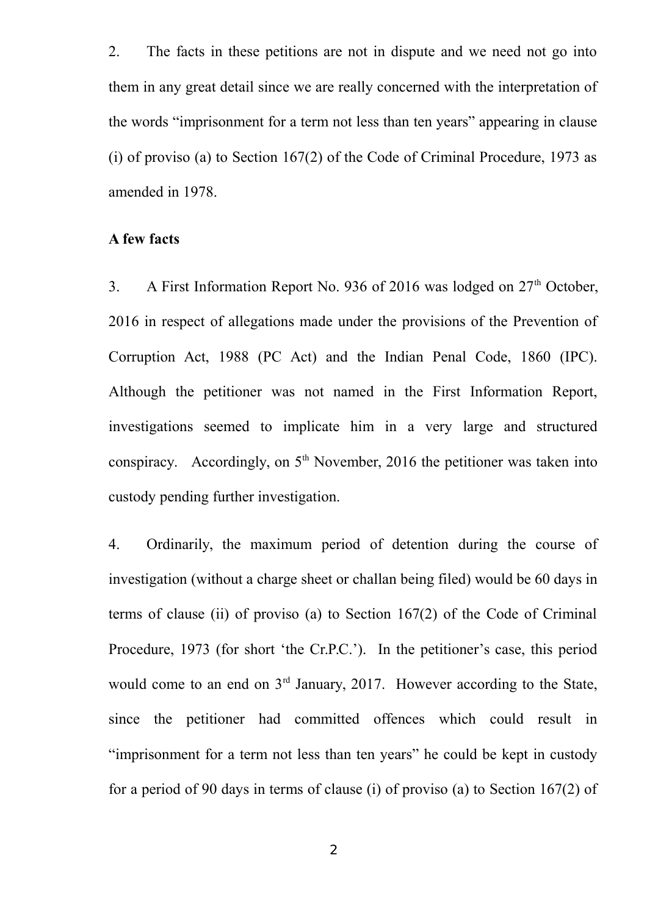2. The facts in these petitions are not in dispute and we need not go into them in any great detail since we are really concerned with the interpretation of the words "imprisonment for a term not less than ten years" appearing in clause (i) of proviso (a) to Section 167(2) of the Code of Criminal Procedure, 1973 as amended in 1978.

#### **A few facts**

3. A First Information Report No. 936 of 2016 was lodged on  $27<sup>th</sup>$  October, 2016 in respect of allegations made under the provisions of the Prevention of Corruption Act, 1988 (PC Act) and the Indian Penal Code, 1860 (IPC). Although the petitioner was not named in the First Information Report, investigations seemed to implicate him in a very large and structured conspiracy. Accordingly, on  $5<sup>th</sup>$  November, 2016 the petitioner was taken into custody pending further investigation.

4. Ordinarily, the maximum period of detention during the course of investigation (without a charge sheet or challan being filed) would be 60 days in terms of clause (ii) of proviso (a) to Section 167(2) of the Code of Criminal Procedure, 1973 (for short 'the Cr.P.C.'). In the petitioner's case, this period would come to an end on  $3<sup>rd</sup>$  January, 2017. However according to the State, since the petitioner had committed offences which could result in "imprisonment for a term not less than ten years" he could be kept in custody for a period of 90 days in terms of clause (i) of proviso (a) to Section 167(2) of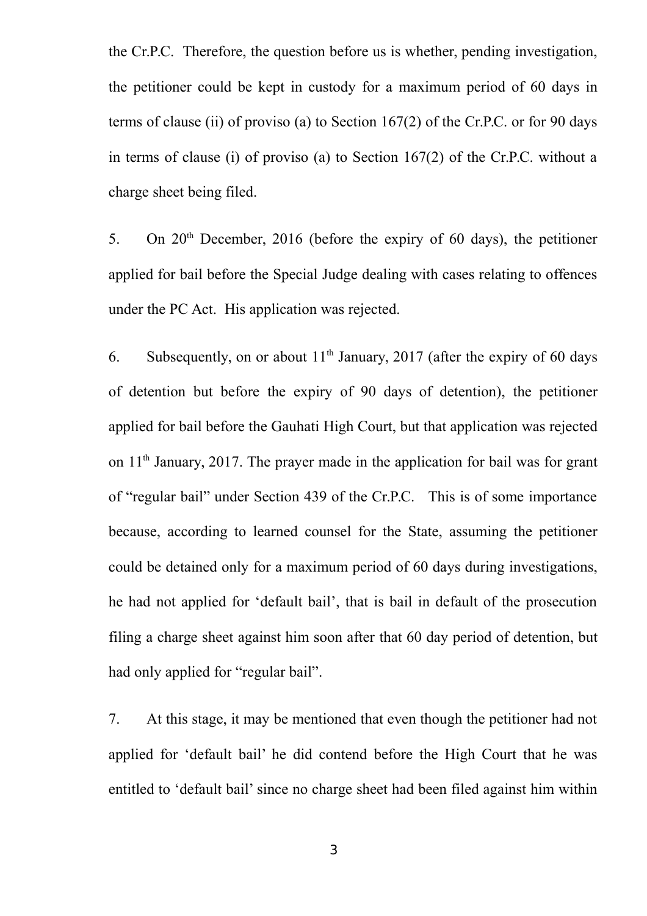the Cr.P.C. Therefore, the question before us is whether, pending investigation, the petitioner could be kept in custody for a maximum period of 60 days in terms of clause (ii) of proviso (a) to Section 167(2) of the Cr.P.C. or for 90 days in terms of clause (i) of proviso (a) to Section 167(2) of the Cr.P.C. without a charge sheet being filed.

5. On  $20<sup>th</sup>$  December, 2016 (before the expiry of 60 days), the petitioner applied for bail before the Special Judge dealing with cases relating to offences under the PC Act. His application was rejected.

6. Subsequently, on or about  $11<sup>th</sup>$  January, 2017 (after the expiry of 60 days of detention but before the expiry of 90 days of detention), the petitioner applied for bail before the Gauhati High Court, but that application was rejected on 11<sup>th</sup> January, 2017. The prayer made in the application for bail was for grant of "regular bail" under Section 439 of the Cr.P.C. This is of some importance because, according to learned counsel for the State, assuming the petitioner could be detained only for a maximum period of 60 days during investigations, he had not applied for 'default bail', that is bail in default of the prosecution filing a charge sheet against him soon after that 60 day period of detention, but had only applied for "regular bail".

7. At this stage, it may be mentioned that even though the petitioner had not applied for 'default bail' he did contend before the High Court that he was entitled to 'default bail' since no charge sheet had been filed against him within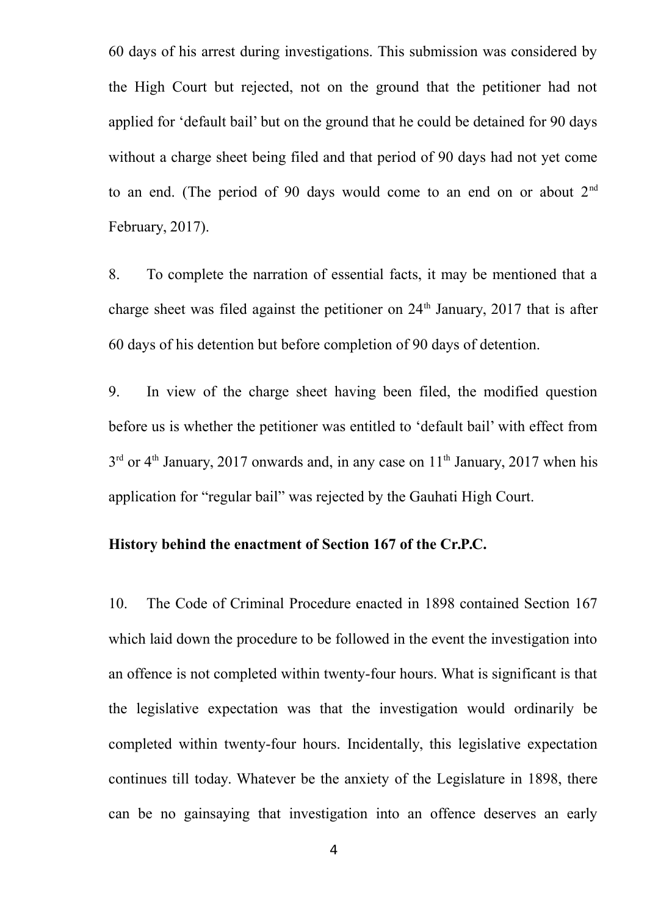60 days of his arrest during investigations. This submission was considered by the High Court but rejected, not on the ground that the petitioner had not applied for 'default bail' but on the ground that he could be detained for 90 days without a charge sheet being filed and that period of 90 days had not yet come to an end. (The period of 90 days would come to an end on or about  $2<sup>nd</sup>$ February, 2017).

8. To complete the narration of essential facts, it may be mentioned that a charge sheet was filed against the petitioner on  $24<sup>th</sup>$  January, 2017 that is after 60 days of his detention but before completion of 90 days of detention.

9. In view of the charge sheet having been filed, the modified question before us is whether the petitioner was entitled to 'default bail' with effect from  $3<sup>rd</sup>$  or 4<sup>th</sup> January, 2017 onwards and, in any case on 11<sup>th</sup> January, 2017 when his application for "regular bail" was rejected by the Gauhati High Court.

## **History behind the enactment of Section 167 of the Cr.P.C.**

10. The Code of Criminal Procedure enacted in 1898 contained Section 167 which laid down the procedure to be followed in the event the investigation into an offence is not completed within twenty-four hours. What is significant is that the legislative expectation was that the investigation would ordinarily be completed within twenty-four hours. Incidentally, this legislative expectation continues till today. Whatever be the anxiety of the Legislature in 1898, there can be no gainsaying that investigation into an offence deserves an early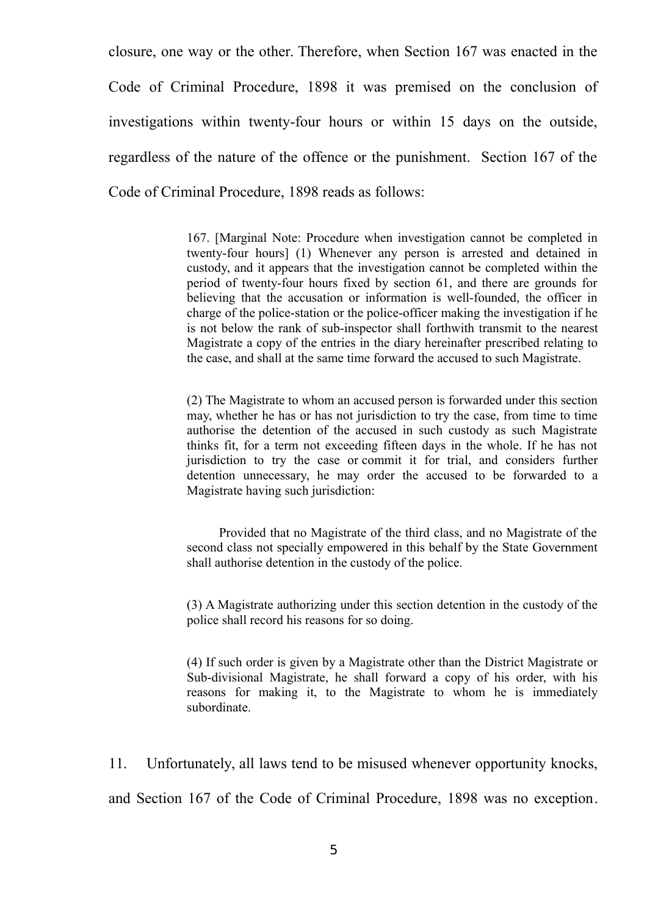closure, one way or the other. Therefore, when Section 167 was enacted in the Code of Criminal Procedure, 1898 it was premised on the conclusion of investigations within twenty-four hours or within 15 days on the outside, regardless of the nature of the offence or the punishment. Section 167 of the Code of Criminal Procedure, 1898 reads as follows:

> 167. [Marginal Note: Procedure when investigation cannot be completed in twenty-four hours] (1) Whenever any person is arrested and detained in custody, and it appears that the investigation cannot be completed within the period of twenty-four hours fixed by section 61, and there are grounds for believing that the accusation or information is well-founded, the officer in charge of the police-station or the police-officer making the investigation if he is not below the rank of sub-inspector shall forthwith transmit to the nearest Magistrate a copy of the entries in the diary hereinafter prescribed relating to the case, and shall at the same time forward the accused to such Magistrate.

> (2) The Magistrate to whom an accused person is forwarded under this section may, whether he has or has not jurisdiction to try the case, from time to time authorise the detention of the accused in such custody as such Magistrate thinks fit, for a term not exceeding fifteen days in the whole. If he has not jurisdiction to try the case or commit it for trial, and considers further detention unnecessary, he may order the accused to be forwarded to a Magistrate having such jurisdiction:

> Provided that no Magistrate of the third class, and no Magistrate of the second class not specially empowered in this behalf by the State Government shall authorise detention in the custody of the police.

> (3) A Magistrate authorizing under this section detention in the custody of the police shall record his reasons for so doing.

> (4) If such order is given by a Magistrate other than the District Magistrate or Sub-divisional Magistrate, he shall forward a copy of his order, with his reasons for making it, to the Magistrate to whom he is immediately subordinate.

11. Unfortunately, all laws tend to be misused whenever opportunity knocks,

and Section 167 of the Code of Criminal Procedure, 1898 was no exception.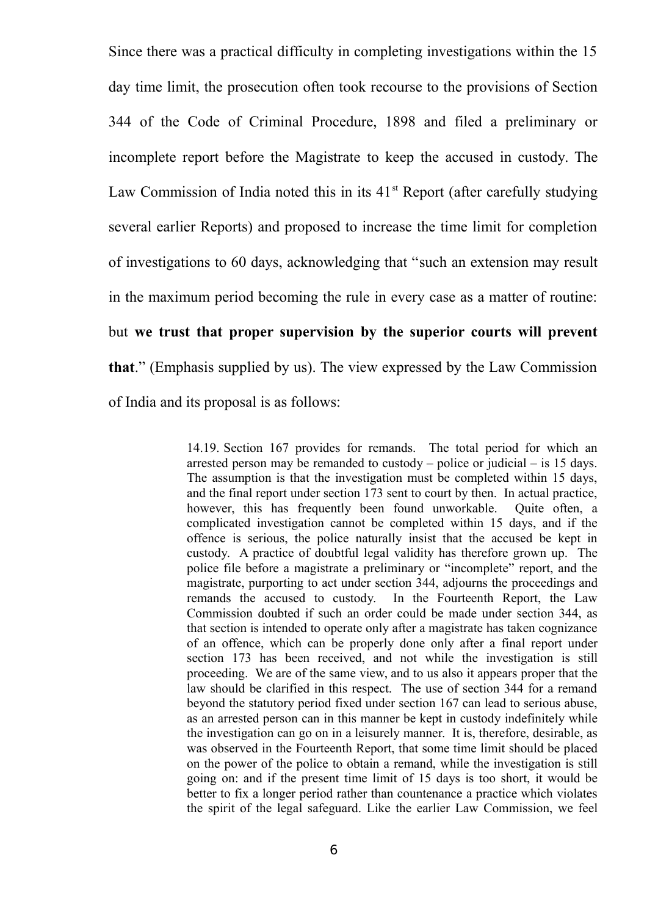Since there was a practical difficulty in completing investigations within the 15 day time limit, the prosecution often took recourse to the provisions of Section 344 of the Code of Criminal Procedure, 1898 and filed a preliminary or incomplete report before the Magistrate to keep the accused in custody. The Law Commission of India noted this in its  $41<sup>st</sup>$  Report (after carefully studying several earlier Reports) and proposed to increase the time limit for completion of investigations to 60 days, acknowledging that "such an extension may result in the maximum period becoming the rule in every case as a matter of routine: but **we trust that proper supervision by the superior courts will prevent that**." (Emphasis supplied by us). The view expressed by the Law Commission of India and its proposal is as follows:

> 14.19. Section 167 provides for remands. The total period for which an arrested person may be remanded to custody – police or judicial – is 15 days. The assumption is that the investigation must be completed within 15 days, and the final report under section 173 sent to court by then. In actual practice, however, this has frequently been found unworkable. Ouite often, a complicated investigation cannot be completed within 15 days, and if the offence is serious, the police naturally insist that the accused be kept in custody. A practice of doubtful legal validity has therefore grown up. The police file before a magistrate a preliminary or "incomplete" report, and the magistrate, purporting to act under section 344, adjourns the proceedings and remands the accused to custody. In the Fourteenth Report, the Law Commission doubted if such an order could be made under section 344, as that section is intended to operate only after a magistrate has taken cognizance of an offence, which can be properly done only after a final report under section 173 has been received, and not while the investigation is still proceeding. We are of the same view, and to us also it appears proper that the law should be clarified in this respect. The use of section 344 for a remand beyond the statutory period fixed under section 167 can lead to serious abuse, as an arrested person can in this manner be kept in custody indefinitely while the investigation can go on in a leisurely manner. It is, therefore, desirable, as was observed in the Fourteenth Report, that some time limit should be placed on the power of the police to obtain a remand, while the investigation is still going on: and if the present time limit of 15 days is too short, it would be better to fix a longer period rather than countenance a practice which violates the spirit of the legal safeguard. Like the earlier Law Commission, we feel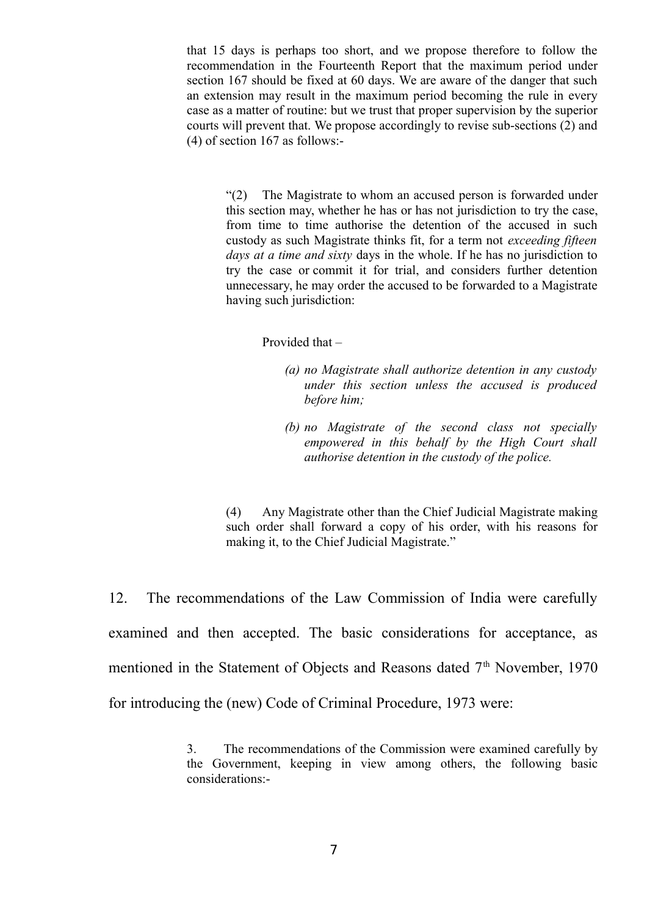that 15 days is perhaps too short, and we propose therefore to follow the recommendation in the Fourteenth Report that the maximum period under section 167 should be fixed at 60 days. We are aware of the danger that such an extension may result in the maximum period becoming the rule in every case as a matter of routine: but we trust that proper supervision by the superior courts will prevent that. We propose accordingly to revise sub-sections (2) and (4) of section 167 as follows:-

"(2) The Magistrate to whom an accused person is forwarded under this section may, whether he has or has not jurisdiction to try the case, from time to time authorise the detention of the accused in such custody as such Magistrate thinks fit, for a term not *exceeding fifteen days at a time and sixty* days in the whole. If he has no jurisdiction to try the case or commit it for trial, and considers further detention unnecessary, he may order the accused to be forwarded to a Magistrate having such jurisdiction:

Provided that –

- *(a) no Magistrate shall authorize detention in any custody under this section unless the accused is produced before him;*
- *(b) no Magistrate of the second class not specially empowered in this behalf by the High Court shall authorise detention in the custody of the police.*

(4) Any Magistrate other than the Chief Judicial Magistrate making such order shall forward a copy of his order, with his reasons for making it, to the Chief Judicial Magistrate."

12. The recommendations of the Law Commission of India were carefully examined and then accepted. The basic considerations for acceptance, as mentioned in the Statement of Objects and Reasons dated  $7<sup>th</sup>$  November, 1970 for introducing the (new) Code of Criminal Procedure, 1973 were:

> 3. The recommendations of the Commission were examined carefully by the Government, keeping in view among others, the following basic considerations:-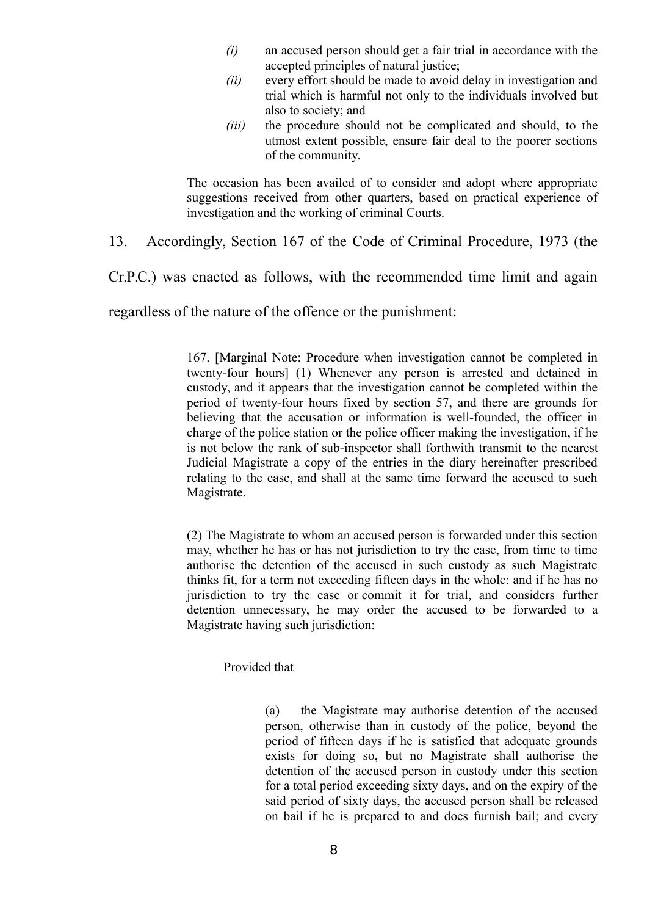- *(i)* an accused person should get a fair trial in accordance with the accepted principles of natural justice;
- *(ii)* every effort should be made to avoid delay in investigation and trial which is harmful not only to the individuals involved but also to society; and
- *(iii)* the procedure should not be complicated and should, to the utmost extent possible, ensure fair deal to the poorer sections of the community.

The occasion has been availed of to consider and adopt where appropriate suggestions received from other quarters, based on practical experience of investigation and the working of criminal Courts.

13. Accordingly, Section 167 of the Code of Criminal Procedure, 1973 (the

Cr.P.C.) was enacted as follows, with the recommended time limit and again

regardless of the nature of the offence or the punishment:

167. [Marginal Note: Procedure when investigation cannot be completed in twenty-four hours] (1) Whenever any person is arrested and detained in custody, and it appears that the investigation cannot be completed within the period of twenty-four hours fixed by section 57, and there are grounds for believing that the accusation or information is well-founded, the officer in charge of the police station or the police officer making the investigation, if he is not below the rank of sub-inspector shall forthwith transmit to the nearest Judicial Magistrate a copy of the entries in the diary hereinafter prescribed relating to the case, and shall at the same time forward the accused to such Magistrate.

(2) The Magistrate to whom an accused person is forwarded under this section may, whether he has or has not jurisdiction to try the case, from time to time authorise the detention of the accused in such custody as such Magistrate thinks fit, for a term not exceeding fifteen days in the whole: and if he has no jurisdiction to try the case or commit it for trial, and considers further detention unnecessary, he may order the accused to be forwarded to a Magistrate having such jurisdiction:

Provided that

(a) the Magistrate may authorise detention of the accused person, otherwise than in custody of the police, beyond the period of fifteen days if he is satisfied that adequate grounds exists for doing so, but no Magistrate shall authorise the detention of the accused person in custody under this section for a total period exceeding sixty days, and on the expiry of the said period of sixty days, the accused person shall be released on bail if he is prepared to and does furnish bail; and every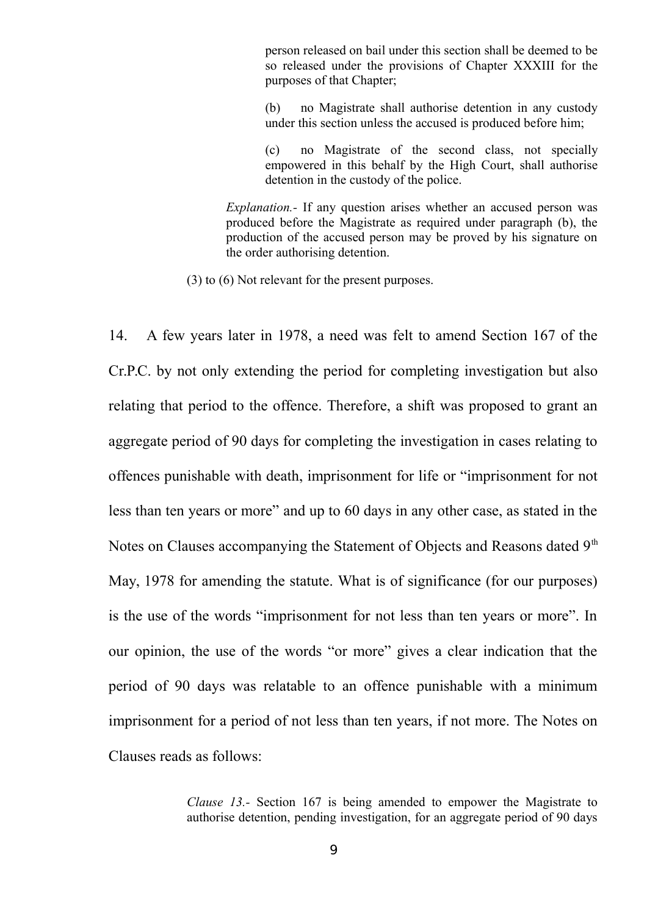person released on bail under this section shall be deemed to be so released under the provisions of Chapter XXXIII for the purposes of that Chapter;

(b) no Magistrate shall authorise detention in any custody under this section unless the accused is produced before him;

(c) no Magistrate of the second class, not specially empowered in this behalf by the High Court, shall authorise detention in the custody of the police.

*Explanation.-* If any question arises whether an accused person was produced before the Magistrate as required under paragraph (b), the production of the accused person may be proved by his signature on the order authorising detention.

(3) to (6) Not relevant for the present purposes.

14. A few years later in 1978, a need was felt to amend Section 167 of the Cr.P.C. by not only extending the period for completing investigation but also relating that period to the offence. Therefore, a shift was proposed to grant an aggregate period of 90 days for completing the investigation in cases relating to offences punishable with death, imprisonment for life or "imprisonment for not less than ten years or more" and up to 60 days in any other case, as stated in the Notes on Clauses accompanying the Statement of Objects and Reasons dated 9<sup>th</sup> May, 1978 for amending the statute. What is of significance (for our purposes) is the use of the words "imprisonment for not less than ten years or more". In our opinion, the use of the words "or more" gives a clear indication that the period of 90 days was relatable to an offence punishable with a minimum imprisonment for a period of not less than ten years, if not more. The Notes on Clauses reads as follows:

> *Clause 13.-* Section 167 is being amended to empower the Magistrate to authorise detention, pending investigation, for an aggregate period of 90 days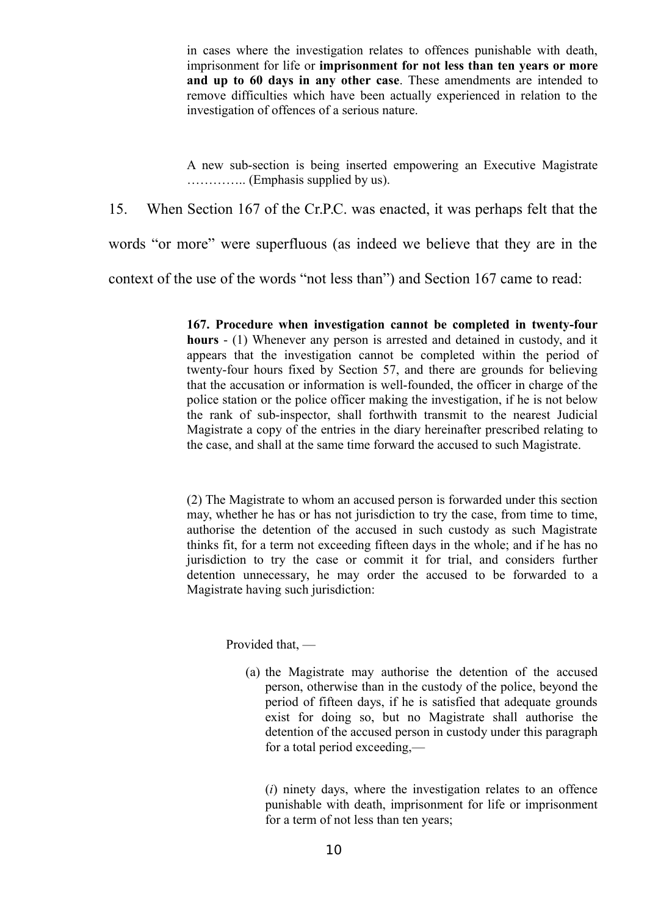in cases where the investigation relates to offences punishable with death, imprisonment for life or **imprisonment for not less than ten years or more and up to 60 days in any other case**. These amendments are intended to remove difficulties which have been actually experienced in relation to the investigation of offences of a serious nature.

A new sub-section is being inserted empowering an Executive Magistrate ………….. (Emphasis supplied by us).

15. When Section 167 of the Cr.P.C. was enacted, it was perhaps felt that the

words "or more" were superfluous (as indeed we believe that they are in the

context of the use of the words "not less than") and Section 167 came to read:

**167. Procedure when investigation cannot be completed in twenty-four hours** - (1) Whenever any person is arrested and detained in custody, and it appears that the investigation cannot be completed within the period of twenty-four hours fixed by Section 57, and there are grounds for believing that the accusation or information is well-founded, the officer in charge of the police station or the police officer making the investigation, if he is not below the rank of sub-inspector, shall forthwith transmit to the nearest Judicial Magistrate a copy of the entries in the diary hereinafter prescribed relating to the case, and shall at the same time forward the accused to such Magistrate.

(2) The Magistrate to whom an accused person is forwarded under this section may, whether he has or has not jurisdiction to try the case, from time to time, authorise the detention of the accused in such custody as such Magistrate thinks fit, for a term not exceeding fifteen days in the whole; and if he has no jurisdiction to try the case or commit it for trial, and considers further detention unnecessary, he may order the accused to be forwarded to a Magistrate having such jurisdiction:

Provided that, —

(a) the Magistrate may authorise the detention of the accused person, otherwise than in the custody of the police, beyond the period of fifteen days, if he is satisfied that adequate grounds exist for doing so, but no Magistrate shall authorise the detention of the accused person in custody under this paragraph for a total period exceeding,—

(*i*) ninety days, where the investigation relates to an offence punishable with death, imprisonment for life or imprisonment for a term of not less than ten years;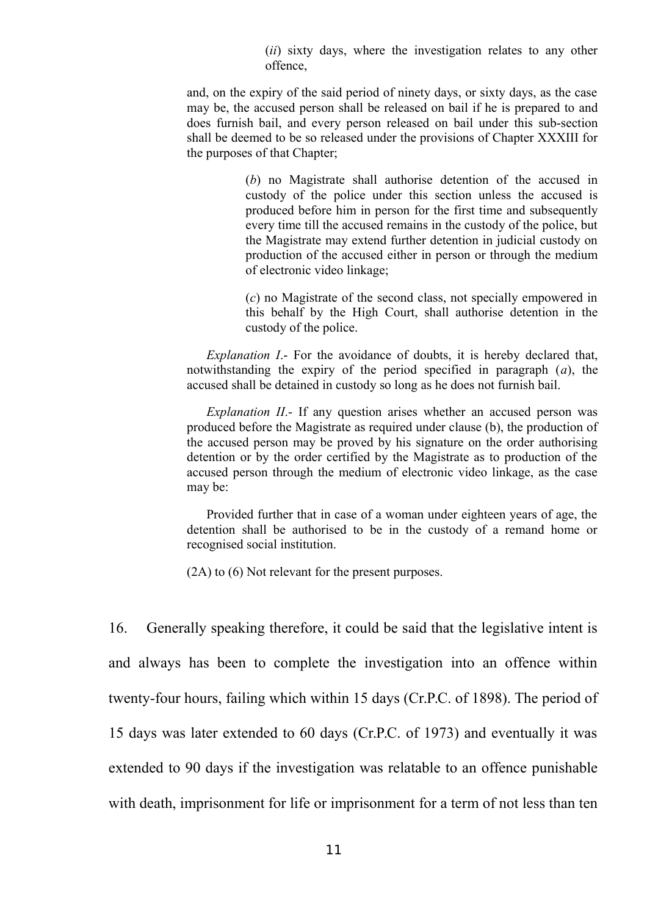(*ii*) sixty days, where the investigation relates to any other offence,

and, on the expiry of the said period of ninety days, or sixty days, as the case may be, the accused person shall be released on bail if he is prepared to and does furnish bail, and every person released on bail under this sub-section shall be deemed to be so released under the provisions of Chapter XXXIII for the purposes of that Chapter;

> (*b*) no Magistrate shall authorise detention of the accused in custody of the police under this section unless the accused is produced before him in person for the first time and subsequently every time till the accused remains in the custody of the police, but the Magistrate may extend further detention in judicial custody on production of the accused either in person or through the medium of electronic video linkage;

> (*c*) no Magistrate of the second class, not specially empowered in this behalf by the High Court, shall authorise detention in the custody of the police.

*Explanation I*.- For the avoidance of doubts, it is hereby declared that, notwithstanding the expiry of the period specified in paragraph (*a*), the accused shall be detained in custody so long as he does not furnish bail.

*Explanation II*.- If any question arises whether an accused person was produced before the Magistrate as required under clause (b), the production of the accused person may be proved by his signature on the order authorising detention or by the order certified by the Magistrate as to production of the accused person through the medium of electronic video linkage, as the case may be:

Provided further that in case of a woman under eighteen years of age, the detention shall be authorised to be in the custody of a remand home or recognised social institution.

(2A) to (6) Not relevant for the present purposes.

16. Generally speaking therefore, it could be said that the legislative intent is and always has been to complete the investigation into an offence within twenty-four hours, failing which within 15 days (Cr.P.C. of 1898). The period of 15 days was later extended to 60 days (Cr.P.C. of 1973) and eventually it was extended to 90 days if the investigation was relatable to an offence punishable with death, imprisonment for life or imprisonment for a term of not less than ten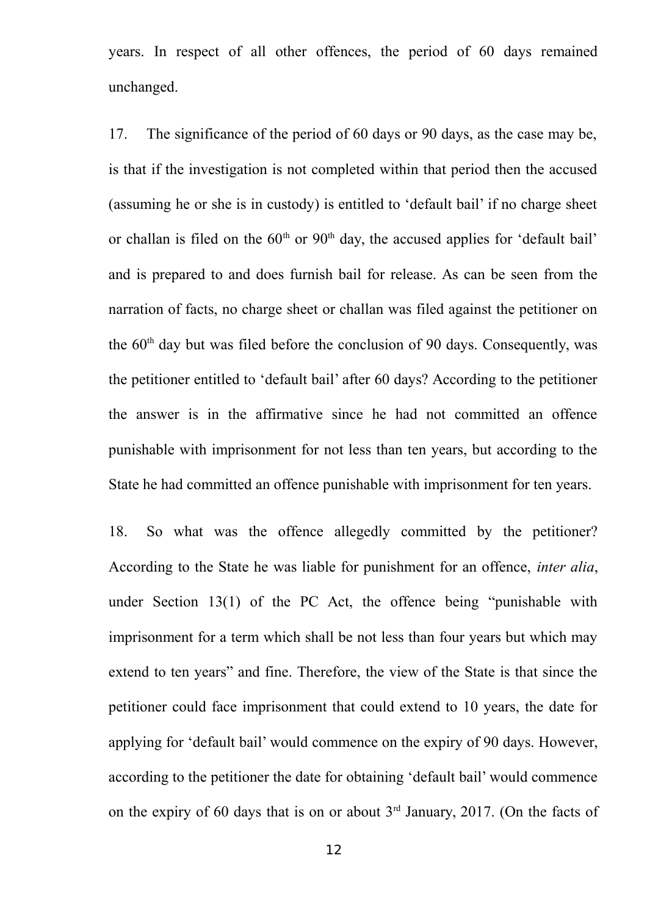years. In respect of all other offences, the period of 60 days remained unchanged.

17. The significance of the period of 60 days or 90 days, as the case may be, is that if the investigation is not completed within that period then the accused (assuming he or she is in custody) is entitled to 'default bail' if no charge sheet or challan is filed on the  $60<sup>th</sup>$  or  $90<sup>th</sup>$  day, the accused applies for 'default bail' and is prepared to and does furnish bail for release. As can be seen from the narration of facts, no charge sheet or challan was filed against the petitioner on the  $60<sup>th</sup>$  day but was filed before the conclusion of 90 days. Consequently, was the petitioner entitled to 'default bail' after 60 days? According to the petitioner the answer is in the affirmative since he had not committed an offence punishable with imprisonment for not less than ten years, but according to the State he had committed an offence punishable with imprisonment for ten years.

18. So what was the offence allegedly committed by the petitioner? According to the State he was liable for punishment for an offence, *inter alia*, under Section 13(1) of the PC Act, the offence being "punishable with imprisonment for a term which shall be not less than four years but which may extend to ten years" and fine. Therefore, the view of the State is that since the petitioner could face imprisonment that could extend to 10 years, the date for applying for 'default bail' would commence on the expiry of 90 days. However, according to the petitioner the date for obtaining 'default bail' would commence on the expiry of 60 days that is on or about  $3<sup>rd</sup>$  January, 2017. (On the facts of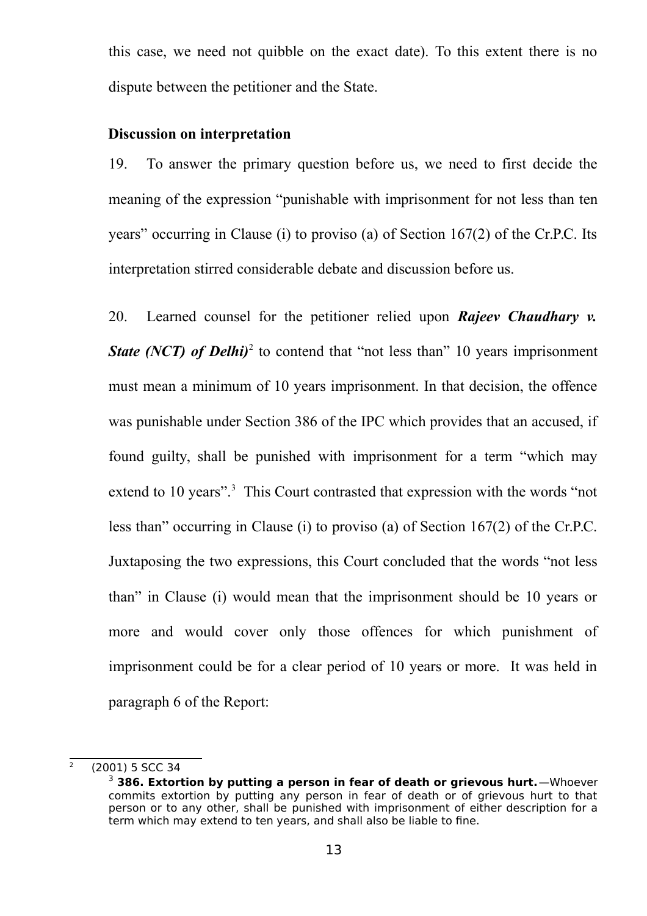this case, we need not quibble on the exact date). To this extent there is no dispute between the petitioner and the State.

#### **Discussion on interpretation**

19. To answer the primary question before us, we need to first decide the meaning of the expression "punishable with imprisonment for not less than ten years" occurring in Clause (i) to proviso (a) of Section 167(2) of the Cr.P.C. Its interpretation stirred considerable debate and discussion before us.

20. Learned counsel for the petitioner relied upon *Rajeev Chaudhary v.* **State (NCT) of Delhi)**<sup>[2](#page-12-0)</sup> to contend that "not less than" 10 years imprisonment must mean a minimum of 10 years imprisonment. In that decision, the offence was punishable under Section 386 of the IPC which provides that an accused, if found guilty, shall be punished with imprisonment for a term "which may extend to 10 years".<sup>[3](#page-12-1)</sup> This Court contrasted that expression with the words "not less than" occurring in Clause (i) to proviso (a) of Section 167(2) of the Cr.P.C. Juxtaposing the two expressions, this Court concluded that the words "not less than" in Clause (i) would mean that the imprisonment should be 10 years or more and would cover only those offences for which punishment of imprisonment could be for a clear period of 10 years or more. It was held in paragraph 6 of the Report:

<span id="page-12-0"></span> $\overline{2}$ (2001) 5 SCC 34

<span id="page-12-1"></span><sup>3</sup> **386. Extortion by putting a person in fear of death or grievous hurt.**—Whoever commits extortion by putting any person in fear of death or of grievous hurt to that person or to any other, shall be punished with imprisonment of either description for a term which may extend to ten years, and shall also be liable to fine.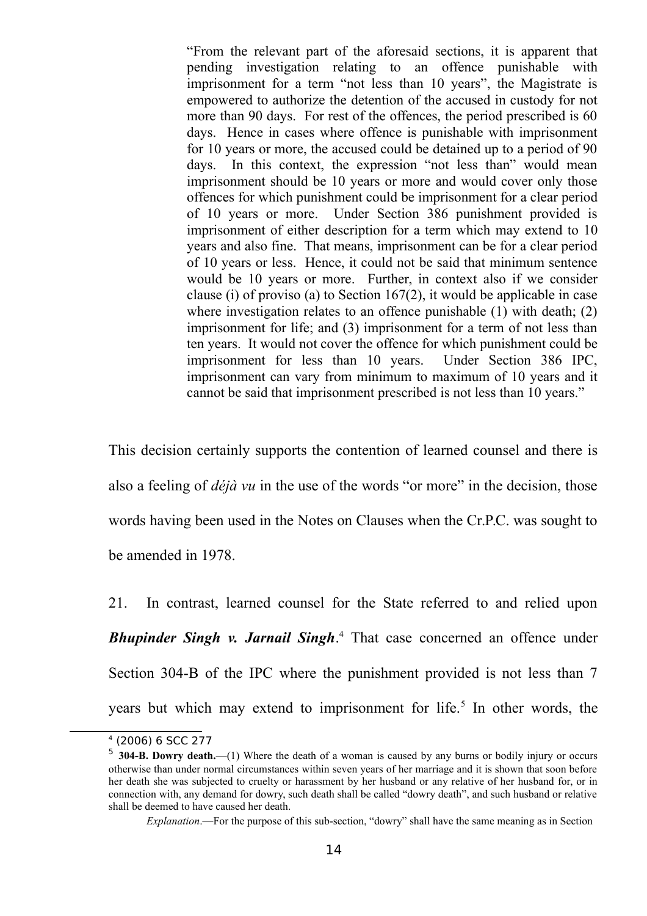"From the relevant part of the aforesaid sections, it is apparent that pending investigation relating to an offence punishable with imprisonment for a term "not less than 10 years", the Magistrate is empowered to authorize the detention of the accused in custody for not more than 90 days. For rest of the offences, the period prescribed is 60 days. Hence in cases where offence is punishable with imprisonment for 10 years or more, the accused could be detained up to a period of 90 days. In this context, the expression "not less than" would mean imprisonment should be 10 years or more and would cover only those offences for which punishment could be imprisonment for a clear period of 10 years or more. Under Section 386 punishment provided is imprisonment of either description for a term which may extend to 10 years and also fine. That means, imprisonment can be for a clear period of 10 years or less. Hence, it could not be said that minimum sentence would be 10 years or more. Further, in context also if we consider clause (i) of proviso (a) to Section 167(2), it would be applicable in case where investigation relates to an offence punishable (1) with death; (2) imprisonment for life; and (3) imprisonment for a term of not less than ten years. It would not cover the offence for which punishment could be imprisonment for less than 10 years. Under Section 386 IPC, imprisonment can vary from minimum to maximum of 10 years and it cannot be said that imprisonment prescribed is not less than 10 years."

This decision certainly supports the contention of learned counsel and there is also a feeling of *déjà vu* in the use of the words "or more" in the decision, those words having been used in the Notes on Clauses when the Cr.P.C. was sought to be amended in 1978.

21. In contrast, learned counsel for the State referred to and relied upon *Bhupinder Singh v. Jarnail Singh*. [4](#page-13-0) That case concerned an offence under Section 304-B of the IPC where the punishment provided is not less than 7 years but which may extend to imprisonment for life.<sup>[5](#page-13-1)</sup> In other words, the

<span id="page-13-0"></span><sup>4</sup> (2006) 6 SCC 277

<span id="page-13-1"></span><sup>5</sup> **304-B. Dowry death.**—(1) Where the death of a woman is caused by any burns or bodily injury or occurs otherwise than under normal circumstances within seven years of her marriage and it is shown that soon before her death she was subjected to cruelty or harassment by her husband or any relative of her husband for, or in connection with, any demand for dowry, such death shall be called "dowry death", and such husband or relative shall be deemed to have caused her death.

*Explanation*.—For the purpose of this sub-section, "dowry" shall have the same meaning as in Section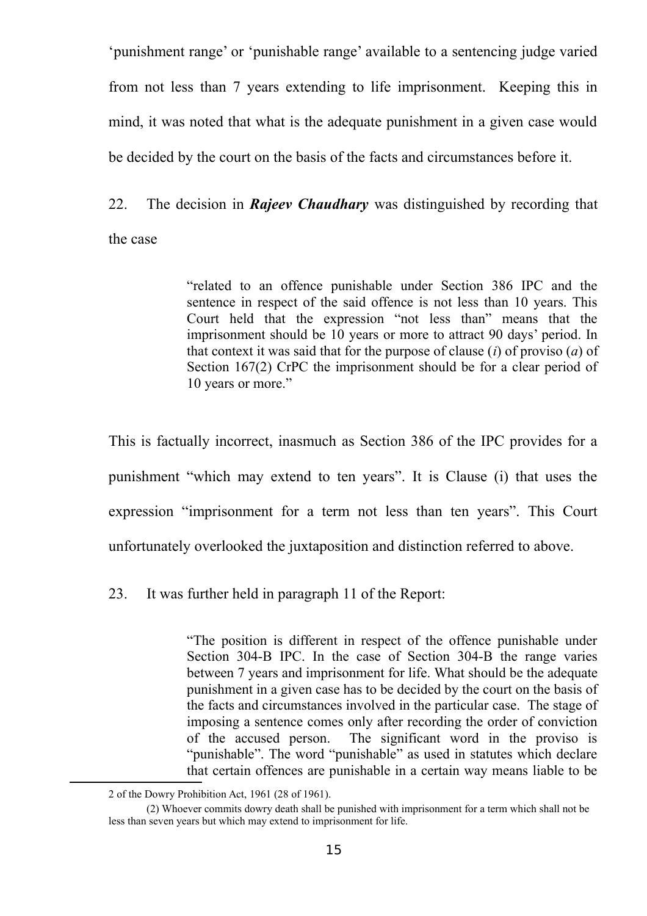'punishment range' or 'punishable range' available to a sentencing judge varied from not less than 7 years extending to life imprisonment. Keeping this in mind, it was noted that what is the adequate punishment in a given case would be decided by the court on the basis of the facts and circumstances before it.

22. The decision in *Rajeev Chaudhary* was distinguished by recording that the case

> "related to an offence punishable under Section 386 IPC and the sentence in respect of the said offence is not less than 10 years. This Court held that the expression "not less than" means that the imprisonment should be 10 years or more to attract 90 days' period. In that context it was said that for the purpose of clause (*i*) of proviso (*a*) of Section 167(2) CrPC the imprisonment should be for a clear period of 10 years or more."

This is factually incorrect, inasmuch as Section 386 of the IPC provides for a punishment "which may extend to ten years". It is Clause (i) that uses the expression "imprisonment for a term not less than ten years". This Court unfortunately overlooked the juxtaposition and distinction referred to above.

23. It was further held in paragraph 11 of the Report:

"The position is different in respect of the offence punishable under Section 304-B IPC. In the case of Section 304-B the range varies between 7 years and imprisonment for life. What should be the adequate punishment in a given case has to be decided by the court on the basis of the facts and circumstances involved in the particular case. The stage of imposing a sentence comes only after recording the order of conviction of the accused person. The significant word in the proviso is "punishable". The word "punishable" as used in statutes which declare that certain offences are punishable in a certain way means liable to be

<sup>2</sup> of the Dowry Prohibition Act, 1961 (28 of 1961).

<sup>(2)</sup> Whoever commits dowry death shall be punished with imprisonment for a term which shall not be less than seven years but which may extend to imprisonment for life.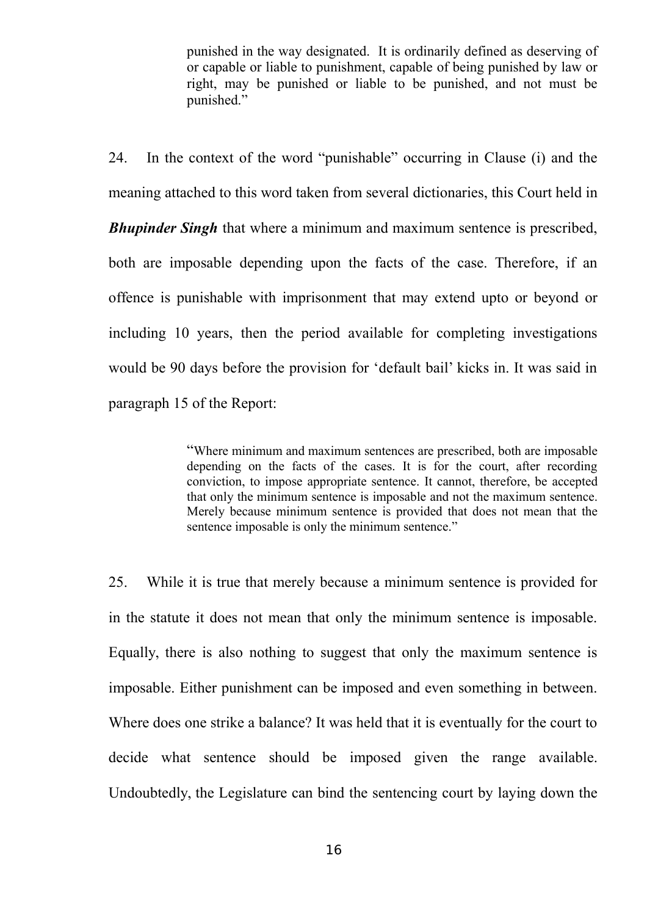punished in the way designated. It is ordinarily defined as deserving of or capable or liable to punishment, capable of being punished by law or right, may be punished or liable to be punished, and not must be punished."

24. In the context of the word "punishable" occurring in Clause (i) and the meaning attached to this word taken from several dictionaries, this Court held in *Bhupinder Singh* that where a minimum and maximum sentence is prescribed, both are imposable depending upon the facts of the case. Therefore, if an offence is punishable with imprisonment that may extend upto or beyond or including 10 years, then the period available for completing investigations would be 90 days before the provision for 'default bail' kicks in. It was said in paragraph 15 of the Report:

> "Where minimum and maximum sentences are prescribed, both are imposable depending on the facts of the cases. It is for the court, after recording conviction, to impose appropriate sentence. It cannot, therefore, be accepted that only the minimum sentence is imposable and not the maximum sentence. Merely because minimum sentence is provided that does not mean that the sentence imposable is only the minimum sentence."

25. While it is true that merely because a minimum sentence is provided for in the statute it does not mean that only the minimum sentence is imposable. Equally, there is also nothing to suggest that only the maximum sentence is imposable. Either punishment can be imposed and even something in between. Where does one strike a balance? It was held that it is eventually for the court to decide what sentence should be imposed given the range available. Undoubtedly, the Legislature can bind the sentencing court by laying down the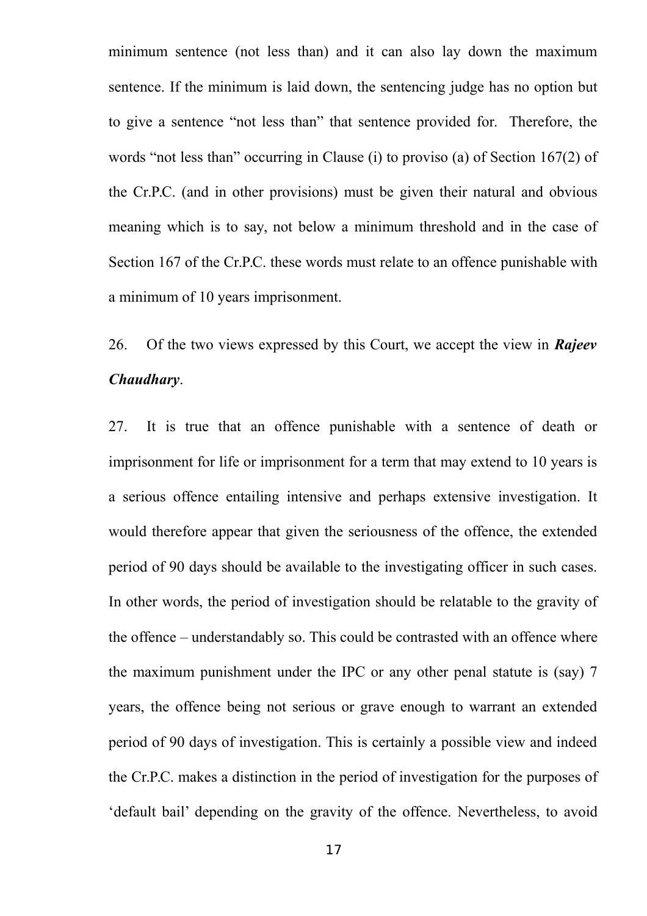minimum sentence (not less than) and it can also lay down the maximum sentence. If the minimum is laid down, the sentencing judge has no option but to give a sentence "not less than" that sentence provided for. Therefore, the words "not less than" occurring in Clause (i) to proviso (a) of Section 167(2) of the Cr.P.C. (and in other provisions) must be given their natural and obvious meaning which is to say, not below a minimum threshold and in the case of Section 167 of the Cr.P.C. these words must relate to an offence punishable with a minimum of 10 years imprisonment.

26. Of the two views expressed by this Court, we accept the view in *Rajeev Chaudhary*.

27. It is true that an offence punishable with a sentence of death or imprisonment for life or imprisonment for a term that may extend to 10 years is a serious offence entailing intensive and perhaps extensive investigation. It would therefore appear that given the seriousness of the offence, the extended period of 90 days should be available to the investigating officer in such cases. In other words, the period of investigation should be relatable to the gravity of the offence – understandably so. This could be contrasted with an offence where the maximum punishment under the IPC or any other penal statute is (say) 7 years, the offence being not serious or grave enough to warrant an extended period of 90 days of investigation. This is certainly a possible view and indeed the Cr.P.C. makes a distinction in the period of investigation for the purposes of 'default bail' depending on the gravity of the offence. Nevertheless, to avoid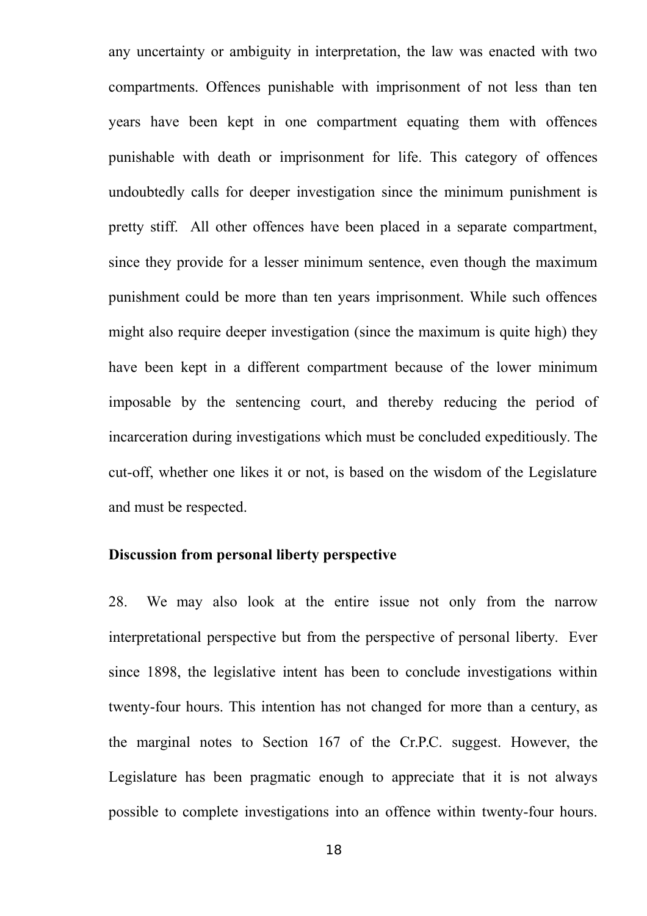any uncertainty or ambiguity in interpretation, the law was enacted with two compartments. Offences punishable with imprisonment of not less than ten years have been kept in one compartment equating them with offences punishable with death or imprisonment for life. This category of offences undoubtedly calls for deeper investigation since the minimum punishment is pretty stiff. All other offences have been placed in a separate compartment, since they provide for a lesser minimum sentence, even though the maximum punishment could be more than ten years imprisonment. While such offences might also require deeper investigation (since the maximum is quite high) they have been kept in a different compartment because of the lower minimum imposable by the sentencing court, and thereby reducing the period of incarceration during investigations which must be concluded expeditiously. The cut-off, whether one likes it or not, is based on the wisdom of the Legislature and must be respected.

#### **Discussion from personal liberty perspective**

28. We may also look at the entire issue not only from the narrow interpretational perspective but from the perspective of personal liberty. Ever since 1898, the legislative intent has been to conclude investigations within twenty-four hours. This intention has not changed for more than a century, as the marginal notes to Section 167 of the Cr.P.C. suggest. However, the Legislature has been pragmatic enough to appreciate that it is not always possible to complete investigations into an offence within twenty-four hours.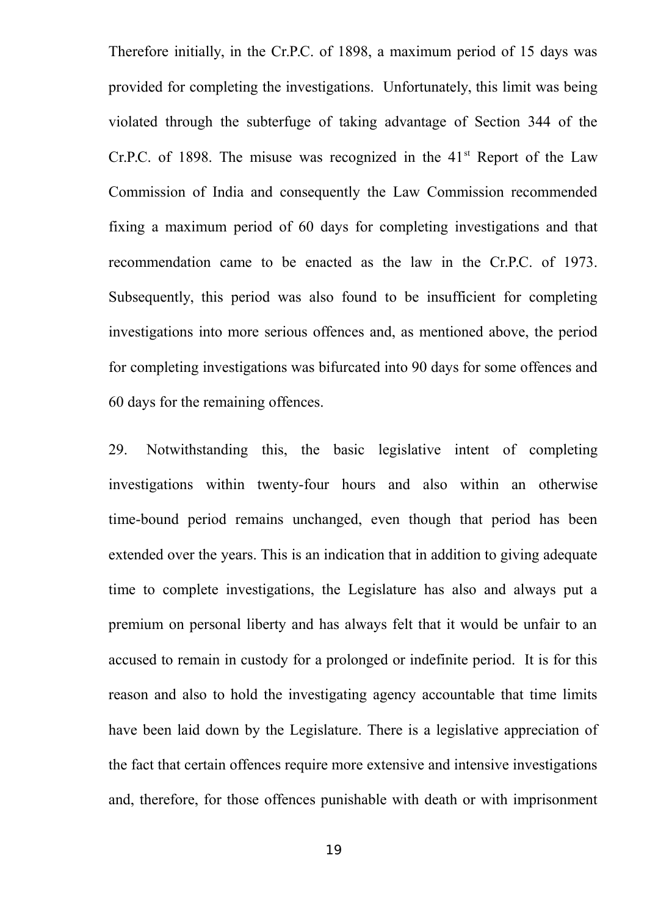Therefore initially, in the Cr.P.C. of 1898, a maximum period of 15 days was provided for completing the investigations. Unfortunately, this limit was being violated through the subterfuge of taking advantage of Section 344 of the Cr.P.C. of 1898. The misuse was recognized in the  $41<sup>st</sup>$  Report of the Law Commission of India and consequently the Law Commission recommended fixing a maximum period of 60 days for completing investigations and that recommendation came to be enacted as the law in the Cr.P.C. of 1973. Subsequently, this period was also found to be insufficient for completing investigations into more serious offences and, as mentioned above, the period for completing investigations was bifurcated into 90 days for some offences and 60 days for the remaining offences.

29. Notwithstanding this, the basic legislative intent of completing investigations within twenty-four hours and also within an otherwise time-bound period remains unchanged, even though that period has been extended over the years. This is an indication that in addition to giving adequate time to complete investigations, the Legislature has also and always put a premium on personal liberty and has always felt that it would be unfair to an accused to remain in custody for a prolonged or indefinite period. It is for this reason and also to hold the investigating agency accountable that time limits have been laid down by the Legislature. There is a legislative appreciation of the fact that certain offences require more extensive and intensive investigations and, therefore, for those offences punishable with death or with imprisonment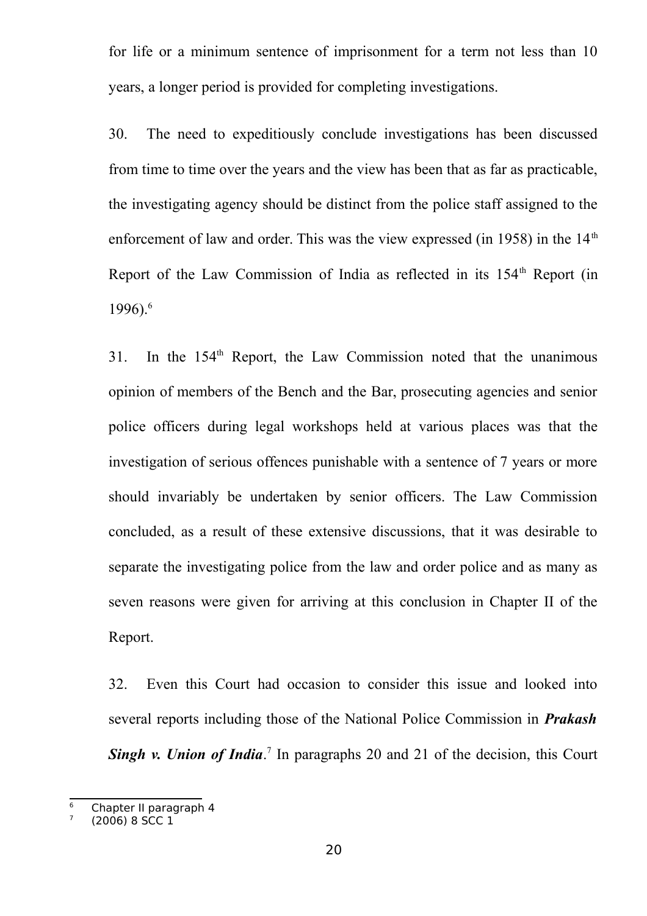for life or a minimum sentence of imprisonment for a term not less than 10 years, a longer period is provided for completing investigations.

30. The need to expeditiously conclude investigations has been discussed from time to time over the years and the view has been that as far as practicable, the investigating agency should be distinct from the police staff assigned to the enforcement of law and order. This was the view expressed (in 1958) in the  $14<sup>th</sup>$ Report of the Law Commission of India as reflected in its  $154<sup>th</sup>$  Report (in 199[6](#page-19-0)). $^{6}$ 

31. In the 154<sup>th</sup> Report, the Law Commission noted that the unanimous opinion of members of the Bench and the Bar, prosecuting agencies and senior police officers during legal workshops held at various places was that the investigation of serious offences punishable with a sentence of 7 years or more should invariably be undertaken by senior officers. The Law Commission concluded, as a result of these extensive discussions, that it was desirable to separate the investigating police from the law and order police and as many as seven reasons were given for arriving at this conclusion in Chapter II of the Report.

32. Even this Court had occasion to consider this issue and looked into several reports including those of the National Police Commission in *Prakash* **Singh v. Union of India**.<sup>[7](#page-19-1)</sup> In paragraphs 20 and 21 of the decision, this Court

<span id="page-19-0"></span><sup>&</sup>lt;sup>6</sup> Chapter II paragraph 4

<span id="page-19-1"></span><sup>7</sup> (2006) 8 SCC 1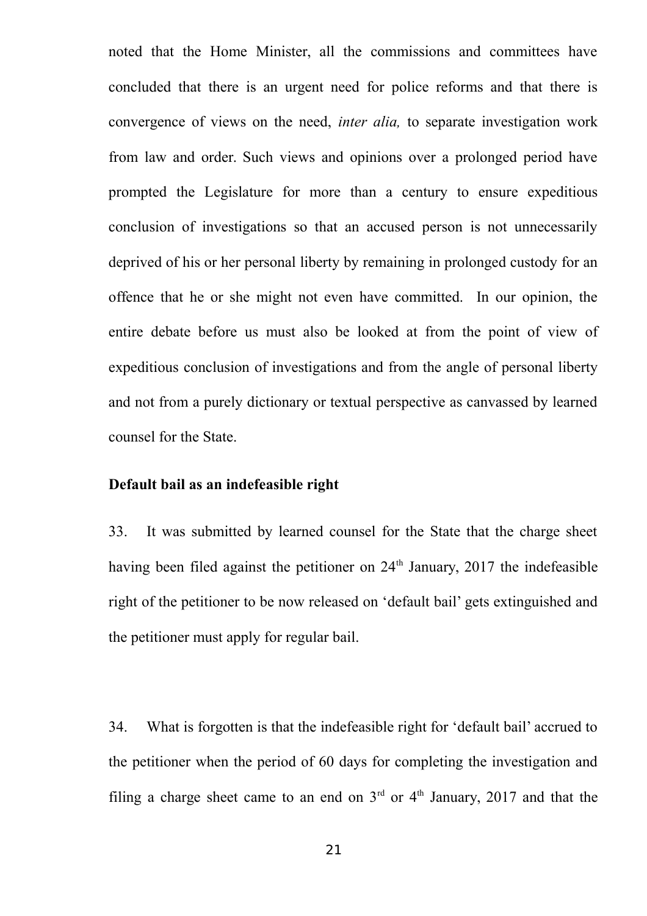noted that the Home Minister, all the commissions and committees have concluded that there is an urgent need for police reforms and that there is convergence of views on the need, *inter alia,* to separate investigation work from law and order. Such views and opinions over a prolonged period have prompted the Legislature for more than a century to ensure expeditious conclusion of investigations so that an accused person is not unnecessarily deprived of his or her personal liberty by remaining in prolonged custody for an offence that he or she might not even have committed. In our opinion, the entire debate before us must also be looked at from the point of view of expeditious conclusion of investigations and from the angle of personal liberty and not from a purely dictionary or textual perspective as canvassed by learned counsel for the State.

#### **Default bail as an indefeasible right**

33. It was submitted by learned counsel for the State that the charge sheet having been filed against the petitioner on  $24<sup>th</sup>$  January, 2017 the indefeasible right of the petitioner to be now released on 'default bail' gets extinguished and the petitioner must apply for regular bail.

34. What is forgotten is that the indefeasible right for 'default bail' accrued to the petitioner when the period of 60 days for completing the investigation and filing a charge sheet came to an end on  $3<sup>rd</sup>$  or  $4<sup>th</sup>$  January, 2017 and that the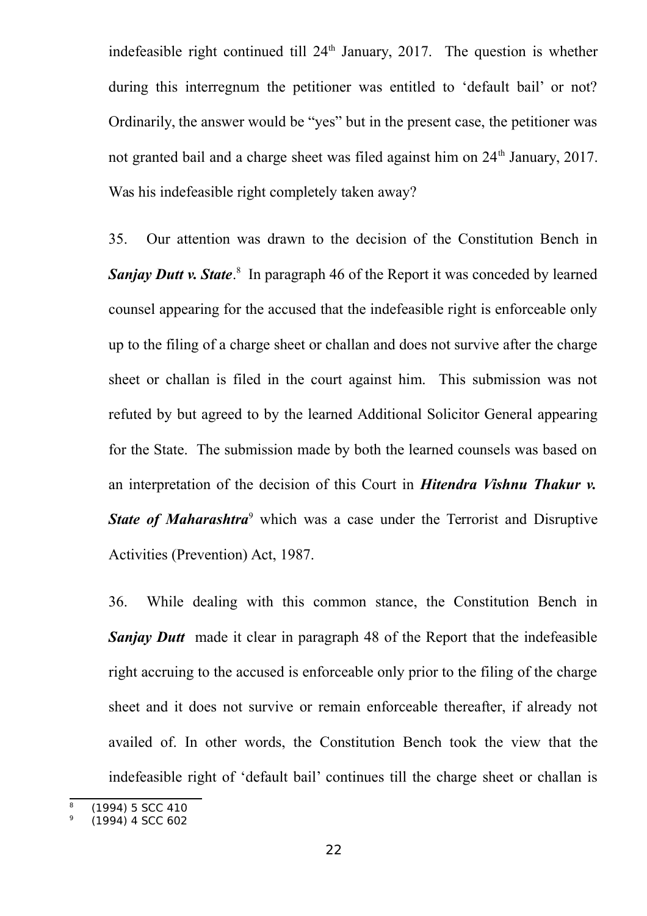indefeasible right continued till  $24<sup>th</sup>$  January, 2017. The question is whether during this interregnum the petitioner was entitled to 'default bail' or not? Ordinarily, the answer would be "yes" but in the present case, the petitioner was not granted bail and a charge sheet was filed against him on 24<sup>th</sup> January, 2017. Was his indefeasible right completely taken away?

35. Our attention was drawn to the decision of the Constitution Bench in **Sanjay Dutt v. State.**<sup>[8](#page-21-0)</sup> In paragraph 46 of the Report it was conceded by learned counsel appearing for the accused that the indefeasible right is enforceable only up to the filing of a charge sheet or challan and does not survive after the charge sheet or challan is filed in the court against him. This submission was not refuted by but agreed to by the learned Additional Solicitor General appearing for the State. The submission made by both the learned counsels was based on an interpretation of the decision of this Court in *Hitendra Vishnu Thakur v. State of Maharashtra<sup>[9](#page-21-1)</sup>* which was a case under the Terrorist and Disruptive Activities (Prevention) Act, 1987.

36. While dealing with this common stance, the Constitution Bench in *Sanjay Dutt* made it clear in paragraph 48 of the Report that the indefeasible right accruing to the accused is enforceable only prior to the filing of the charge sheet and it does not survive or remain enforceable thereafter, if already not availed of. In other words, the Constitution Bench took the view that the indefeasible right of 'default bail' continues till the charge sheet or challan is

<span id="page-21-0"></span><sup>8</sup> (1994) 5 SCC 410

<span id="page-21-1"></span><sup>9</sup> (1994) 4 SCC 602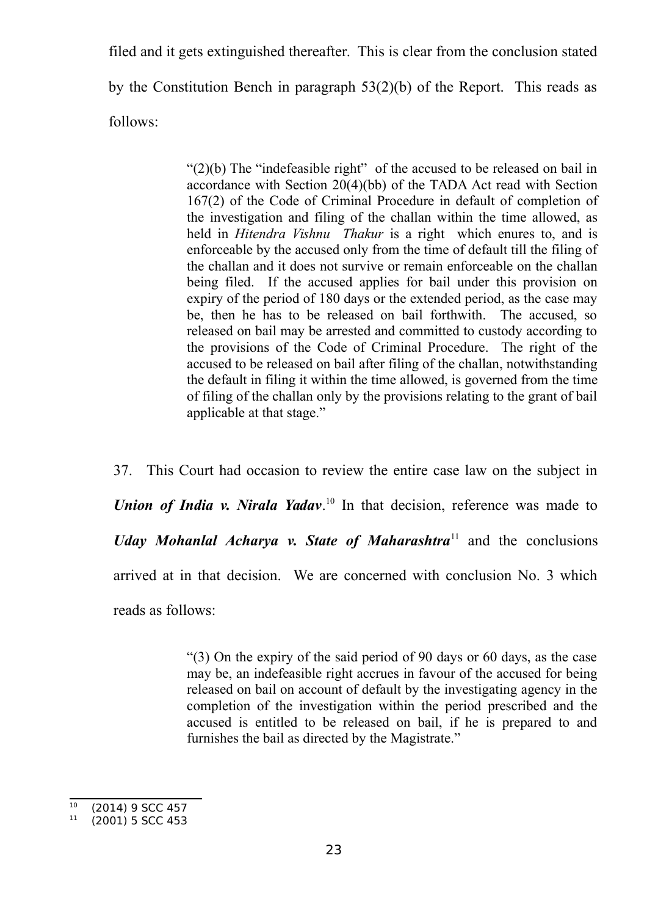filed and it gets extinguished thereafter. This is clear from the conclusion stated by the Constitution Bench in paragraph 53(2)(b) of the Report. This reads as follows:

> " $(2)(b)$  The "indefeasible right" of the accused to be released on bail in accordance with Section 20(4)(bb) of the TADA Act read with Section 167(2) of the Code of Criminal Procedure in default of completion of the investigation and filing of the challan within the time allowed, as held in *Hitendra Vishnu Thakur* is a right which enures to, and is enforceable by the accused only from the time of default till the filing of the challan and it does not survive or remain enforceable on the challan being filed. If the accused applies for bail under this provision on expiry of the period of 180 days or the extended period, as the case may be, then he has to be released on bail forthwith. The accused, so released on bail may be arrested and committed to custody according to the provisions of the Code of Criminal Procedure. The right of the accused to be released on bail after filing of the challan, notwithstanding the default in filing it within the time allowed, is governed from the time of filing of the challan only by the provisions relating to the grant of bail applicable at that stage."

37. This Court had occasion to review the entire case law on the subject in Union of India v. Nirala Yadav.<sup>[10](#page-22-0)</sup> In that decision, reference was made to *Uday Mohanlal Acharya v. State of Maharashtra*[11](#page-22-1) and the conclusions arrived at in that decision. We are concerned with conclusion No. 3 which reads as follows:

> "(3) On the expiry of the said period of 90 days or 60 days, as the case may be, an indefeasible right accrues in favour of the accused for being released on bail on account of default by the investigating agency in the completion of the investigation within the period prescribed and the accused is entitled to be released on bail, if he is prepared to and furnishes the bail as directed by the Magistrate."

<span id="page-22-0"></span> $10$  (2014) 9 SCC 457

<span id="page-22-1"></span><sup>(2001) 5</sup> SCC 453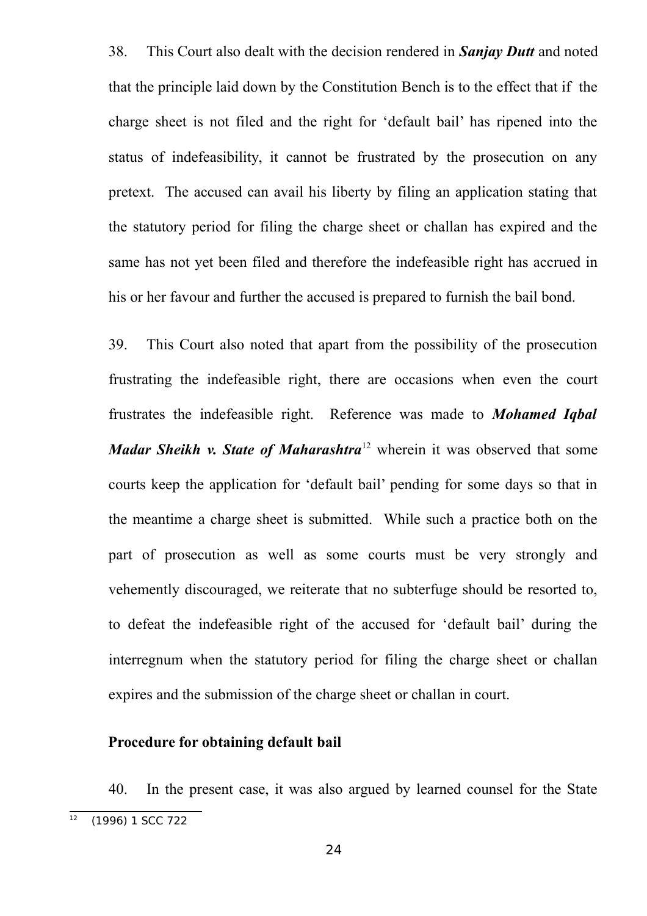38. This Court also dealt with the decision rendered in *Sanjay Dutt* and noted that the principle laid down by the Constitution Bench is to the effect that if the charge sheet is not filed and the right for 'default bail' has ripened into the status of indefeasibility, it cannot be frustrated by the prosecution on any pretext. The accused can avail his liberty by filing an application stating that the statutory period for filing the charge sheet or challan has expired and the same has not yet been filed and therefore the indefeasible right has accrued in his or her favour and further the accused is prepared to furnish the bail bond.

39. This Court also noted that apart from the possibility of the prosecution frustrating the indefeasible right, there are occasions when even the court frustrates the indefeasible right. Reference was made to *Mohamed Iqbal Madar Sheikh v. State of Maharashtra*<sup>[12](#page-23-0)</sup> wherein it was observed that some courts keep the application for 'default bail' pending for some days so that in the meantime a charge sheet is submitted. While such a practice both on the part of prosecution as well as some courts must be very strongly and vehemently discouraged, we reiterate that no subterfuge should be resorted to, to defeat the indefeasible right of the accused for 'default bail' during the interregnum when the statutory period for filing the charge sheet or challan expires and the submission of the charge sheet or challan in court.

#### **Procedure for obtaining default bail**

40. In the present case, it was also argued by learned counsel for the State

<span id="page-23-0"></span> $\overline{12}$  (1996) 1 SCC 722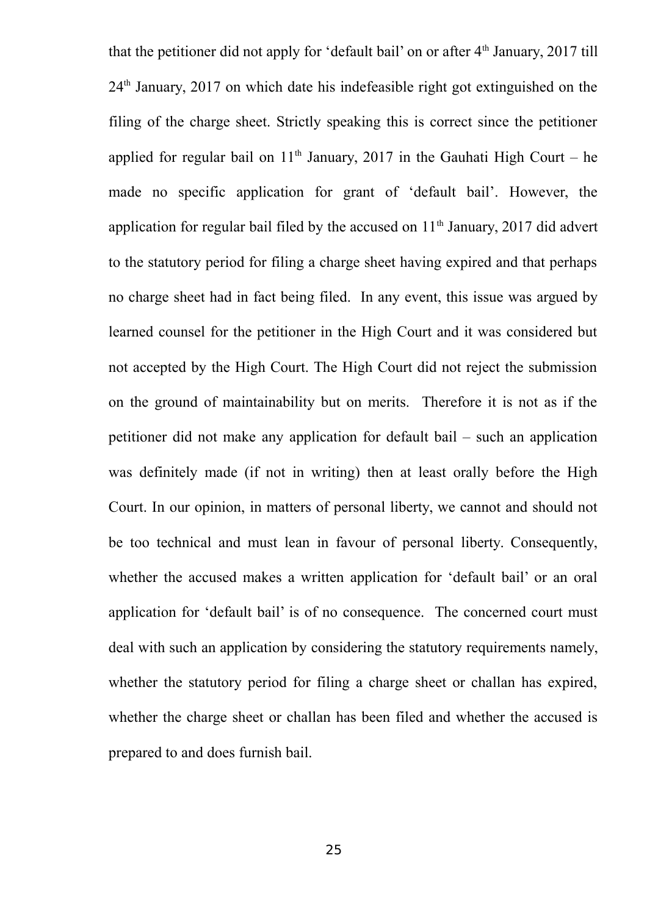that the petitioner did not apply for 'default bail' on or after  $4<sup>th</sup>$  January, 2017 till 24th January, 2017 on which date his indefeasible right got extinguished on the filing of the charge sheet. Strictly speaking this is correct since the petitioner applied for regular bail on  $11<sup>th</sup>$  January, 2017 in the Gauhati High Court – he made no specific application for grant of 'default bail'. However, the application for regular bail filed by the accused on  $11<sup>th</sup>$  January, 2017 did advert to the statutory period for filing a charge sheet having expired and that perhaps no charge sheet had in fact being filed. In any event, this issue was argued by learned counsel for the petitioner in the High Court and it was considered but not accepted by the High Court. The High Court did not reject the submission on the ground of maintainability but on merits. Therefore it is not as if the petitioner did not make any application for default bail – such an application was definitely made (if not in writing) then at least orally before the High Court. In our opinion, in matters of personal liberty, we cannot and should not be too technical and must lean in favour of personal liberty. Consequently, whether the accused makes a written application for 'default bail' or an oral application for 'default bail' is of no consequence. The concerned court must deal with such an application by considering the statutory requirements namely, whether the statutory period for filing a charge sheet or challan has expired, whether the charge sheet or challan has been filed and whether the accused is prepared to and does furnish bail.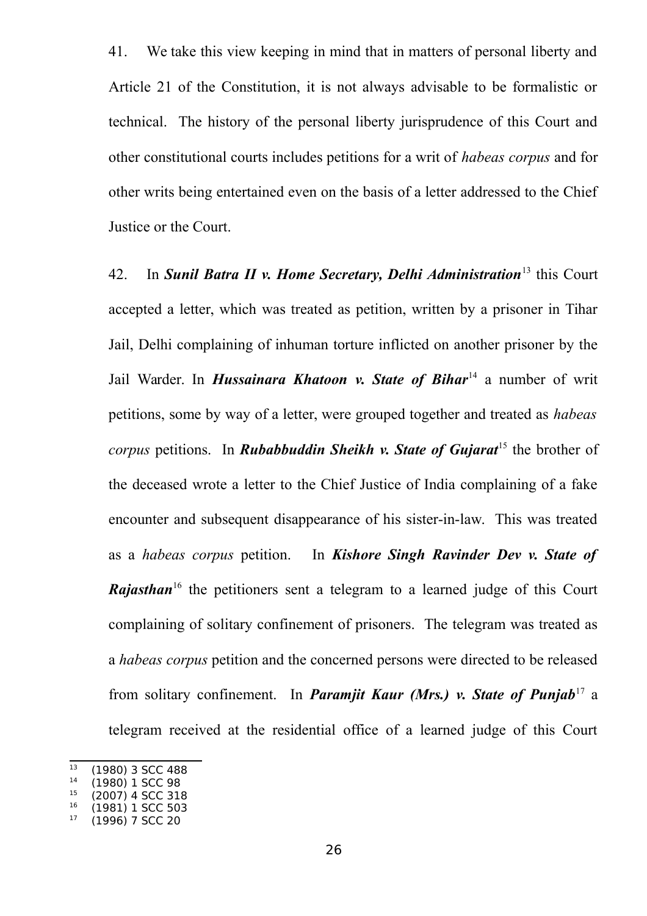41. We take this view keeping in mind that in matters of personal liberty and Article 21 of the Constitution, it is not always advisable to be formalistic or technical. The history of the personal liberty jurisprudence of this Court and other constitutional courts includes petitions for a writ of *habeas corpus* and for other writs being entertained even on the basis of a letter addressed to the Chief Justice or the Court.

42. In *Sunil Batra II v. Home Secretary, Delhi Administration*[13](#page-25-0) this Court accepted a letter, which was treated as petition, written by a prisoner in Tihar Jail, Delhi complaining of inhuman torture inflicted on another prisoner by the Jail Warder. In *Hussainara Khatoon v. State of Bihar*[14](#page-25-1) a number of writ petitions, some by way of a letter, were grouped together and treated as *habeas corpus* petitions. In *Rubabbuddin Sheikh v. State of Gujarat*<sup>[15](#page-25-2)</sup> the brother of the deceased wrote a letter to the Chief Justice of India complaining of a fake encounter and subsequent disappearance of his sister-in-law. This was treated as a *habeas corpus* petition. In *Kishore Singh Ravinder Dev v. State of Rajasthan*<sup>[16](#page-25-3)</sup> the petitioners sent a telegram to a learned judge of this Court complaining of solitary confinement of prisoners. The telegram was treated as a *habeas corpus* petition and the concerned persons were directed to be released from solitary confinement. In *Paramjit Kaur (Mrs.) v. State of Punjab*<sup>[17](#page-25-4)</sup> a telegram received at the residential office of a learned judge of this Court

<span id="page-25-0"></span> $\frac{13}{13}$  (1980) 3 SCC 488

<span id="page-25-1"></span> $14$  (1980) 1 SCC 98<br> $15$  (2007) 4 SCC 318

<span id="page-25-2"></span> $15$  (2007) 4 SCC 318

<span id="page-25-4"></span><span id="page-25-3"></span> $^{16}$  (1981) 1 SCC 503 <sup>17</sup> (1996) 7 SCC 20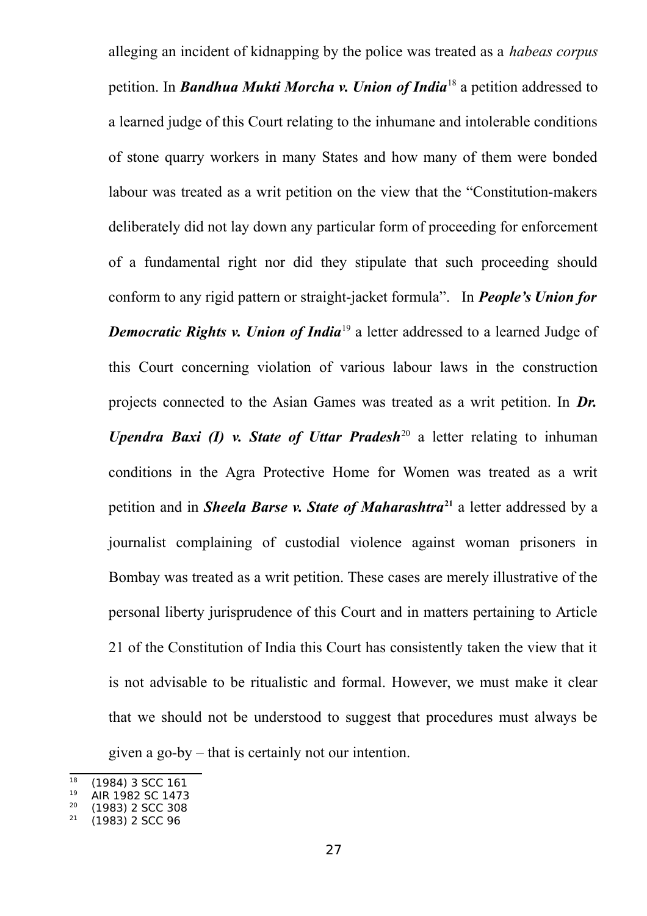alleging an incident of kidnapping by the police was treated as a *habeas corpus* petition. In *Bandhua Mukti Morcha v. Union of India*[18](#page-26-0) a petition addressed to a learned judge of this Court relating to the inhumane and intolerable conditions of stone quarry workers in many States and how many of them were bonded labour was treated as a writ petition on the view that the "Constitution-makers deliberately did not lay down any particular form of proceeding for enforcement of a fundamental right nor did they stipulate that such proceeding should conform to any rigid pattern or straight-jacket formula". In *People's Union for Democratic Rights v. Union of India*<sup>[19](#page-26-1)</sup> a letter addressed to a learned Judge of this Court concerning violation of various labour laws in the construction projects connected to the Asian Games was treated as a writ petition. In *Dr. Upendra Baxi (I) v. State of Uttar Pradesh*<sup>[20](#page-26-2)</sup> a letter relating to inhuman conditions in the Agra Protective Home for Women was treated as a writ petition and in *Sheela Barse v. State of Maharashtra***[21](#page-26-3)** a letter addressed by a journalist complaining of custodial violence against woman prisoners in Bombay was treated as a writ petition. These cases are merely illustrative of the personal liberty jurisprudence of this Court and in matters pertaining to Article 21 of the Constitution of India this Court has consistently taken the view that it is not advisable to be ritualistic and formal. However, we must make it clear that we should not be understood to suggest that procedures must always be given a go-by – that is certainly not our intention.

<span id="page-26-0"></span> $\frac{18}{18}$  (1984) 3 SCC 161

<span id="page-26-1"></span><sup>&</sup>lt;sup>19</sup> AIR 1982 SC 1473

<span id="page-26-2"></span> $\frac{20}{21}$  (1983) 2 SCC 308

<span id="page-26-3"></span><sup>21</sup> (1983) 2 SCC 96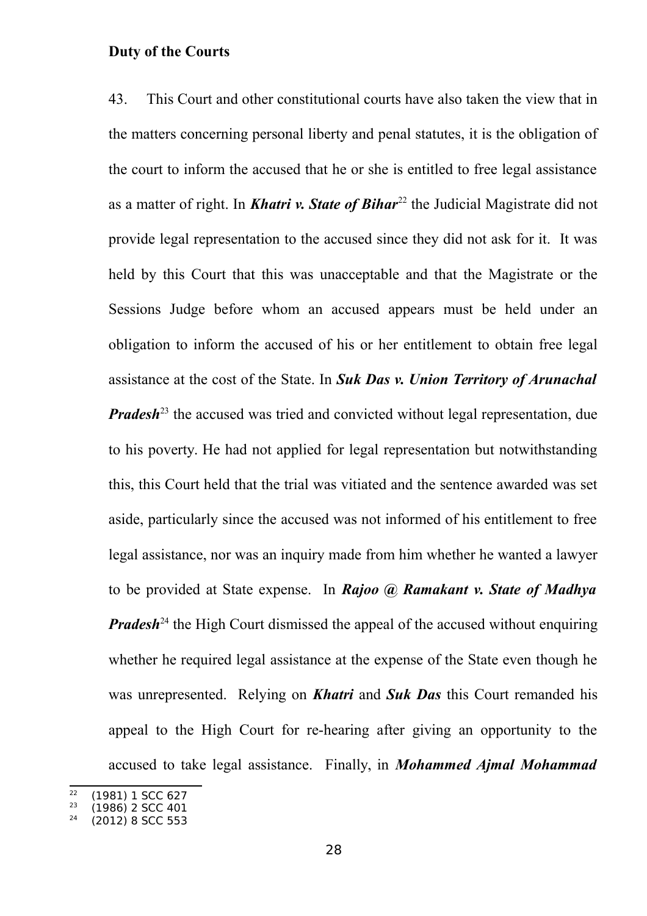#### **Duty of the Courts**

43. This Court and other constitutional courts have also taken the view that in the matters concerning personal liberty and penal statutes, it is the obligation of the court to inform the accused that he or she is entitled to free legal assistance as a matter of right. In **Khatri v. State of Bihar**<sup>[22](#page-27-0)</sup> the Judicial Magistrate did not provide legal representation to the accused since they did not ask for it. It was held by this Court that this was unacceptable and that the Magistrate or the Sessions Judge before whom an accused appears must be held under an obligation to inform the accused of his or her entitlement to obtain free legal assistance at the cost of the State. In *Suk Das v. Union Territory of Arunachal Pradesh*<sup>[23](#page-27-1)</sup> the accused was tried and convicted without legal representation, due to his poverty. He had not applied for legal representation but notwithstanding this, this Court held that the trial was vitiated and the sentence awarded was set aside, particularly since the accused was not informed of his entitlement to free legal assistance, nor was an inquiry made from him whether he wanted a lawyer to be provided at State expense. In *Rajoo @ Ramakant v. State of Madhya Pradesh*<sup>[24](#page-27-2)</sup> the High Court dismissed the appeal of the accused without enquiring whether he required legal assistance at the expense of the State even though he was unrepresented. Relying on *Khatri* and *Suk Das* this Court remanded his appeal to the High Court for re-hearing after giving an opportunity to the accused to take legal assistance. Finally, in *Mohammed Ajmal Mohammad*

<span id="page-27-0"></span> $^{22}$  (1981) 1 SCC 627<br> $^{23}$  (1986) 2 SCC 401

<span id="page-27-1"></span> $^{23}$  (1986) 2 SCC 401

<span id="page-27-2"></span><sup>24</sup> (2012) 8 SCC 553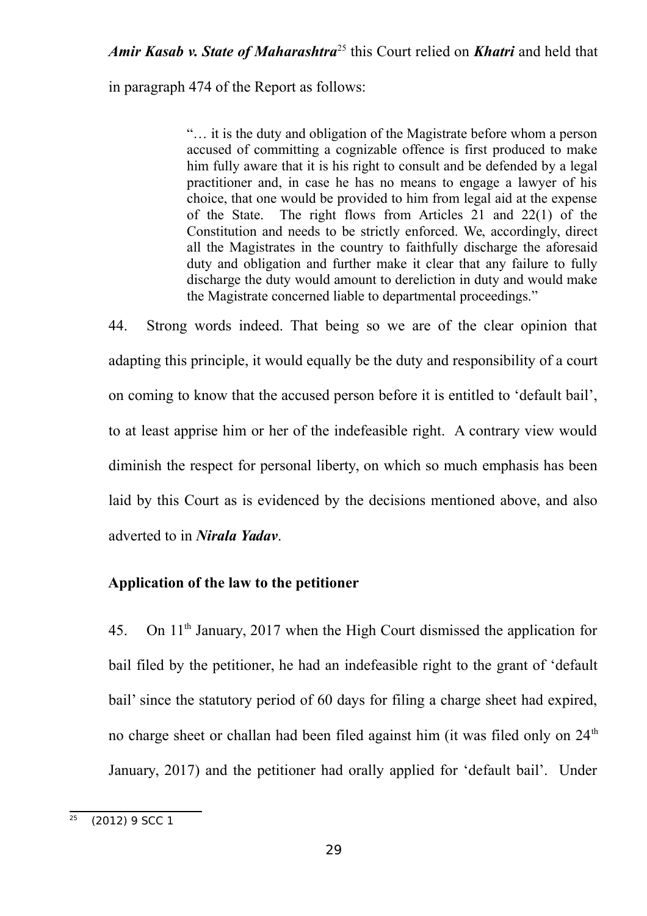## *Amir Kasab v. State of Maharashtra*[25](#page-28-0) this Court relied on *Khatri* and held that

in paragraph 474 of the Report as follows:

"… it is the duty and obligation of the Magistrate before whom a person accused of committing a cognizable offence is first produced to make him fully aware that it is his right to consult and be defended by a legal practitioner and, in case he has no means to engage a lawyer of his choice, that one would be provided to him from legal aid at the expense of the State. The right flows from Articles 21 and 22(1) of the Constitution and needs to be strictly enforced. We, accordingly, direct all the Magistrates in the country to faithfully discharge the aforesaid duty and obligation and further make it clear that any failure to fully discharge the duty would amount to dereliction in duty and would make the Magistrate concerned liable to departmental proceedings."

44. Strong words indeed. That being so we are of the clear opinion that adapting this principle, it would equally be the duty and responsibility of a court on coming to know that the accused person before it is entitled to 'default bail', to at least apprise him or her of the indefeasible right. A contrary view would diminish the respect for personal liberty, on which so much emphasis has been laid by this Court as is evidenced by the decisions mentioned above, and also adverted to in *Nirala Yadav*.

#### **Application of the law to the petitioner**

45. On 11th January, 2017 when the High Court dismissed the application for bail filed by the petitioner, he had an indefeasible right to the grant of 'default bail' since the statutory period of 60 days for filing a charge sheet had expired, no charge sheet or challan had been filed against him (it was filed only on  $24<sup>th</sup>$ ) January, 2017) and the petitioner had orally applied for 'default bail'. Under

<span id="page-28-0"></span> $\frac{25}{25}$  (2012) 9 SCC 1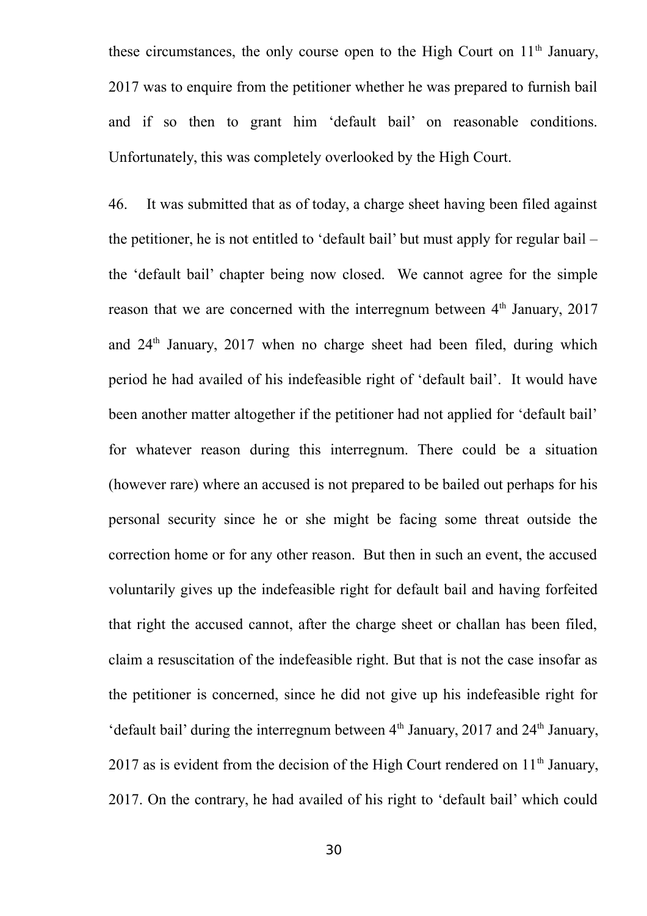these circumstances, the only course open to the High Court on  $11<sup>th</sup>$  January, 2017 was to enquire from the petitioner whether he was prepared to furnish bail and if so then to grant him 'default bail' on reasonable conditions. Unfortunately, this was completely overlooked by the High Court.

46. It was submitted that as of today, a charge sheet having been filed against the petitioner, he is not entitled to 'default bail' but must apply for regular bail – the 'default bail' chapter being now closed. We cannot agree for the simple reason that we are concerned with the interregnum between  $4<sup>th</sup>$  January, 2017 and  $24<sup>th</sup>$  January,  $2017$  when no charge sheet had been filed, during which period he had availed of his indefeasible right of 'default bail'. It would have been another matter altogether if the petitioner had not applied for 'default bail' for whatever reason during this interregnum. There could be a situation (however rare) where an accused is not prepared to be bailed out perhaps for his personal security since he or she might be facing some threat outside the correction home or for any other reason. But then in such an event, the accused voluntarily gives up the indefeasible right for default bail and having forfeited that right the accused cannot, after the charge sheet or challan has been filed, claim a resuscitation of the indefeasible right. But that is not the case insofar as the petitioner is concerned, since he did not give up his indefeasible right for 'default bail' during the interregnum between  $4<sup>th</sup>$  January, 2017 and  $24<sup>th</sup>$  January, 2017 as is evident from the decision of the High Court rendered on  $11<sup>th</sup>$  January, 2017. On the contrary, he had availed of his right to 'default bail' which could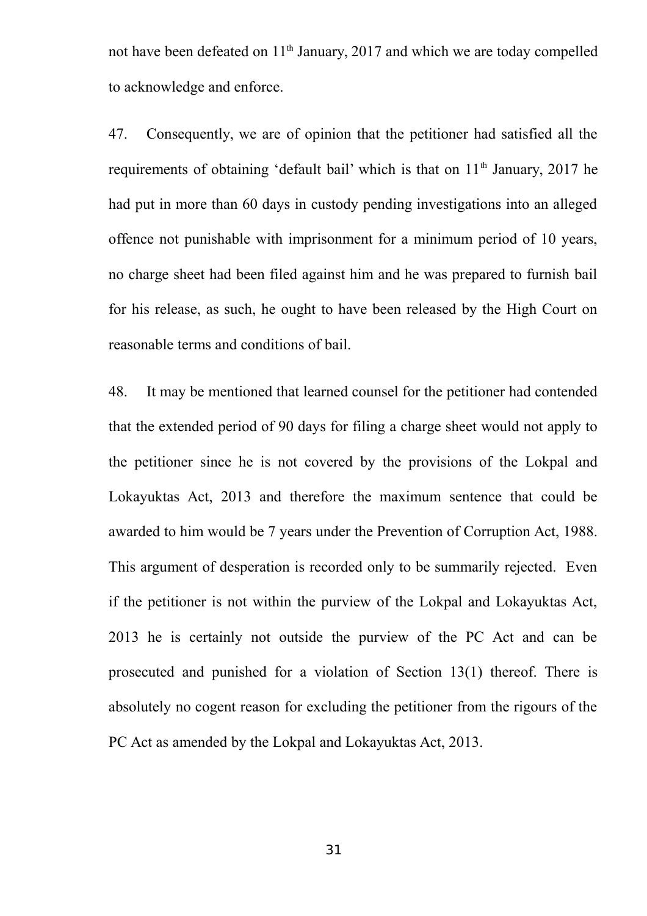not have been defeated on 11<sup>th</sup> January, 2017 and which we are today compelled to acknowledge and enforce.

47. Consequently, we are of opinion that the petitioner had satisfied all the requirements of obtaining 'default bail' which is that on 11<sup>th</sup> January, 2017 he had put in more than 60 days in custody pending investigations into an alleged offence not punishable with imprisonment for a minimum period of 10 years, no charge sheet had been filed against him and he was prepared to furnish bail for his release, as such, he ought to have been released by the High Court on reasonable terms and conditions of bail.

48. It may be mentioned that learned counsel for the petitioner had contended that the extended period of 90 days for filing a charge sheet would not apply to the petitioner since he is not covered by the provisions of the Lokpal and Lokayuktas Act, 2013 and therefore the maximum sentence that could be awarded to him would be 7 years under the Prevention of Corruption Act, 1988. This argument of desperation is recorded only to be summarily rejected. Even if the petitioner is not within the purview of the Lokpal and Lokayuktas Act, 2013 he is certainly not outside the purview of the PC Act and can be prosecuted and punished for a violation of Section 13(1) thereof. There is absolutely no cogent reason for excluding the petitioner from the rigours of the PC Act as amended by the Lokpal and Lokayuktas Act, 2013.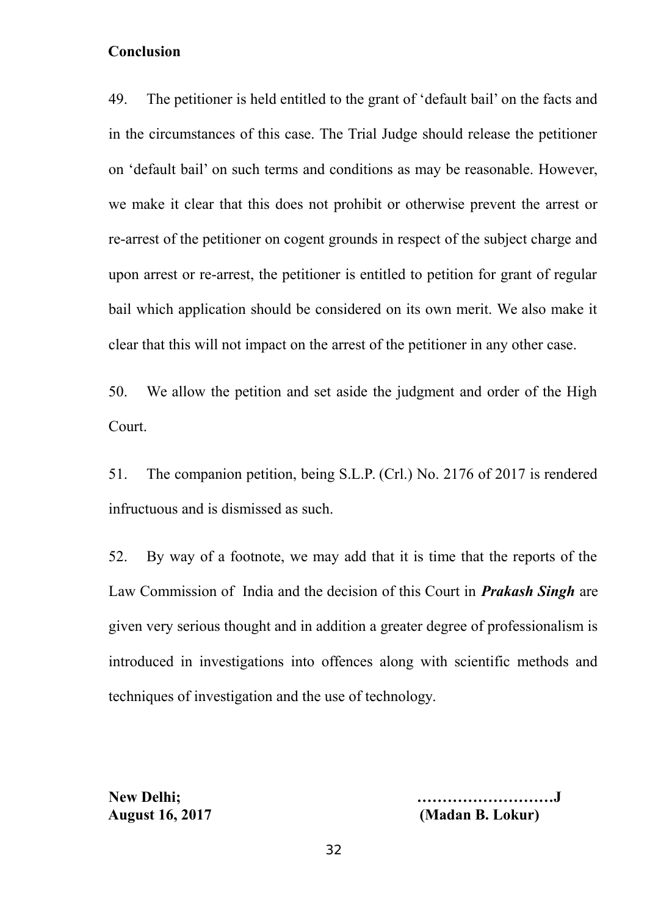## **Conclusion**

49. The petitioner is held entitled to the grant of 'default bail' on the facts and in the circumstances of this case. The Trial Judge should release the petitioner on 'default bail' on such terms and conditions as may be reasonable. However, we make it clear that this does not prohibit or otherwise prevent the arrest or re-arrest of the petitioner on cogent grounds in respect of the subject charge and upon arrest or re-arrest, the petitioner is entitled to petition for grant of regular bail which application should be considered on its own merit. We also make it clear that this will not impact on the arrest of the petitioner in any other case.

50. We allow the petition and set aside the judgment and order of the High Court.

51. The companion petition, being S.L.P. (Crl.) No. 2176 of 2017 is rendered infructuous and is dismissed as such.

52. By way of a footnote, we may add that it is time that the reports of the Law Commission of India and the decision of this Court in *Prakash Singh* are given very serious thought and in addition a greater degree of professionalism is introduced in investigations into offences along with scientific methods and techniques of investigation and the use of technology.

**New Delhi; ………………………J August 16, 2017 (Madan B. Lokur)**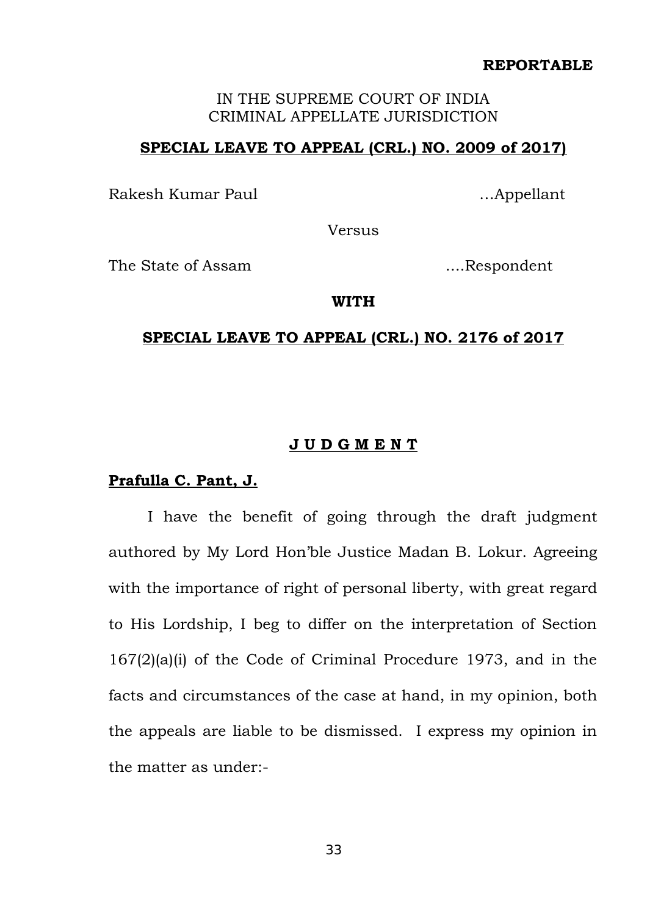#### IN THE SUPREME COURT OF INDIA CRIMINAL APPELLATE JURISDICTION

### **SPECIAL LEAVE TO APPEAL (CRL.) NO. 2009 of 2017)**

Rakesh Kumar Paul **Exercise Exercise Exercise Appellant** ...Appellant

Versus

The State of Assam .....Respondent

#### **WITH**

#### **SPECIAL LEAVE TO APPEAL (CRL.) NO. 2176 of 2017**

#### **J U D G M E N T**

#### **Prafulla C. Pant, J.**

I have the benefit of going through the draft judgment authored by My Lord Hon'ble Justice Madan B. Lokur. Agreeing with the importance of right of personal liberty, with great regard to His Lordship, I beg to differ on the interpretation of Section 167(2)(a)(i) of the Code of Criminal Procedure 1973, and in the facts and circumstances of the case at hand, in my opinion, both the appeals are liable to be dismissed. I express my opinion in the matter as under:-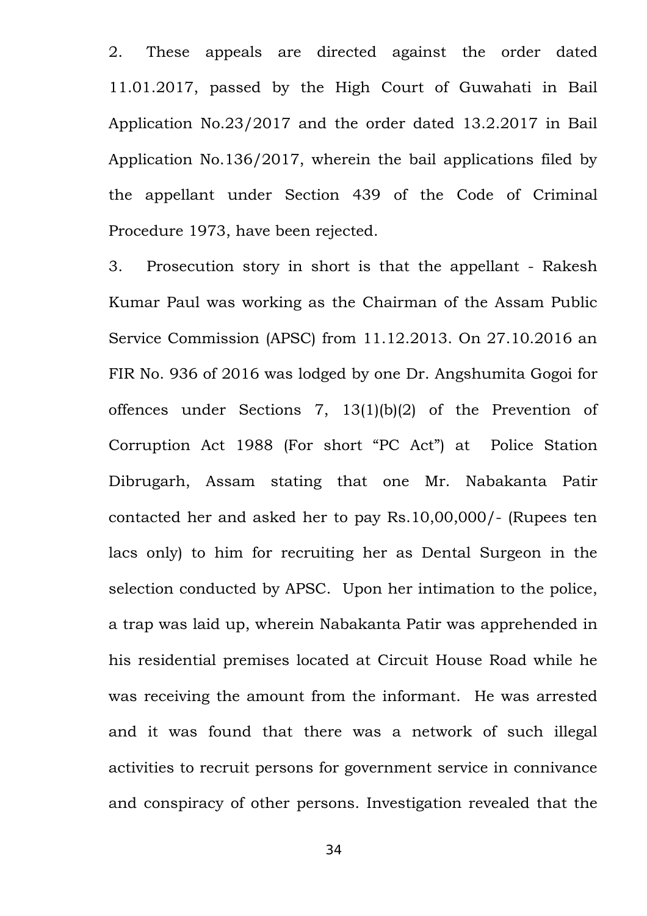2. These appeals are directed against the order dated 11.01.2017, passed by the High Court of Guwahati in Bail Application No.23/2017 and the order dated 13.2.2017 in Bail Application No.136/2017, wherein the bail applications filed by the appellant under Section 439 of the Code of Criminal Procedure 1973, have been rejected.

3. Prosecution story in short is that the appellant - Rakesh Kumar Paul was working as the Chairman of the Assam Public Service Commission (APSC) from 11.12.2013. On 27.10.2016 an FIR No. 936 of 2016 was lodged by one Dr. Angshumita Gogoi for offences under Sections 7, 13(1)(b)(2) of the Prevention of Corruption Act 1988 (For short "PC Act") at Police Station Dibrugarh, Assam stating that one Mr. Nabakanta Patir contacted her and asked her to pay Rs.10,00,000/- (Rupees ten lacs only) to him for recruiting her as Dental Surgeon in the selection conducted by APSC. Upon her intimation to the police, a trap was laid up, wherein Nabakanta Patir was apprehended in his residential premises located at Circuit House Road while he was receiving the amount from the informant. He was arrested and it was found that there was a network of such illegal activities to recruit persons for government service in connivance and conspiracy of other persons. Investigation revealed that the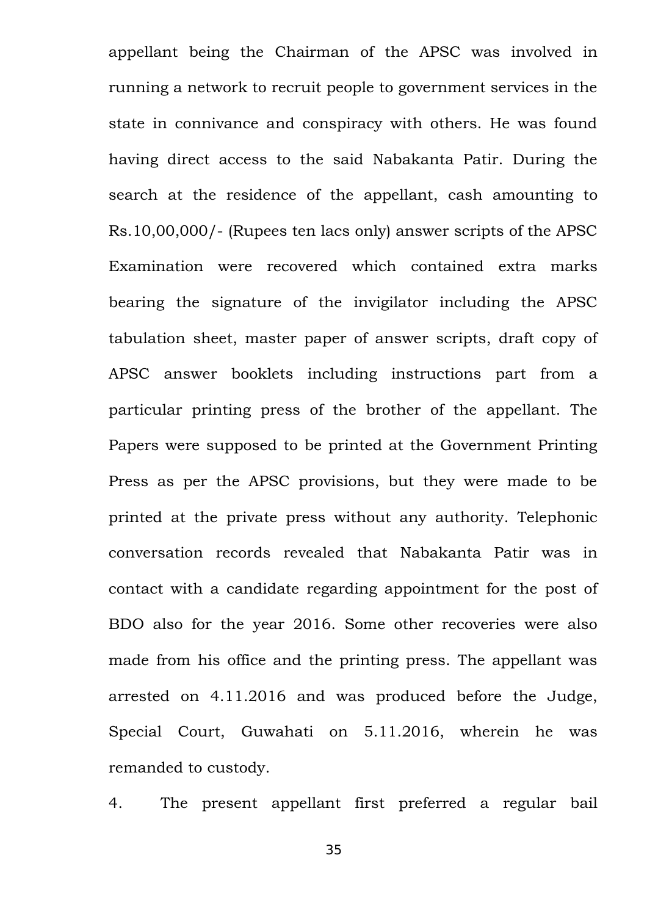appellant being the Chairman of the APSC was involved in running a network to recruit people to government services in the state in connivance and conspiracy with others. He was found having direct access to the said Nabakanta Patir. During the search at the residence of the appellant, cash amounting to Rs.10,00,000/- (Rupees ten lacs only) answer scripts of the APSC Examination were recovered which contained extra marks bearing the signature of the invigilator including the APSC tabulation sheet, master paper of answer scripts, draft copy of APSC answer booklets including instructions part from a particular printing press of the brother of the appellant. The Papers were supposed to be printed at the Government Printing Press as per the APSC provisions, but they were made to be printed at the private press without any authority. Telephonic conversation records revealed that Nabakanta Patir was in contact with a candidate regarding appointment for the post of BDO also for the year 2016. Some other recoveries were also made from his office and the printing press. The appellant was arrested on 4.11.2016 and was produced before the Judge, Special Court, Guwahati on 5.11.2016, wherein he was remanded to custody.

4. The present appellant first preferred a regular bail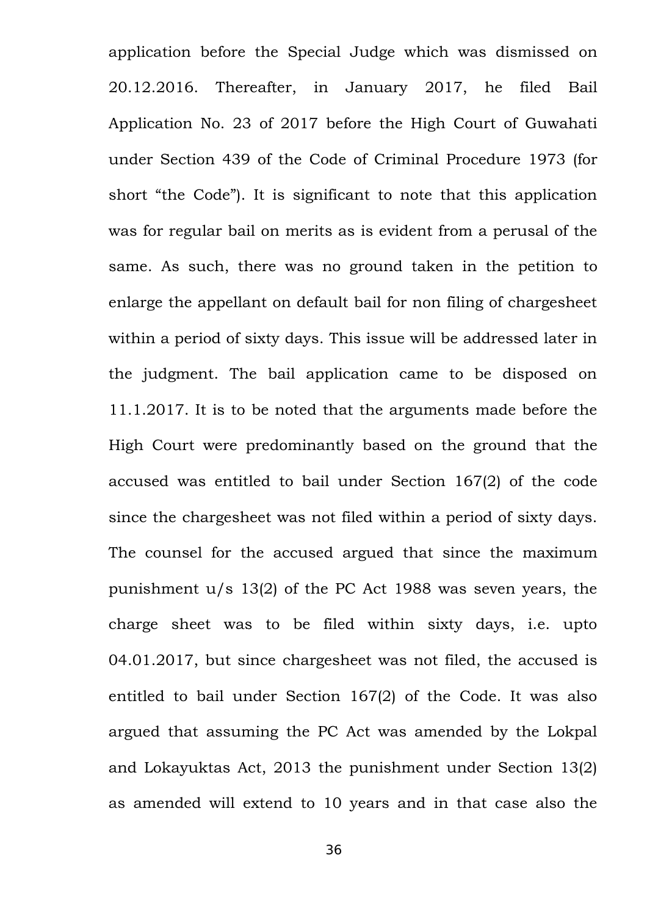application before the Special Judge which was dismissed on 20.12.2016. Thereafter, in January 2017, he filed Bail Application No. 23 of 2017 before the High Court of Guwahati under Section 439 of the Code of Criminal Procedure 1973 (for short "the Code"). It is significant to note that this application was for regular bail on merits as is evident from a perusal of the same. As such, there was no ground taken in the petition to enlarge the appellant on default bail for non filing of chargesheet within a period of sixty days. This issue will be addressed later in the judgment. The bail application came to be disposed on 11.1.2017. It is to be noted that the arguments made before the High Court were predominantly based on the ground that the accused was entitled to bail under Section 167(2) of the code since the chargesheet was not filed within a period of sixty days. The counsel for the accused argued that since the maximum punishment u/s 13(2) of the PC Act 1988 was seven years, the charge sheet was to be filed within sixty days, i.e. upto 04.01.2017, but since chargesheet was not filed, the accused is entitled to bail under Section 167(2) of the Code. It was also argued that assuming the PC Act was amended by the Lokpal and Lokayuktas Act, 2013 the punishment under Section 13(2) as amended will extend to 10 years and in that case also the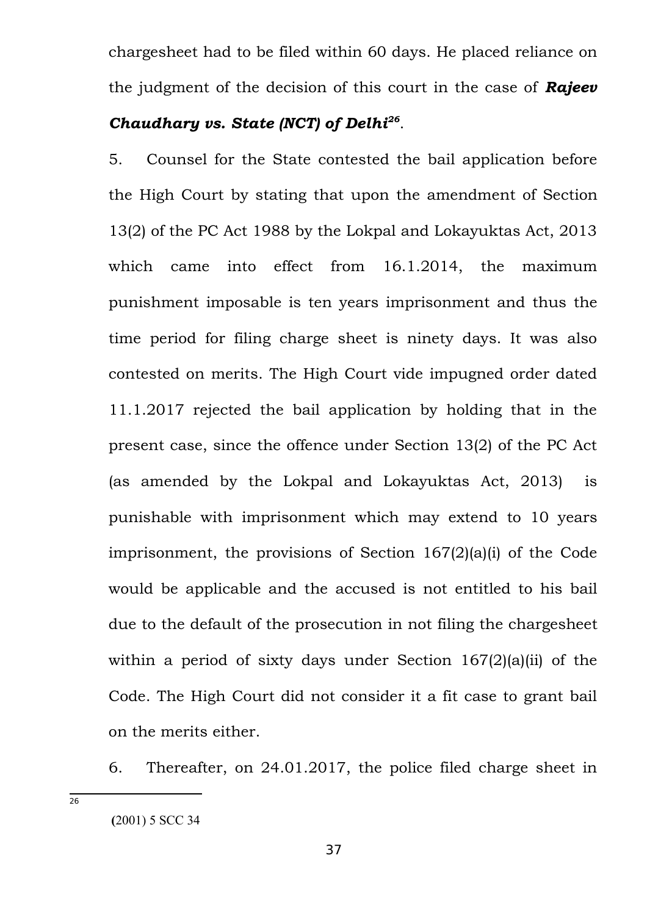chargesheet had to be filed within 60 days. He placed reliance on the judgment of the decision of this court in the case of *Rajeev Chaudhary vs. State (NCT) of Delhi[26](#page-36-0)* .

5. Counsel for the State contested the bail application before the High Court by stating that upon the amendment of Section 13(2) of the PC Act 1988 by the Lokpal and Lokayuktas Act, 2013 which came into effect from 16.1.2014, the maximum punishment imposable is ten years imprisonment and thus the time period for filing charge sheet is ninety days. It was also contested on merits. The High Court vide impugned order dated 11.1.2017 rejected the bail application by holding that in the present case, since the offence under Section 13(2) of the PC Act (as amended by the Lokpal and Lokayuktas Act, 2013) is punishable with imprisonment which may extend to 10 years imprisonment, the provisions of Section 167(2)(a)(i) of the Code would be applicable and the accused is not entitled to his bail due to the default of the prosecution in not filing the chargesheet within a period of sixty days under Section 167(2)(a)(ii) of the Code. The High Court did not consider it a fit case to grant bail on the merits either.

6. Thereafter, on 24.01.2017, the police filed charge sheet in

<span id="page-36-0"></span>**(**2001) 5 SCC 34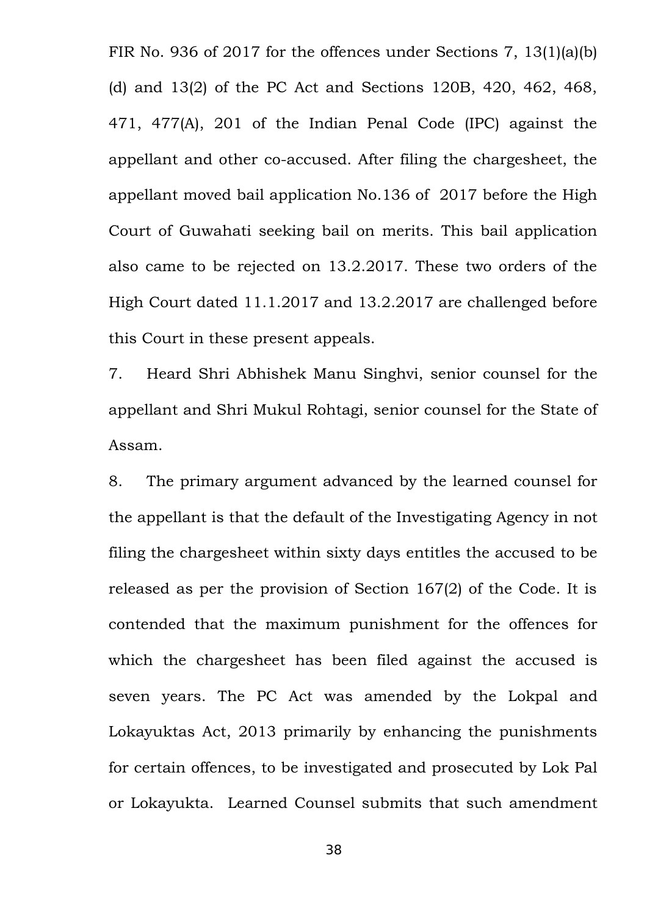FIR No. 936 of 2017 for the offences under Sections 7, 13(1)(a)(b) (d) and 13(2) of the PC Act and Sections 120B, 420, 462, 468, 471, 477(A), 201 of the Indian Penal Code (IPC) against the appellant and other co-accused. After filing the chargesheet, the appellant moved bail application No.136 of 2017 before the High Court of Guwahati seeking bail on merits. This bail application also came to be rejected on 13.2.2017. These two orders of the High Court dated 11.1.2017 and 13.2.2017 are challenged before this Court in these present appeals.

7. Heard Shri Abhishek Manu Singhvi, senior counsel for the appellant and Shri Mukul Rohtagi, senior counsel for the State of Assam.

8. The primary argument advanced by the learned counsel for the appellant is that the default of the Investigating Agency in not filing the chargesheet within sixty days entitles the accused to be released as per the provision of Section 167(2) of the Code. It is contended that the maximum punishment for the offences for which the chargesheet has been filed against the accused is seven years. The PC Act was amended by the Lokpal and Lokayuktas Act, 2013 primarily by enhancing the punishments for certain offences, to be investigated and prosecuted by Lok Pal or Lokayukta. Learned Counsel submits that such amendment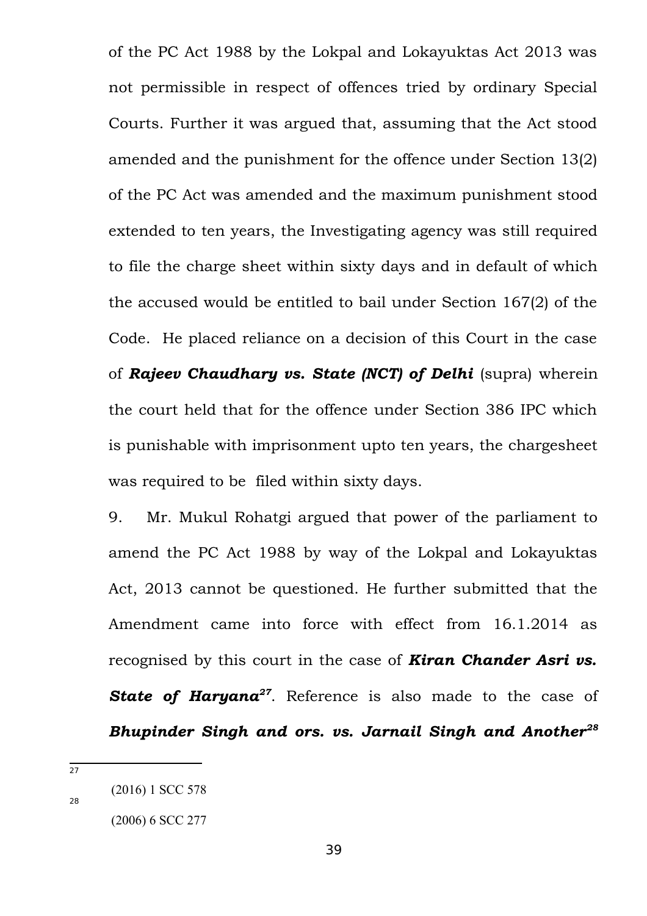of the PC Act 1988 by the Lokpal and Lokayuktas Act 2013 was not permissible in respect of offences tried by ordinary Special Courts. Further it was argued that, assuming that the Act stood amended and the punishment for the offence under Section 13(2) of the PC Act was amended and the maximum punishment stood extended to ten years, the Investigating agency was still required to file the charge sheet within sixty days and in default of which the accused would be entitled to bail under Section 167(2) of the Code. He placed reliance on a decision of this Court in the case of *Rajeev Chaudhary vs. State (NCT) of Delhi* (supra) wherein the court held that for the offence under Section 386 IPC which is punishable with imprisonment upto ten years, the chargesheet was required to be filed within sixty days.

9. Mr. Mukul Rohatgi argued that power of the parliament to amend the PC Act 1988 by way of the Lokpal and Lokayuktas Act, 2013 cannot be questioned. He further submitted that the Amendment came into force with effect from 16.1.2014 as recognised by this court in the case of *Kiran Chander Asri vs. State of Haryana[27](#page-38-0)*. Reference is also made to the case of *Bhupinder Singh and ors. vs. Jarnail Singh and Another[28](#page-38-1)*

<span id="page-38-0"></span><sup>27</sup>

<span id="page-38-1"></span> <sup>(2016) 1</sup> SCC 578

 <sup>(2006) 6</sup> SCC 277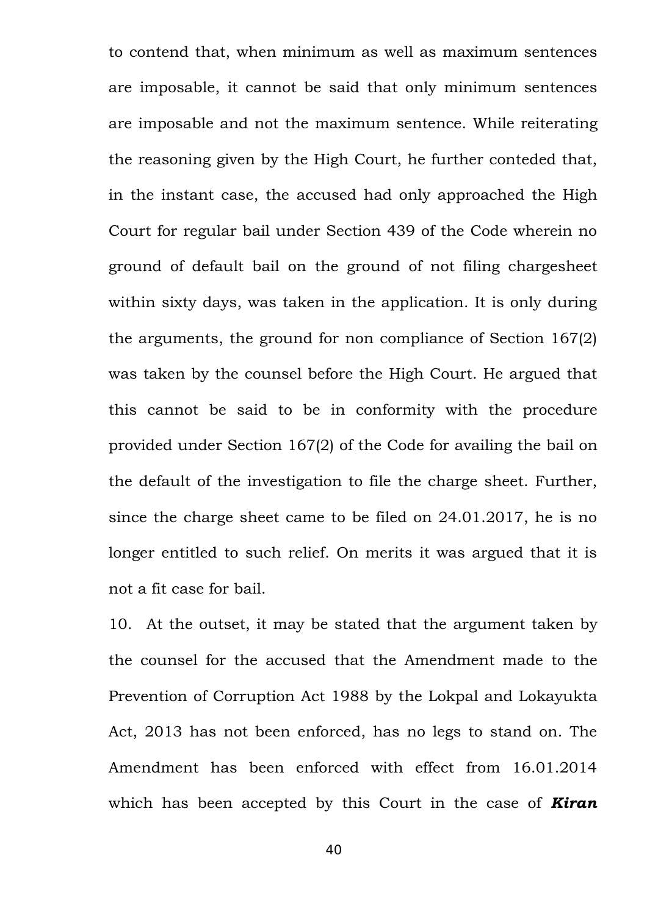to contend that, when minimum as well as maximum sentences are imposable, it cannot be said that only minimum sentences are imposable and not the maximum sentence. While reiterating the reasoning given by the High Court, he further conteded that, in the instant case, the accused had only approached the High Court for regular bail under Section 439 of the Code wherein no ground of default bail on the ground of not filing chargesheet within sixty days, was taken in the application. It is only during the arguments, the ground for non compliance of Section 167(2) was taken by the counsel before the High Court. He argued that this cannot be said to be in conformity with the procedure provided under Section 167(2) of the Code for availing the bail on the default of the investigation to file the charge sheet. Further, since the charge sheet came to be filed on 24.01.2017, he is no longer entitled to such relief. On merits it was argued that it is not a fit case for bail.

10. At the outset, it may be stated that the argument taken by the counsel for the accused that the Amendment made to the Prevention of Corruption Act 1988 by the Lokpal and Lokayukta Act, 2013 has not been enforced, has no legs to stand on. The Amendment has been enforced with effect from 16.01.2014 which has been accepted by this Court in the case of *Kiran*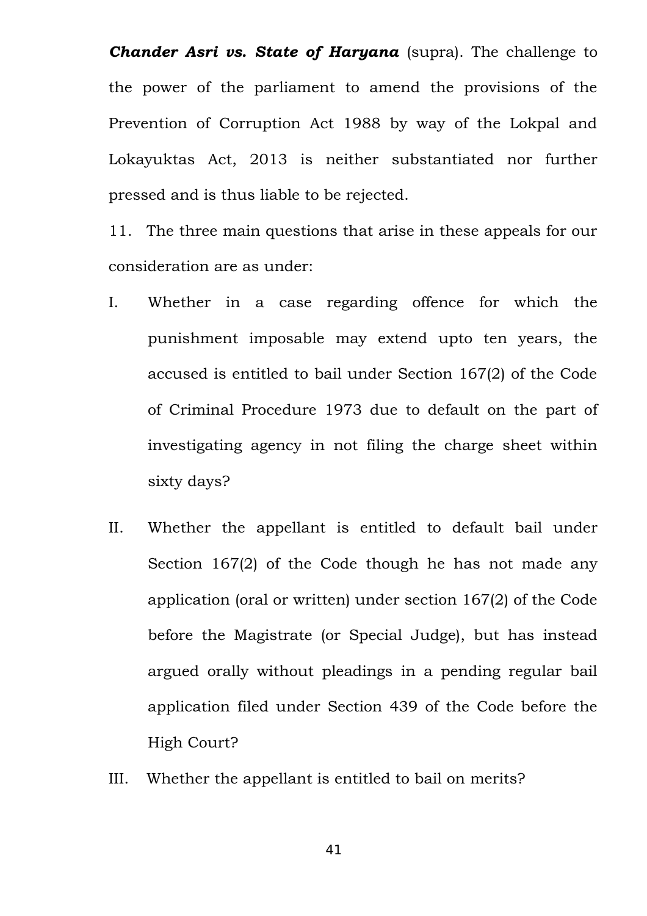*Chander Asri vs. State of Haryana* (supra). The challenge to the power of the parliament to amend the provisions of the Prevention of Corruption Act 1988 by way of the Lokpal and Lokayuktas Act, 2013 is neither substantiated nor further pressed and is thus liable to be rejected.

11. The three main questions that arise in these appeals for our consideration are as under:

- I. Whether in a case regarding offence for which the punishment imposable may extend upto ten years, the accused is entitled to bail under Section 167(2) of the Code of Criminal Procedure 1973 due to default on the part of investigating agency in not filing the charge sheet within sixty days?
- II. Whether the appellant is entitled to default bail under Section 167(2) of the Code though he has not made any application (oral or written) under section 167(2) of the Code before the Magistrate (or Special Judge), but has instead argued orally without pleadings in a pending regular bail application filed under Section 439 of the Code before the High Court?
- III. Whether the appellant is entitled to bail on merits?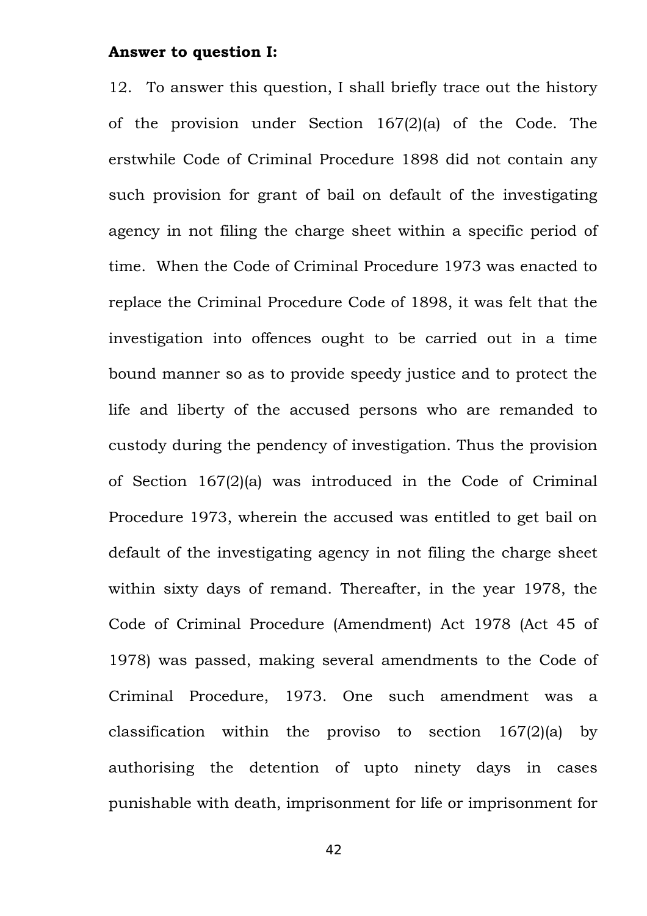#### **Answer to question I:**

12. To answer this question, I shall briefly trace out the history of the provision under Section 167(2)(a) of the Code. The erstwhile Code of Criminal Procedure 1898 did not contain any such provision for grant of bail on default of the investigating agency in not filing the charge sheet within a specific period of time. When the Code of Criminal Procedure 1973 was enacted to replace the Criminal Procedure Code of 1898, it was felt that the investigation into offences ought to be carried out in a time bound manner so as to provide speedy justice and to protect the life and liberty of the accused persons who are remanded to custody during the pendency of investigation. Thus the provision of Section 167(2)(a) was introduced in the Code of Criminal Procedure 1973, wherein the accused was entitled to get bail on default of the investigating agency in not filing the charge sheet within sixty days of remand. Thereafter, in the year 1978, the Code of Criminal Procedure (Amendment) Act 1978 (Act 45 of 1978) was passed, making several amendments to the Code of Criminal Procedure, 1973. One such amendment was a classification within the proviso to section 167(2)(a) by authorising the detention of upto ninety days in cases punishable with death, imprisonment for life or imprisonment for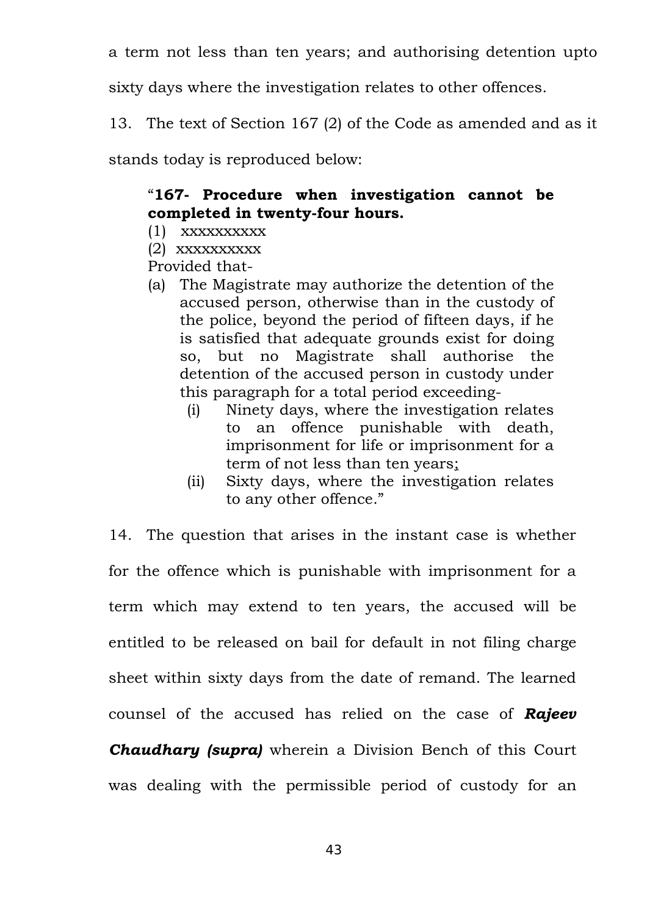a term not less than ten years; and authorising detention upto

sixty days where the investigation relates to other offences.

13. The text of Section 167 (2) of the Code as amended and as it

stands today is reproduced below:

# "**167- Procedure when investigation cannot be completed in twenty-four hours.**

- (1) xxxxxxxxxx
- (2) xxxxxxxxxx

Provided that-

- (a) The Magistrate may authorize the detention of the accused person, otherwise than in the custody of the police, beyond the period of fifteen days, if he is satisfied that adequate grounds exist for doing so, but no Magistrate shall authorise the detention of the accused person in custody under this paragraph for a total period exceeding-
	- (i) Ninety days, where the investigation relates to an offence punishable with death, imprisonment for life or imprisonment for a term of not less than ten years;
	- (ii) Sixty days, where the investigation relates to any other offence."

14. The question that arises in the instant case is whether for the offence which is punishable with imprisonment for a term which may extend to ten years, the accused will be entitled to be released on bail for default in not filing charge sheet within sixty days from the date of remand. The learned counsel of the accused has relied on the case of *Rajeev Chaudhary (supra)* wherein a Division Bench of this Court

was dealing with the permissible period of custody for an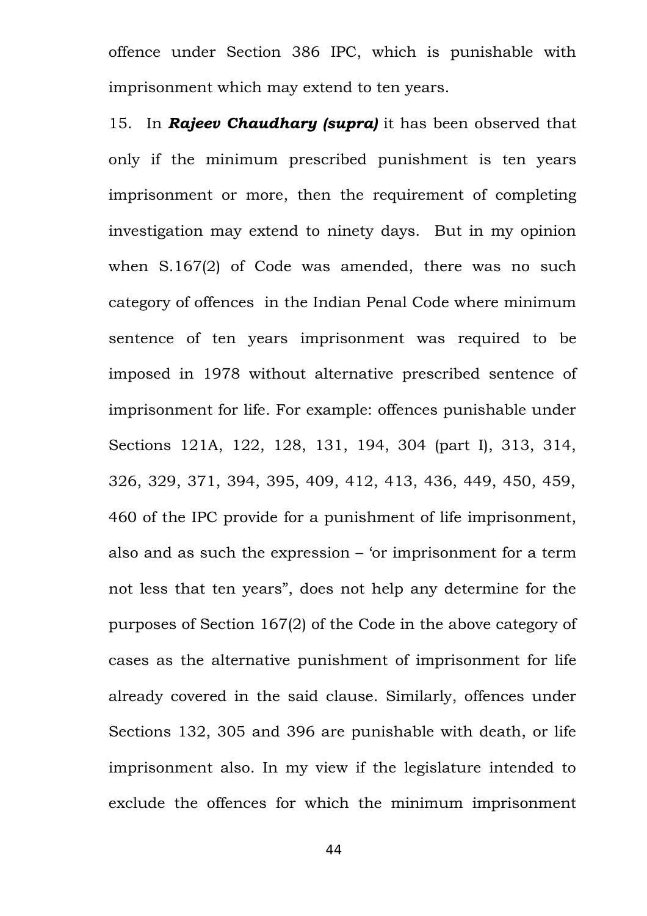offence under Section 386 IPC, which is punishable with imprisonment which may extend to ten years.

15. In *Rajeev Chaudhary (supra)* it has been observed that only if the minimum prescribed punishment is ten years imprisonment or more, then the requirement of completing investigation may extend to ninety days. But in my opinion when S.167(2) of Code was amended, there was no such category of offences in the Indian Penal Code where minimum sentence of ten years imprisonment was required to be imposed in 1978 without alternative prescribed sentence of imprisonment for life. For example: offences punishable under Sections 121A, 122, 128, 131, 194, 304 (part I), 313, 314, 326, 329, 371, 394, 395, 409, 412, 413, 436, 449, 450, 459, 460 of the IPC provide for a punishment of life imprisonment, also and as such the expression – 'or imprisonment for a term not less that ten years", does not help any determine for the purposes of Section 167(2) of the Code in the above category of cases as the alternative punishment of imprisonment for life already covered in the said clause. Similarly, offences under Sections 132, 305 and 396 are punishable with death, or life imprisonment also. In my view if the legislature intended to exclude the offences for which the minimum imprisonment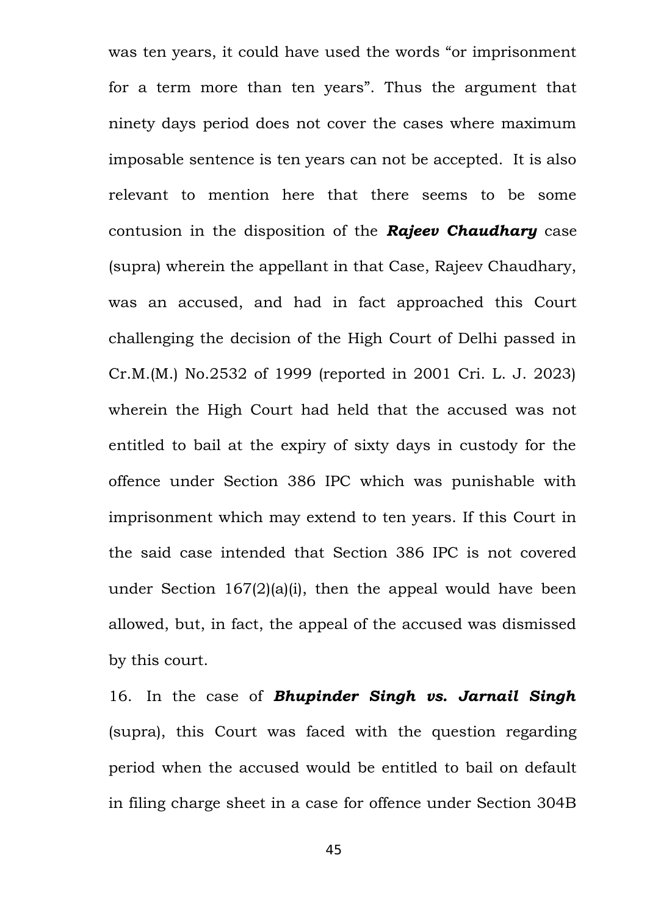was ten years, it could have used the words "or imprisonment for a term more than ten years". Thus the argument that ninety days period does not cover the cases where maximum imposable sentence is ten years can not be accepted. It is also relevant to mention here that there seems to be some contusion in the disposition of the *Rajeev Chaudhary* case (supra) wherein the appellant in that Case, Rajeev Chaudhary, was an accused, and had in fact approached this Court challenging the decision of the High Court of Delhi passed in Cr.M.(M.) No.2532 of 1999 (reported in 2001 Cri. L. J. 2023) wherein the High Court had held that the accused was not entitled to bail at the expiry of sixty days in custody for the offence under Section 386 IPC which was punishable with imprisonment which may extend to ten years. If this Court in the said case intended that Section 386 IPC is not covered under Section 167(2)(a)(i), then the appeal would have been allowed, but, in fact, the appeal of the accused was dismissed by this court.

16. In the case of *Bhupinder Singh vs. Jarnail Singh* (supra), this Court was faced with the question regarding period when the accused would be entitled to bail on default in filing charge sheet in a case for offence under Section 304B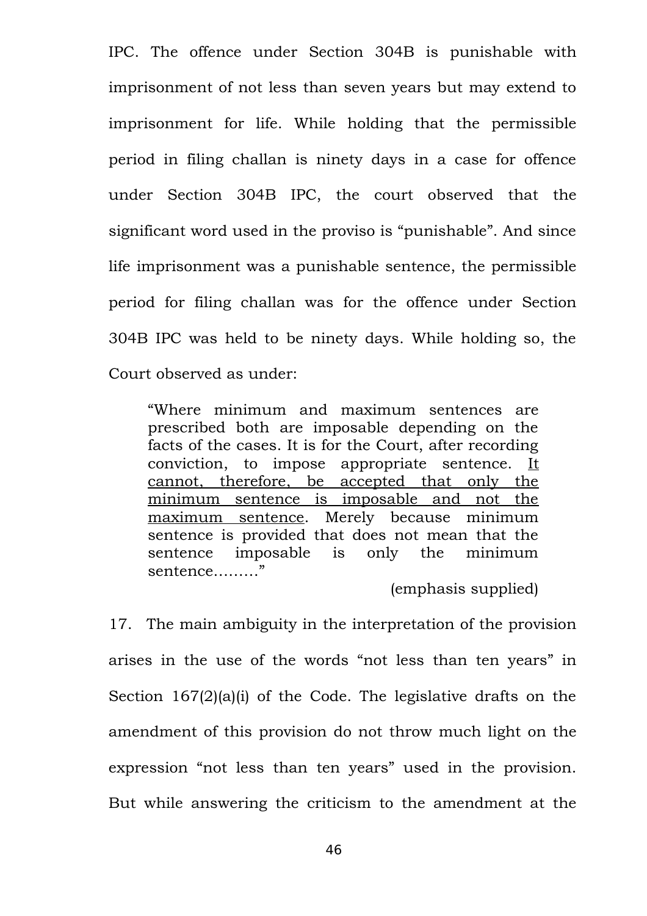IPC. The offence under Section 304B is punishable with imprisonment of not less than seven years but may extend to imprisonment for life. While holding that the permissible period in filing challan is ninety days in a case for offence under Section 304B IPC, the court observed that the significant word used in the proviso is "punishable". And since life imprisonment was a punishable sentence, the permissible period for filing challan was for the offence under Section 304B IPC was held to be ninety days. While holding so, the Court observed as under:

"Where minimum and maximum sentences are prescribed both are imposable depending on the facts of the cases. It is for the Court, after recording conviction, to impose appropriate sentence. It cannot, therefore, be accepted that only the minimum sentence is imposable and not the maximum sentence. Merely because minimum sentence is provided that does not mean that the sentence imposable is only the minimum sentence………"

(emphasis supplied)

17. The main ambiguity in the interpretation of the provision arises in the use of the words "not less than ten years" in Section 167(2)(a)(i) of the Code. The legislative drafts on the amendment of this provision do not throw much light on the expression "not less than ten years" used in the provision. But while answering the criticism to the amendment at the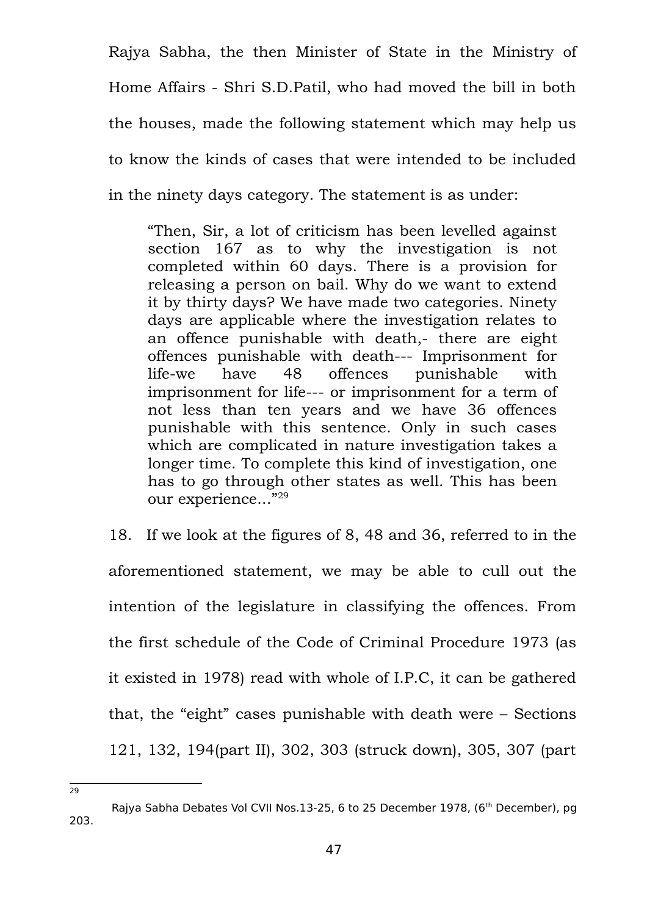Rajya Sabha, the then Minister of State in the Ministry of Home Affairs - Shri S.D.Patil, who had moved the bill in both the houses, made the following statement which may help us to know the kinds of cases that were intended to be included in the ninety days category. The statement is as under:

"Then, Sir, a lot of criticism has been levelled against section 167 as to why the investigation is not completed within 60 days. There is a provision for releasing a person on bail. Why do we want to extend it by thirty days? We have made two categories. Ninety days are applicable where the investigation relates to an offence punishable with death,- there are eight offences punishable with death--- Imprisonment for life-we have 48 offences punishable with imprisonment for life--- or imprisonment for a term of not less than ten years and we have 36 offences punishable with this sentence. Only in such cases which are complicated in nature investigation takes a longer time. To complete this kind of investigation, one has to go through other states as well. This has been our experience..."<sup>[29](#page-46-0)</sup>

18. If we look at the figures of 8, 48 and 36, referred to in the aforementioned statement, we may be able to cull out the intention of the legislature in classifying the offences. From the first schedule of the Code of Criminal Procedure 1973 (as it existed in 1978) read with whole of I.P.C, it can be gathered that, the "eight" cases punishable with death were – Sections 121, 132, 194(part II), 302, 303 (struck down), 305, 307 (part

<span id="page-46-0"></span>Rajya Sabha Debates Vol CVII Nos.13-25, 6 to 25 December 1978, (6<sup>th</sup> December), pg 203.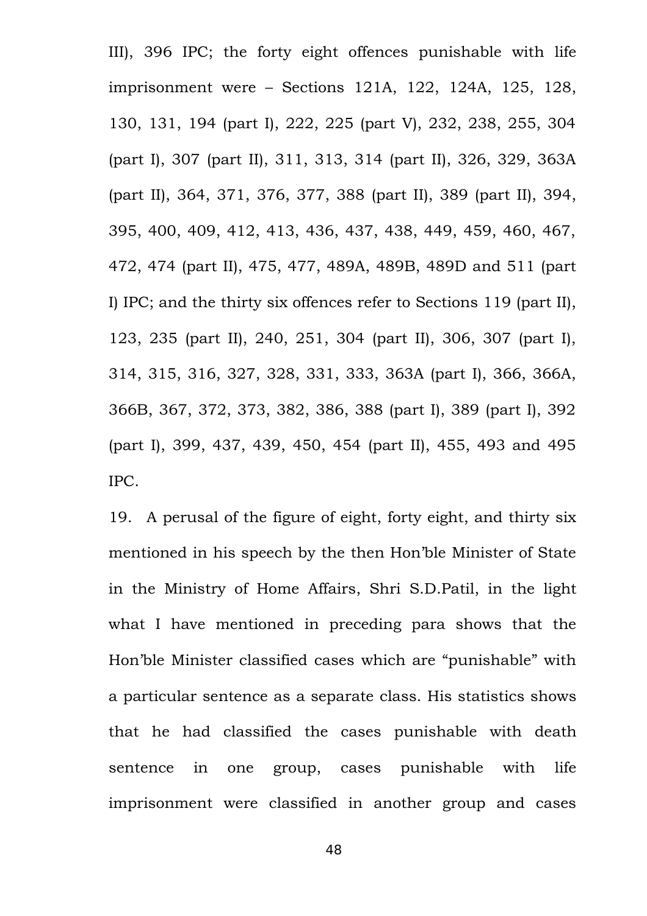III), 396 IPC; the forty eight offences punishable with life imprisonment were – Sections 121A, 122, 124A, 125, 128, 130, 131, 194 (part I), 222, 225 (part V), 232, 238, 255, 304 (part I), 307 (part II), 311, 313, 314 (part II), 326, 329, 363A (part II), 364, 371, 376, 377, 388 (part II), 389 (part II), 394, 395, 400, 409, 412, 413, 436, 437, 438, 449, 459, 460, 467, 472, 474 (part II), 475, 477, 489A, 489B, 489D and 511 (part I) IPC; and the thirty six offences refer to Sections 119 (part II), 123, 235 (part II), 240, 251, 304 (part II), 306, 307 (part I), 314, 315, 316, 327, 328, 331, 333, 363A (part I), 366, 366A, 366B, 367, 372, 373, 382, 386, 388 (part I), 389 (part I), 392 (part I), 399, 437, 439, 450, 454 (part II), 455, 493 and 495 IPC.

19. A perusal of the figure of eight, forty eight, and thirty six mentioned in his speech by the then Hon'ble Minister of State in the Ministry of Home Affairs, Shri S.D.Patil, in the light what I have mentioned in preceding para shows that the Hon'ble Minister classified cases which are "punishable" with a particular sentence as a separate class. His statistics shows that he had classified the cases punishable with death sentence in one group, cases punishable with life imprisonment were classified in another group and cases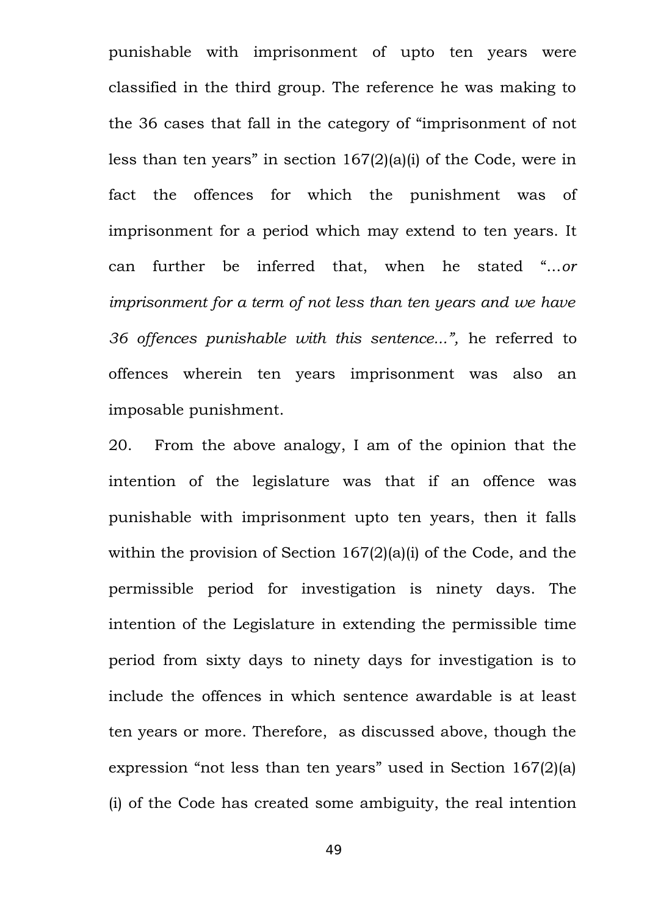punishable with imprisonment of upto ten years were classified in the third group. The reference he was making to the 36 cases that fall in the category of "imprisonment of not less than ten years" in section 167(2)(a)(i) of the Code, were in fact the offences for which the punishment was of imprisonment for a period which may extend to ten years. It can further be inferred that, when he stated "...*or imprisonment for a term of not less than ten years and we have 36 offences punishable with this sentence...",* he referred to offences wherein ten years imprisonment was also an imposable punishment.

20. From the above analogy, I am of the opinion that the intention of the legislature was that if an offence was punishable with imprisonment upto ten years, then it falls within the provision of Section 167(2)(a)(i) of the Code, and the permissible period for investigation is ninety days. The intention of the Legislature in extending the permissible time period from sixty days to ninety days for investigation is to include the offences in which sentence awardable is at least ten years or more. Therefore, as discussed above, though the expression "not less than ten years" used in Section 167(2)(a) (i) of the Code has created some ambiguity, the real intention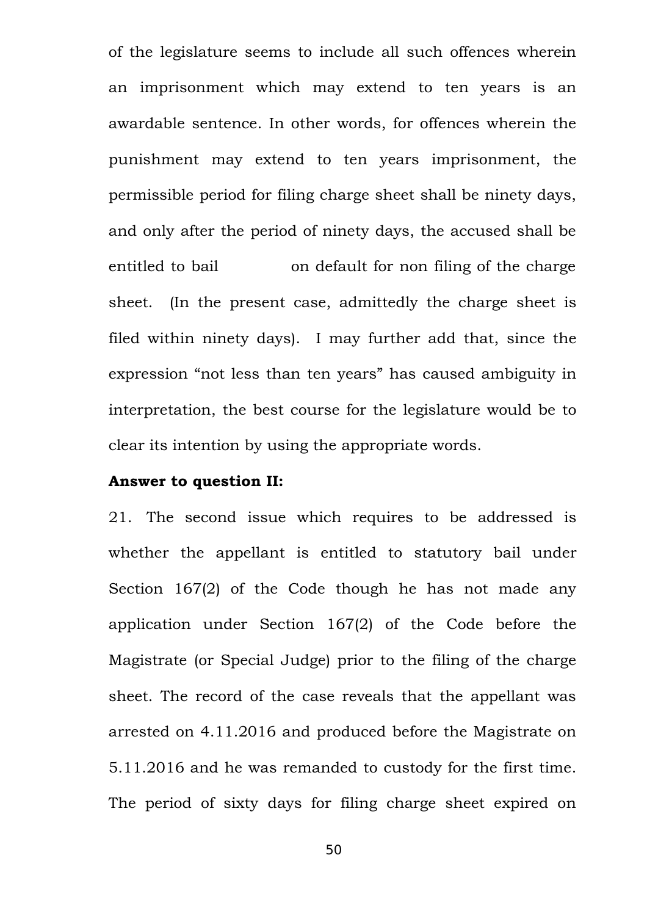of the legislature seems to include all such offences wherein an imprisonment which may extend to ten years is an awardable sentence. In other words, for offences wherein the punishment may extend to ten years imprisonment, the permissible period for filing charge sheet shall be ninety days, and only after the period of ninety days, the accused shall be entitled to bail on default for non filing of the charge sheet. (In the present case, admittedly the charge sheet is filed within ninety days). I may further add that, since the expression "not less than ten years" has caused ambiguity in interpretation, the best course for the legislature would be to clear its intention by using the appropriate words.

#### **Answer to question II:**

21. The second issue which requires to be addressed is whether the appellant is entitled to statutory bail under Section 167(2) of the Code though he has not made any application under Section 167(2) of the Code before the Magistrate (or Special Judge) prior to the filing of the charge sheet. The record of the case reveals that the appellant was arrested on 4.11.2016 and produced before the Magistrate on 5.11.2016 and he was remanded to custody for the first time. The period of sixty days for filing charge sheet expired on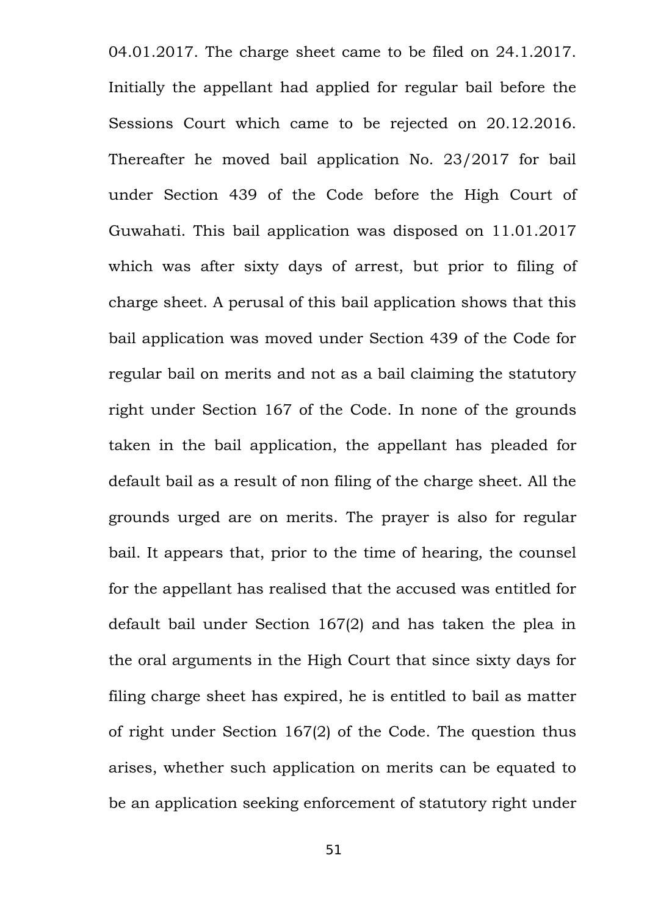04.01.2017. The charge sheet came to be filed on 24.1.2017. Initially the appellant had applied for regular bail before the Sessions Court which came to be rejected on 20.12.2016. Thereafter he moved bail application No. 23/2017 for bail under Section 439 of the Code before the High Court of Guwahati. This bail application was disposed on 11.01.2017 which was after sixty days of arrest, but prior to filing of charge sheet. A perusal of this bail application shows that this bail application was moved under Section 439 of the Code for regular bail on merits and not as a bail claiming the statutory right under Section 167 of the Code. In none of the grounds taken in the bail application, the appellant has pleaded for default bail as a result of non filing of the charge sheet. All the grounds urged are on merits. The prayer is also for regular bail. It appears that, prior to the time of hearing, the counsel for the appellant has realised that the accused was entitled for default bail under Section 167(2) and has taken the plea in the oral arguments in the High Court that since sixty days for filing charge sheet has expired, he is entitled to bail as matter of right under Section 167(2) of the Code. The question thus arises, whether such application on merits can be equated to be an application seeking enforcement of statutory right under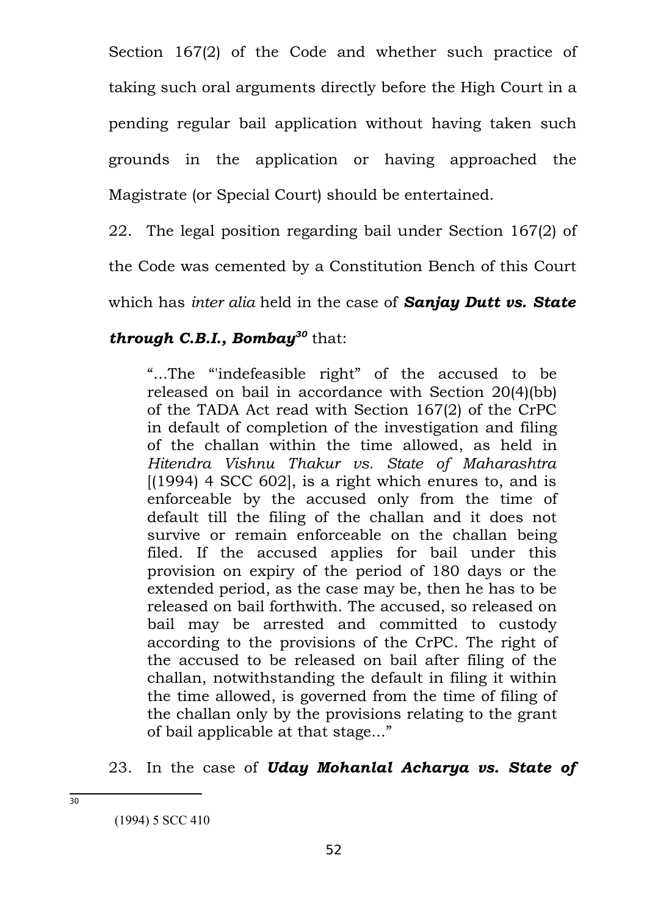Section 167(2) of the Code and whether such practice of taking such oral arguments directly before the High Court in a pending regular bail application without having taken such grounds in the application or having approached the Magistrate (or Special Court) should be entertained.

22. The legal position regarding bail under Section 167(2) of

the Code was cemented by a Constitution Bench of this Court

which has *inter alia* held in the case of *Sanjay Dutt vs. State*

# *through C.B.I., Bombay[30](#page-51-0)* that:

"...The "'indefeasible right" of the accused to be released on bail in accordance with Section 20(4)(bb) of the TADA Act read with Section 167(2) of the CrPC in default of completion of the investigation and filing of the challan within the time allowed, as held in *Hitendra Vishnu Thakur vs. State of Maharashtra*  $(1994)$  4 SCC 602, is a right which enures to, and is enforceable by the accused only from the time of default till the filing of the challan and it does not survive or remain enforceable on the challan being filed. If the accused applies for bail under this provision on expiry of the period of 180 days or the extended period, as the case may be, then he has to be released on bail forthwith. The accused, so released on bail may be arrested and committed to custody according to the provisions of the CrPC. The right of the accused to be released on bail after filing of the challan, notwithstanding the default in filing it within the time allowed, is governed from the time of filing of the challan only by the provisions relating to the grant of bail applicable at that stage..."

23. In the case of *Uday Mohanlal Acharya vs. State of*

<span id="page-51-0"></span><sup>(1994) 5</sup> SCC 410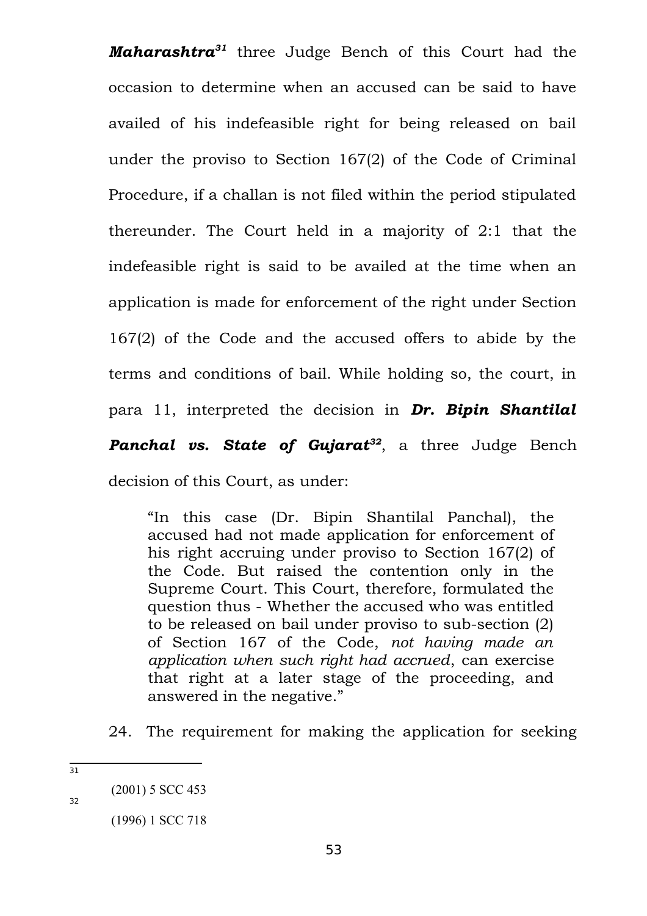*Maharashtra[31](#page-52-0)* three Judge Bench of this Court had the occasion to determine when an accused can be said to have availed of his indefeasible right for being released on bail under the proviso to Section 167(2) of the Code of Criminal Procedure, if a challan is not filed within the period stipulated thereunder. The Court held in a majority of 2:1 that the indefeasible right is said to be availed at the time when an application is made for enforcement of the right under Section 167(2) of the Code and the accused offers to abide by the terms and conditions of bail. While holding so, the court, in para 11, interpreted the decision in *Dr. Bipin Shantilal Panchal vs. State of Gujarat[32](#page-52-1)*, a three Judge Bench decision of this Court, as under:

"In this case (Dr. Bipin Shantilal Panchal), the accused had not made application for enforcement of his right accruing under proviso to Section 167(2) of the Code. But raised the contention only in the Supreme Court. This Court, therefore, formulated the question thus - Whether the accused who was entitled to be released on bail under proviso to sub-section (2) of Section 167 of the Code, *not having made an application when such right had accrued*, can exercise that right at a later stage of the proceeding, and answered in the negative."

24. The requirement for making the application for seeking

<span id="page-52-0"></span>31

<span id="page-52-1"></span> <sup>(2001) 5</sup> SCC 453

 <sup>(1996) 1</sup> SCC 718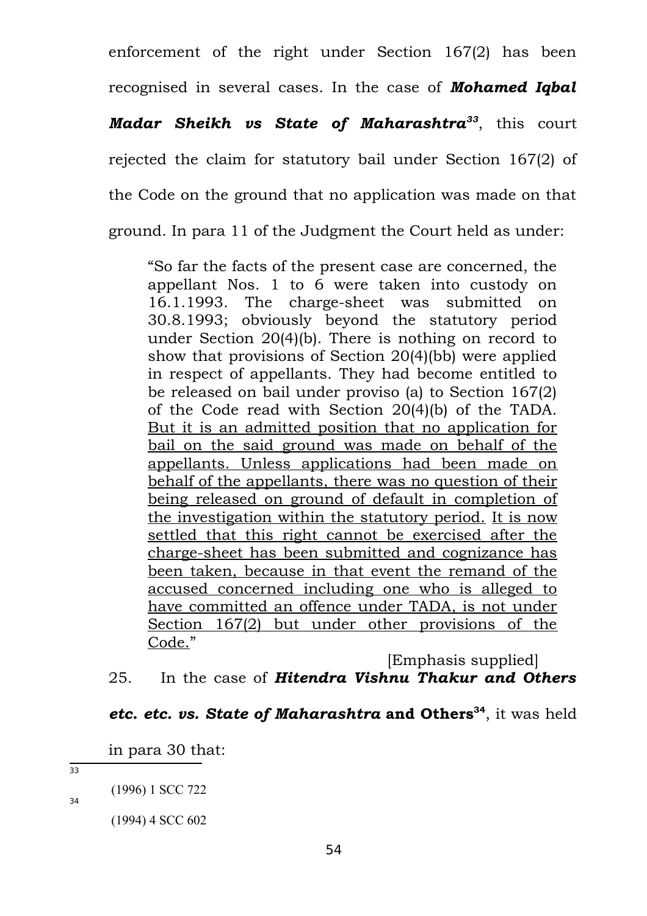enforcement of the right under Section 167(2) has been recognised in several cases. In the case of *Mohamed Iqbal Madar Sheikh vs State of Maharashtra[33](#page-53-0)*, this court rejected the claim for statutory bail under Section 167(2) of the Code on the ground that no application was made on that ground. In para 11 of the Judgment the Court held as under:

"So far the facts of the present case are concerned, the appellant Nos. 1 to 6 were taken into custody on 16.1.1993. The charge-sheet was submitted on 30.8.1993; obviously beyond the statutory period under Section 20(4)(b). There is nothing on record to show that provisions of Section 20(4)(bb) were applied in respect of appellants. They had become entitled to be released on bail under proviso (a) to Section 167(2) of the Code read with Section 20(4)(b) of the TADA. But it is an admitted position that no application for bail on the said ground was made on behalf of the appellants. Unless applications had been made on behalf of the appellants, there was no question of their being released on ground of default in completion of the investigation within the statutory period. It is now settled that this right cannot be exercised after the charge-sheet has been submitted and cognizance has been taken, because in that event the remand of the accused concerned including one who is alleged to have committed an offence under TADA, is not under Section 167(2) but under other provisions of the Code."

[Emphasis supplied] 25. In the case of *Hitendra Vishnu Thakur and Others*

# *etc. etc. vs. State of Maharashtra* **and Others[34](#page-53-1)**, it was held

in para 30 that:

<span id="page-53-0"></span>33

<span id="page-53-1"></span> <sup>(1996) 1</sup> SCC 722

 <sup>(1994) 4</sup> SCC 602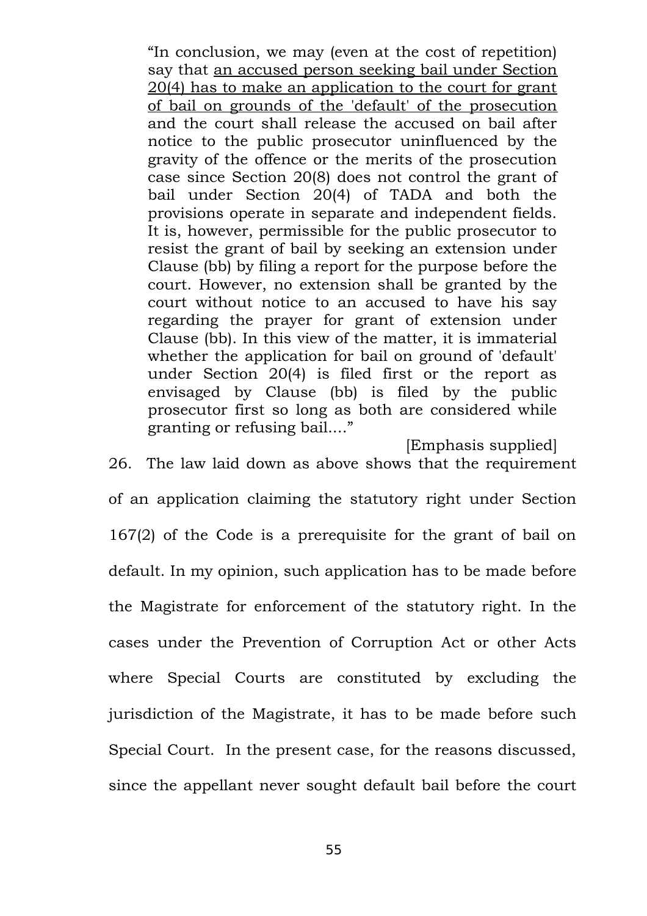"In conclusion, we may (even at the cost of repetition) say that an accused person seeking bail under Section 20(4) has to make an application to the court for grant of bail on grounds of the 'default' of the prosecution and the court shall release the accused on bail after notice to the public prosecutor uninfluenced by the gravity of the offence or the merits of the prosecution case since Section 20(8) does not control the grant of bail under Section 20(4) of TADA and both the provisions operate in separate and independent fields. It is, however, permissible for the public prosecutor to resist the grant of bail by seeking an extension under Clause (bb) by filing a report for the purpose before the court. However, no extension shall be granted by the court without notice to an accused to have his say regarding the prayer for grant of extension under Clause (bb). In this view of the matter, it is immaterial whether the application for bail on ground of 'default' under Section 20(4) is filed first or the report as envisaged by Clause (bb) is filed by the public prosecutor first so long as both are considered while granting or refusing bail...."

[Emphasis supplied]

26. The law laid down as above shows that the requirement of an application claiming the statutory right under Section 167(2) of the Code is a prerequisite for the grant of bail on default. In my opinion, such application has to be made before the Magistrate for enforcement of the statutory right. In the cases under the Prevention of Corruption Act or other Acts where Special Courts are constituted by excluding the jurisdiction of the Magistrate, it has to be made before such Special Court. In the present case, for the reasons discussed, since the appellant never sought default bail before the court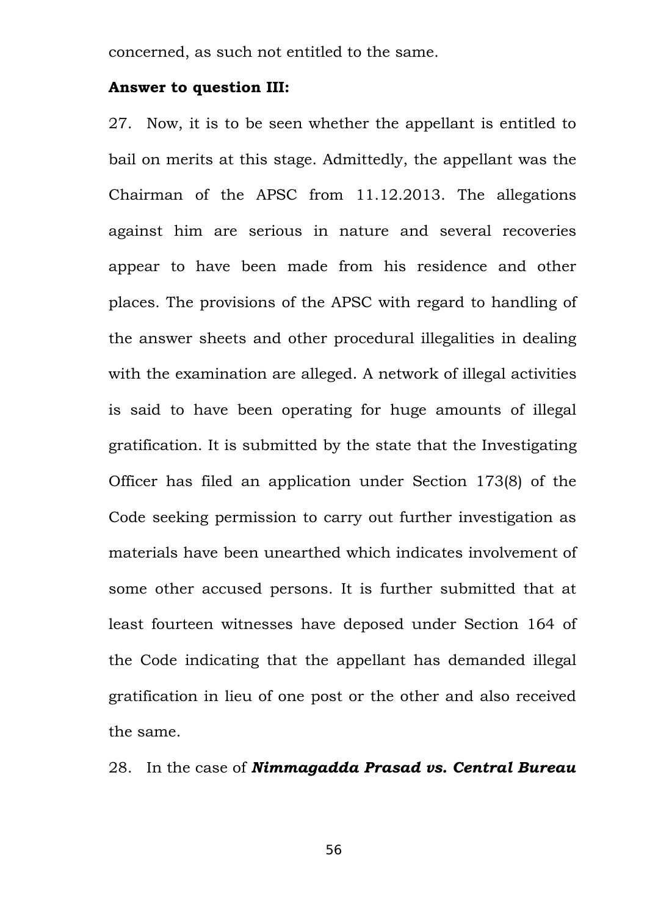concerned, as such not entitled to the same.

#### **Answer to question III:**

27. Now, it is to be seen whether the appellant is entitled to bail on merits at this stage. Admittedly, the appellant was the Chairman of the APSC from 11.12.2013. The allegations against him are serious in nature and several recoveries appear to have been made from his residence and other places. The provisions of the APSC with regard to handling of the answer sheets and other procedural illegalities in dealing with the examination are alleged. A network of illegal activities is said to have been operating for huge amounts of illegal gratification. It is submitted by the state that the Investigating Officer has filed an application under Section 173(8) of the Code seeking permission to carry out further investigation as materials have been unearthed which indicates involvement of some other accused persons. It is further submitted that at least fourteen witnesses have deposed under Section 164 of the Code indicating that the appellant has demanded illegal gratification in lieu of one post or the other and also received the same.

28. In the case of *Nimmagadda Prasad vs. Central Bureau*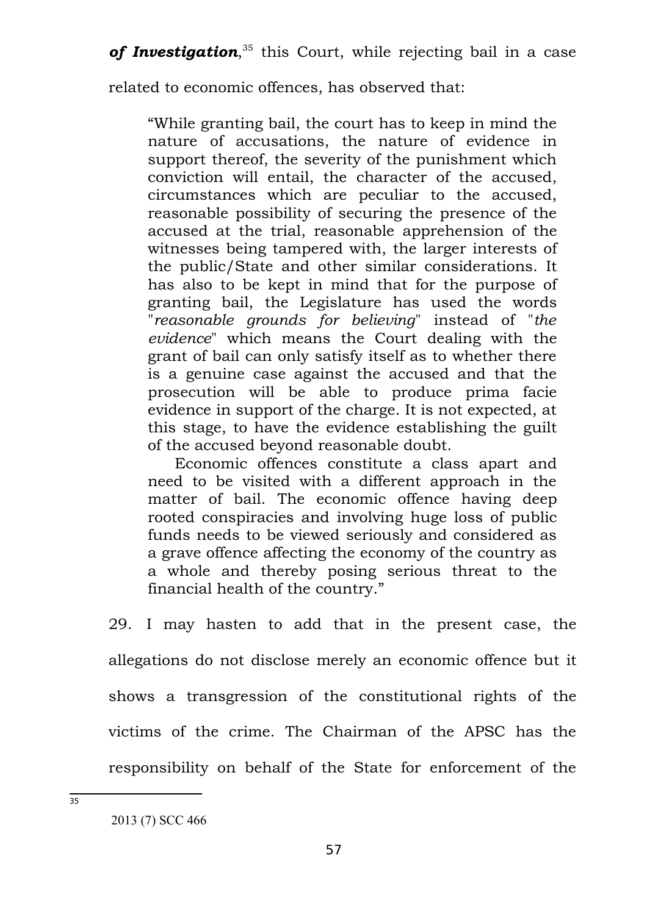of Investigation,<sup>[35](#page-56-0)</sup> this Court, while rejecting bail in a case

related to economic offences, has observed that:

"While granting bail, the court has to keep in mind the nature of accusations, the nature of evidence in support thereof, the severity of the punishment which conviction will entail, the character of the accused, circumstances which are peculiar to the accused, reasonable possibility of securing the presence of the accused at the trial, reasonable apprehension of the witnesses being tampered with, the larger interests of the public/State and other similar considerations. It has also to be kept in mind that for the purpose of granting bail, the Legislature has used the words "*reasonable grounds for believing*" instead of "*the evidence*" which means the Court dealing with the grant of bail can only satisfy itself as to whether there is a genuine case against the accused and that the prosecution will be able to produce prima facie evidence in support of the charge. It is not expected, at this stage, to have the evidence establishing the guilt of the accused beyond reasonable doubt.

Economic offences constitute a class apart and need to be visited with a different approach in the matter of bail. The economic offence having deep rooted conspiracies and involving huge loss of public funds needs to be viewed seriously and considered as a grave offence affecting the economy of the country as a whole and thereby posing serious threat to the financial health of the country."

29. I may hasten to add that in the present case, the allegations do not disclose merely an economic offence but it shows a transgression of the constitutional rights of the victims of the crime. The Chairman of the APSC has the responsibility on behalf of the State for enforcement of the

<span id="page-56-0"></span> <sup>2013 (7)</sup> SCC 466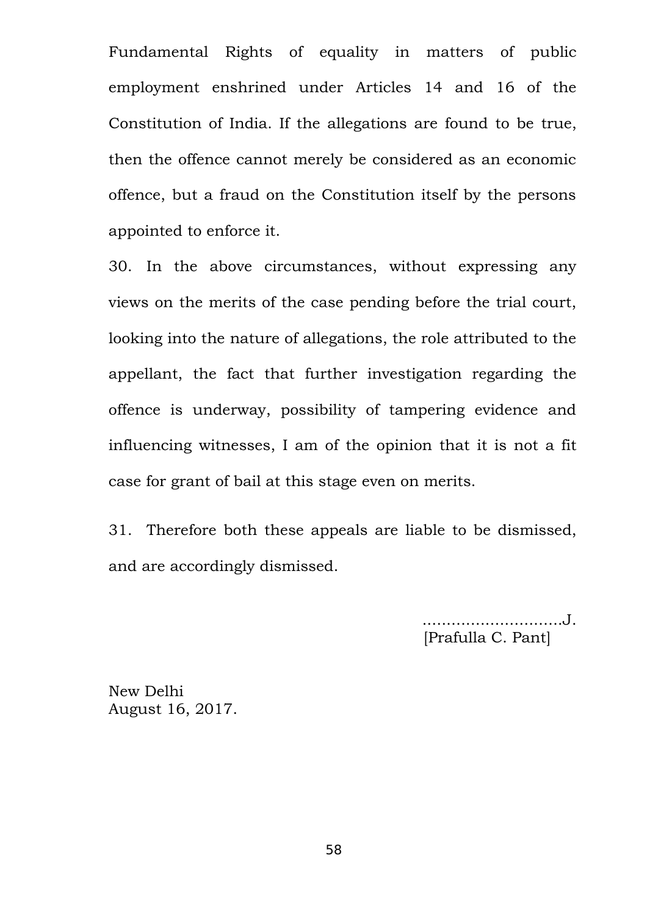Fundamental Rights of equality in matters of public employment enshrined under Articles 14 and 16 of the Constitution of India. If the allegations are found to be true, then the offence cannot merely be considered as an economic offence, but a fraud on the Constitution itself by the persons appointed to enforce it.

30. In the above circumstances, without expressing any views on the merits of the case pending before the trial court, looking into the nature of allegations, the role attributed to the appellant, the fact that further investigation regarding the offence is underway, possibility of tampering evidence and influencing witnesses, I am of the opinion that it is not a fit case for grant of bail at this stage even on merits.

31. Therefore both these appeals are liable to be dismissed, and are accordingly dismissed.

> .............................J. [Prafulla C. Pant]

New Delhi August 16, 2017.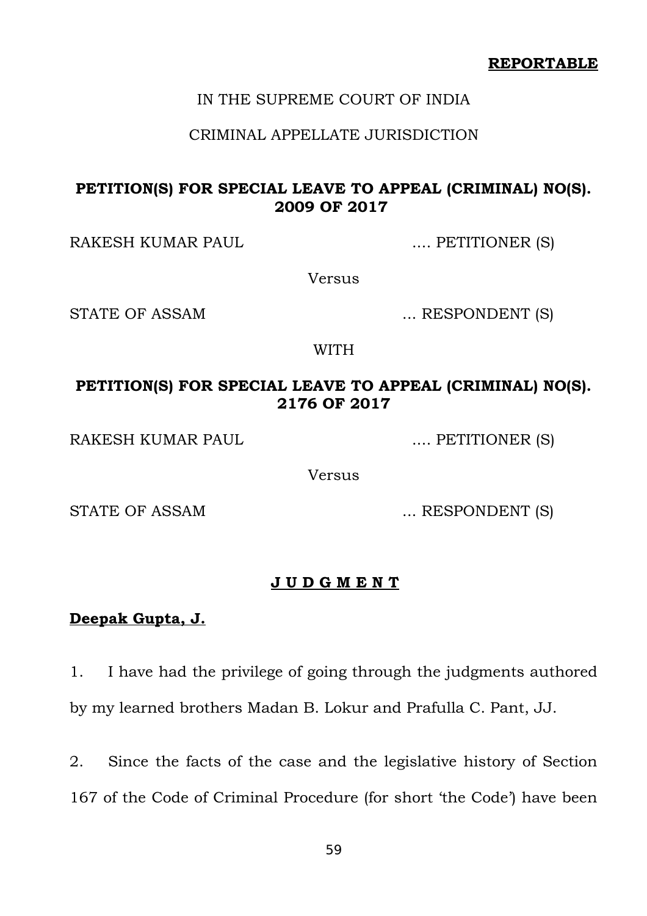### IN THE SUPREME COURT OF INDIA

### CRIMINAL APPELLATE JURISDICTION

# **PETITION(S) FOR SPECIAL LEAVE TO APPEAL (CRIMINAL) NO(S). 2009 OF 2017**

RAKESH KUMAR PAUL .... PETITIONER (S)

Versus

STATE OF ASSAM ... RESPONDENT (S)

WITH

# **PETITION(S) FOR SPECIAL LEAVE TO APPEAL (CRIMINAL) NO(S). 2176 OF 2017**

RAKESH KUMAR PAUL .... PETITIONER (S)

Versus

STATE OF ASSAM ... RESPONDENT (S)

#### **J U D G M E N T**

# **Deepak Gupta, J.**

1. I have had the privilege of going through the judgments authored by my learned brothers Madan B. Lokur and Prafulla C. Pant, JJ.

2. Since the facts of the case and the legislative history of Section 167 of the Code of Criminal Procedure (for short 'the Code') have been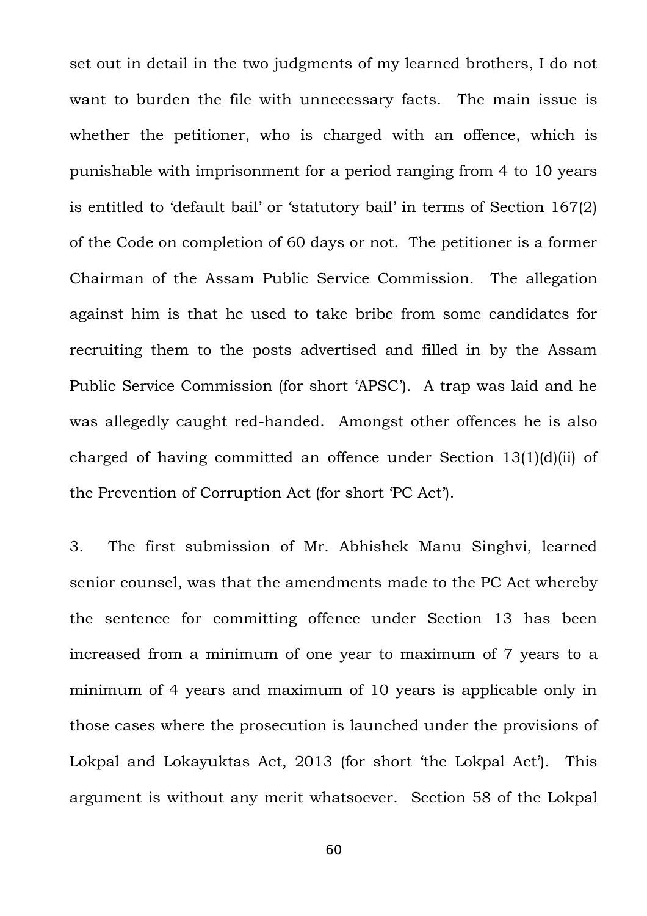set out in detail in the two judgments of my learned brothers, I do not want to burden the file with unnecessary facts. The main issue is whether the petitioner, who is charged with an offence, which is punishable with imprisonment for a period ranging from 4 to 10 years is entitled to 'default bail' or 'statutory bail' in terms of Section 167(2) of the Code on completion of 60 days or not. The petitioner is a former Chairman of the Assam Public Service Commission. The allegation against him is that he used to take bribe from some candidates for recruiting them to the posts advertised and filled in by the Assam Public Service Commission (for short 'APSC'). A trap was laid and he was allegedly caught red-handed. Amongst other offences he is also charged of having committed an offence under Section 13(1)(d)(ii) of the Prevention of Corruption Act (for short 'PC Act').

3. The first submission of Mr. Abhishek Manu Singhvi, learned senior counsel, was that the amendments made to the PC Act whereby the sentence for committing offence under Section 13 has been increased from a minimum of one year to maximum of 7 years to a minimum of 4 years and maximum of 10 years is applicable only in those cases where the prosecution is launched under the provisions of Lokpal and Lokayuktas Act, 2013 (for short 'the Lokpal Act'). This argument is without any merit whatsoever. Section 58 of the Lokpal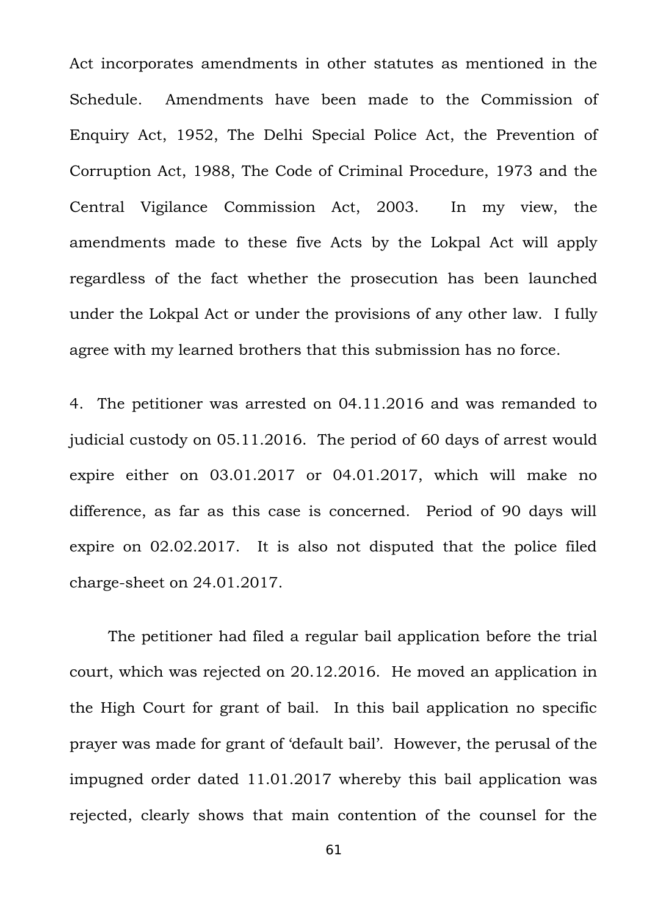Act incorporates amendments in other statutes as mentioned in the Schedule. Amendments have been made to the Commission of Enquiry Act, 1952, The Delhi Special Police Act, the Prevention of Corruption Act, 1988, The Code of Criminal Procedure, 1973 and the Central Vigilance Commission Act, 2003. In my view, the amendments made to these five Acts by the Lokpal Act will apply regardless of the fact whether the prosecution has been launched under the Lokpal Act or under the provisions of any other law. I fully agree with my learned brothers that this submission has no force.

4. The petitioner was arrested on 04.11.2016 and was remanded to judicial custody on 05.11.2016. The period of 60 days of arrest would expire either on 03.01.2017 or 04.01.2017, which will make no difference, as far as this case is concerned. Period of 90 days will expire on 02.02.2017. It is also not disputed that the police filed charge-sheet on 24.01.2017.

The petitioner had filed a regular bail application before the trial court, which was rejected on 20.12.2016. He moved an application in the High Court for grant of bail. In this bail application no specific prayer was made for grant of 'default bail'. However, the perusal of the impugned order dated 11.01.2017 whereby this bail application was rejected, clearly shows that main contention of the counsel for the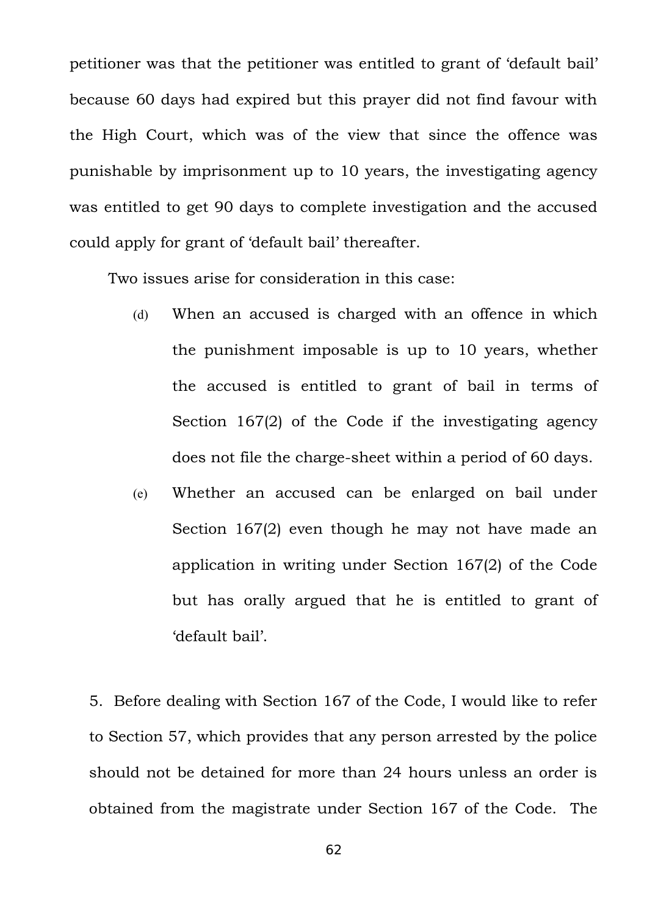petitioner was that the petitioner was entitled to grant of 'default bail' because 60 days had expired but this prayer did not find favour with the High Court, which was of the view that since the offence was punishable by imprisonment up to 10 years, the investigating agency was entitled to get 90 days to complete investigation and the accused could apply for grant of 'default bail' thereafter.

Two issues arise for consideration in this case:

- (d) When an accused is charged with an offence in which the punishment imposable is up to 10 years, whether the accused is entitled to grant of bail in terms of Section 167(2) of the Code if the investigating agency does not file the charge-sheet within a period of 60 days.
- (e) Whether an accused can be enlarged on bail under Section 167(2) even though he may not have made an application in writing under Section 167(2) of the Code but has orally argued that he is entitled to grant of 'default bail'.

5. Before dealing with Section 167 of the Code, I would like to refer to Section 57, which provides that any person arrested by the police should not be detained for more than 24 hours unless an order is obtained from the magistrate under Section 167 of the Code. The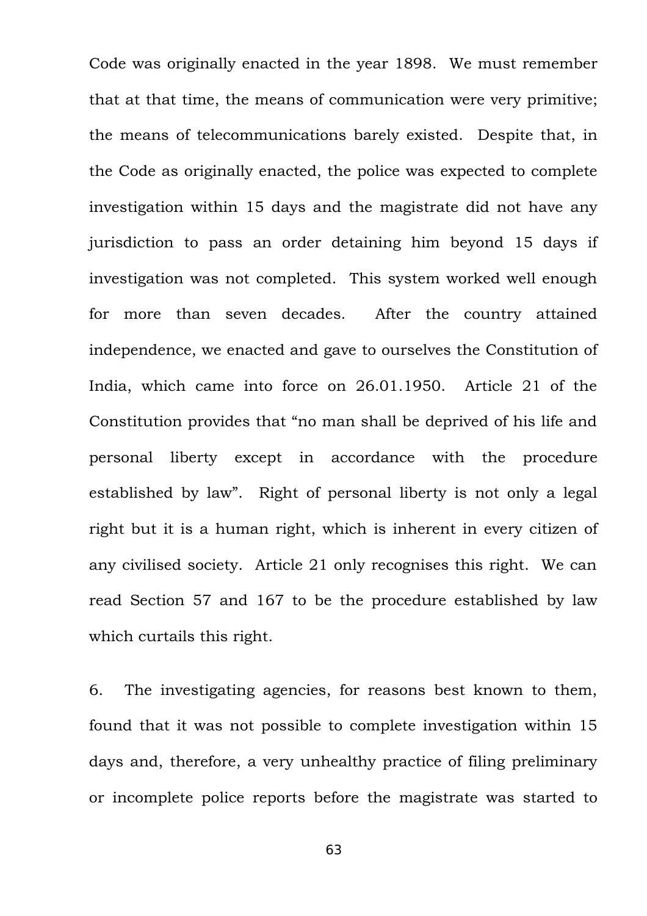Code was originally enacted in the year 1898. We must remember that at that time, the means of communication were very primitive; the means of telecommunications barely existed. Despite that, in the Code as originally enacted, the police was expected to complete investigation within 15 days and the magistrate did not have any jurisdiction to pass an order detaining him beyond 15 days if investigation was not completed. This system worked well enough for more than seven decades. After the country attained independence, we enacted and gave to ourselves the Constitution of India, which came into force on 26.01.1950. Article 21 of the Constitution provides that "no man shall be deprived of his life and personal liberty except in accordance with the procedure established by law". Right of personal liberty is not only a legal right but it is a human right, which is inherent in every citizen of any civilised society. Article 21 only recognises this right. We can read Section 57 and 167 to be the procedure established by law which curtails this right.

6. The investigating agencies, for reasons best known to them, found that it was not possible to complete investigation within 15 days and, therefore, a very unhealthy practice of filing preliminary or incomplete police reports before the magistrate was started to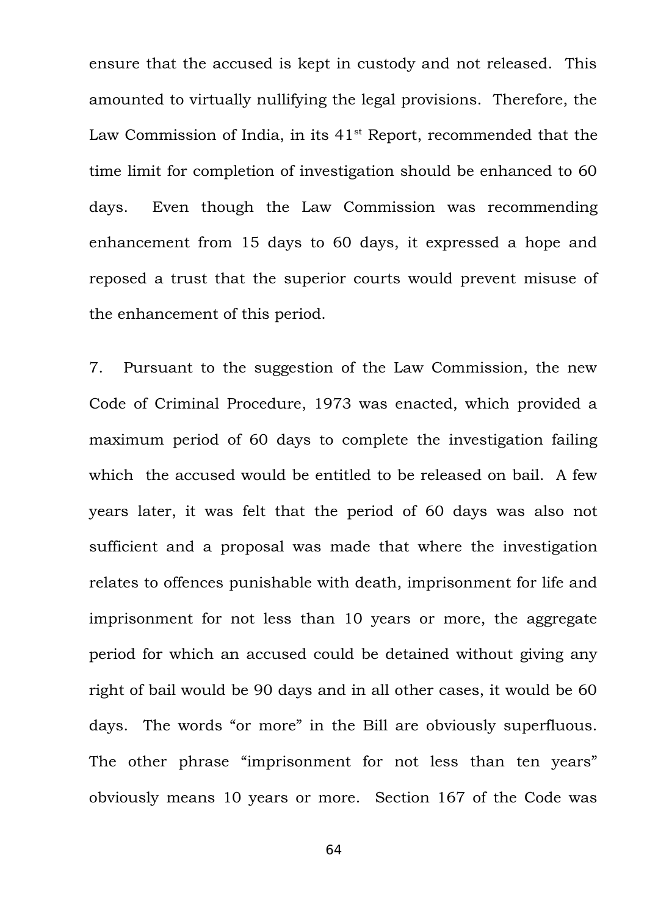ensure that the accused is kept in custody and not released. This amounted to virtually nullifying the legal provisions. Therefore, the Law Commission of India, in its  $41<sup>st</sup>$  Report, recommended that the time limit for completion of investigation should be enhanced to 60 days. Even though the Law Commission was recommending enhancement from 15 days to 60 days, it expressed a hope and reposed a trust that the superior courts would prevent misuse of the enhancement of this period.

7. Pursuant to the suggestion of the Law Commission, the new Code of Criminal Procedure, 1973 was enacted, which provided a maximum period of 60 days to complete the investigation failing which the accused would be entitled to be released on bail. A few years later, it was felt that the period of 60 days was also not sufficient and a proposal was made that where the investigation relates to offences punishable with death, imprisonment for life and imprisonment for not less than 10 years or more, the aggregate period for which an accused could be detained without giving any right of bail would be 90 days and in all other cases, it would be 60 days. The words "or more" in the Bill are obviously superfluous. The other phrase "imprisonment for not less than ten years" obviously means 10 years or more. Section 167 of the Code was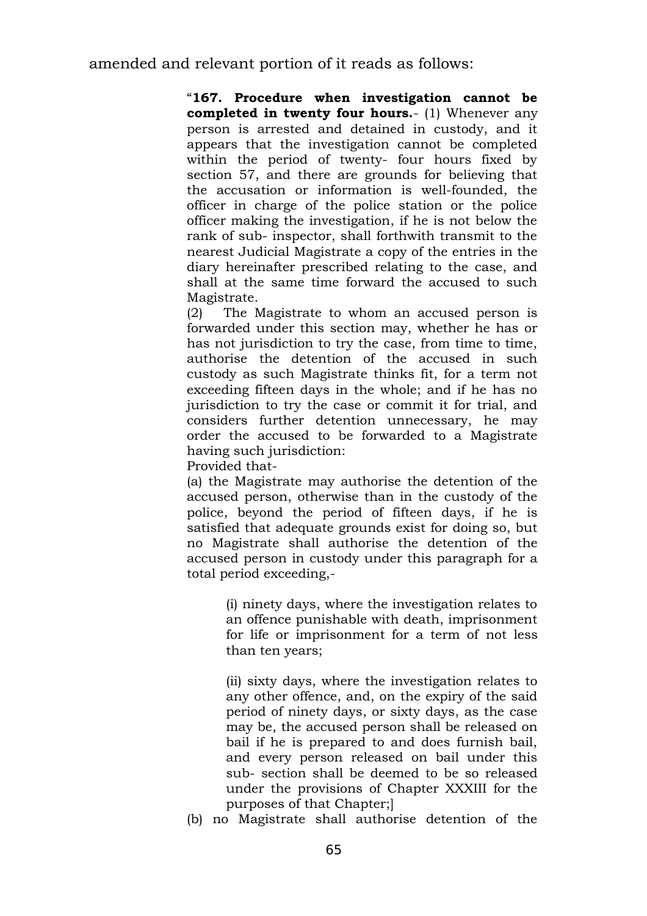"**167. Procedure when investigation cannot be completed in twenty four hours.**- (1) Whenever any person is arrested and detained in custody, and it appears that the investigation cannot be completed within the period of twenty- four hours fixed by section 57, and there are grounds for believing that the accusation or information is well-founded, the officer in charge of the police station or the police officer making the investigation, if he is not below the rank of sub- inspector, shall forthwith transmit to the nearest Judicial Magistrate a copy of the entries in the diary hereinafter prescribed relating to the case, and shall at the same time forward the accused to such Magistrate.

(2) The Magistrate to whom an accused person is forwarded under this section may, whether he has or has not jurisdiction to try the case, from time to time, authorise the detention of the accused in such custody as such Magistrate thinks fit, for a term not exceeding fifteen days in the whole; and if he has no jurisdiction to try the case or commit it for trial, and considers further detention unnecessary, he may order the accused to be forwarded to a Magistrate having such jurisdiction:

Provided that-

(a) the Magistrate may authorise the detention of the accused person, otherwise than in the custody of the police, beyond the period of fifteen days, if he is satisfied that adequate grounds exist for doing so, but no Magistrate shall authorise the detention of the accused person in custody under this paragraph for a total period exceeding,-

> (i) ninety days, where the investigation relates to an offence punishable with death, imprisonment for life or imprisonment for a term of not less than ten years;

> (ii) sixty days, where the investigation relates to any other offence, and, on the expiry of the said period of ninety days, or sixty days, as the case may be, the accused person shall be released on bail if he is prepared to and does furnish bail, and every person released on bail under this sub- section shall be deemed to be so released under the provisions of Chapter XXXIII for the purposes of that Chapter;]

(b) no Magistrate shall authorise detention of the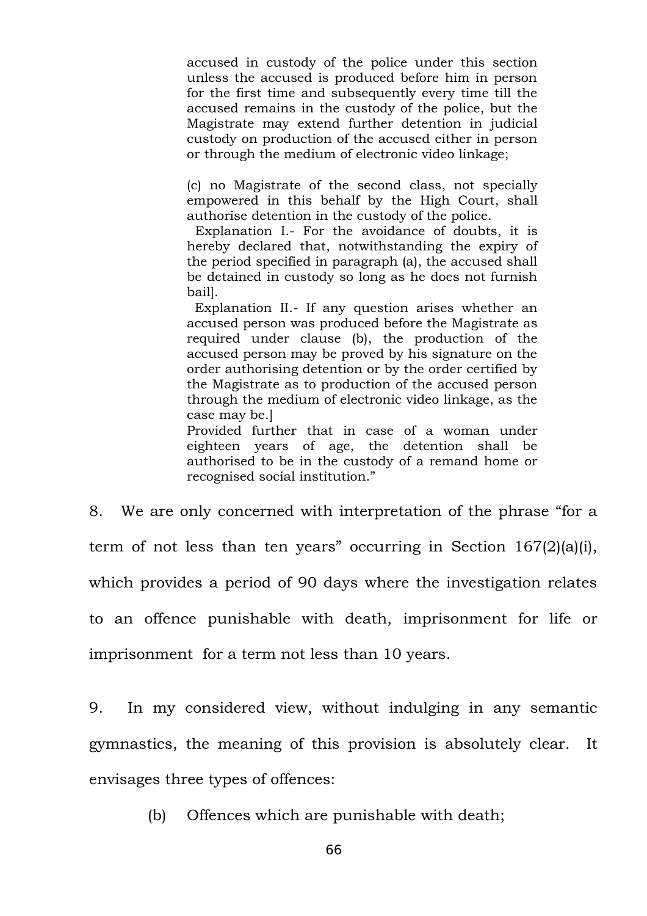accused in custody of the police under this section unless the accused is produced before him in person for the first time and subsequently every time till the accused remains in the custody of the police, but the Magistrate may extend further detention in judicial custody on production of the accused either in person or through the medium of electronic video linkage;

(c) no Magistrate of the second class, not specially empowered in this behalf by the High Court, shall authorise detention in the custody of the police.

Explanation I.- For the avoidance of doubts, it is hereby declared that, notwithstanding the expiry of the period specified in paragraph (a), the accused shall be detained in custody so long as he does not furnish bail].

Explanation II.- If any question arises whether an accused person was produced before the Magistrate as required under clause (b), the production of the accused person may be proved by his signature on the order authorising detention or by the order certified by the Magistrate as to production of the accused person through the medium of electronic video linkage, as the case may be.]

Provided further that in case of a woman under eighteen years of age, the detention shall be authorised to be in the custody of a remand home or recognised social institution."

8. We are only concerned with interpretation of the phrase "for a term of not less than ten years" occurring in Section 167(2)(a)(i), which provides a period of 90 days where the investigation relates to an offence punishable with death, imprisonment for life or imprisonment for a term not less than 10 years.

9. In my considered view, without indulging in any semantic gymnastics, the meaning of this provision is absolutely clear. It envisages three types of offences:

(b) Offences which are punishable with death;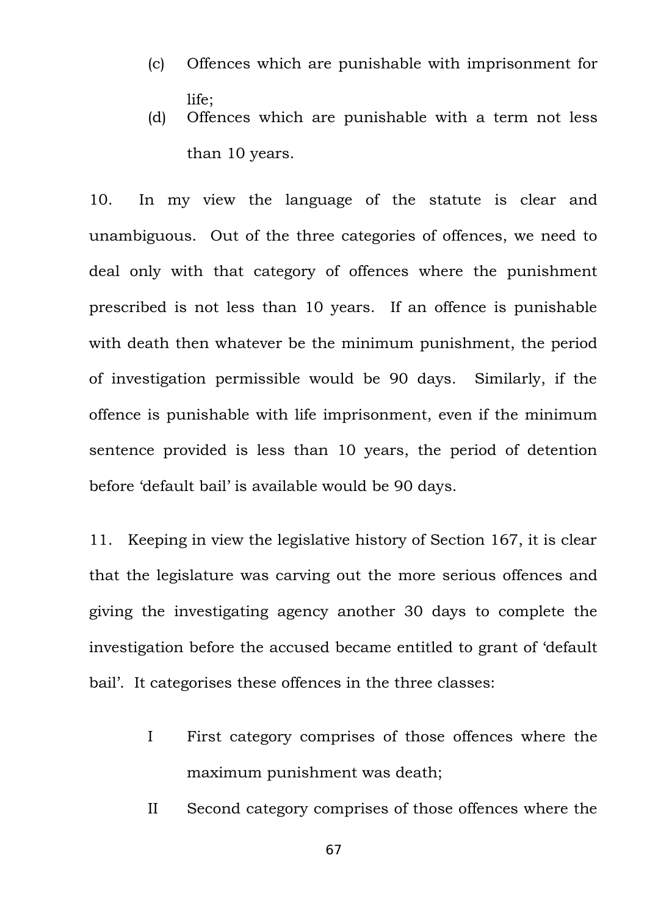- (c) Offences which are punishable with imprisonment for life;
- (d) Offences which are punishable with a term not less than 10 years.

10. In my view the language of the statute is clear and unambiguous. Out of the three categories of offences, we need to deal only with that category of offences where the punishment prescribed is not less than 10 years. If an offence is punishable with death then whatever be the minimum punishment, the period of investigation permissible would be 90 days. Similarly, if the offence is punishable with life imprisonment, even if the minimum sentence provided is less than 10 years, the period of detention before 'default bail' is available would be 90 days.

11. Keeping in view the legislative history of Section 167, it is clear that the legislature was carving out the more serious offences and giving the investigating agency another 30 days to complete the investigation before the accused became entitled to grant of 'default bail'. It categorises these offences in the three classes:

- I First category comprises of those offences where the maximum punishment was death;
- II Second category comprises of those offences where the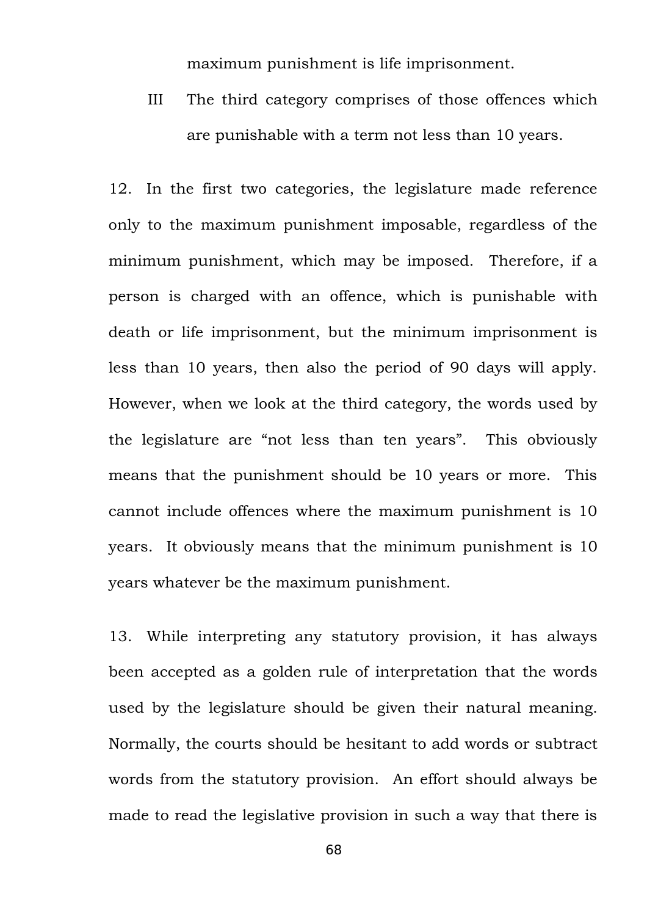maximum punishment is life imprisonment.

III The third category comprises of those offences which are punishable with a term not less than 10 years.

12. In the first two categories, the legislature made reference only to the maximum punishment imposable, regardless of the minimum punishment, which may be imposed. Therefore, if a person is charged with an offence, which is punishable with death or life imprisonment, but the minimum imprisonment is less than 10 years, then also the period of 90 days will apply. However, when we look at the third category, the words used by the legislature are "not less than ten years". This obviously means that the punishment should be 10 years or more. This cannot include offences where the maximum punishment is 10 years. It obviously means that the minimum punishment is 10 years whatever be the maximum punishment.

13. While interpreting any statutory provision, it has always been accepted as a golden rule of interpretation that the words used by the legislature should be given their natural meaning. Normally, the courts should be hesitant to add words or subtract words from the statutory provision. An effort should always be made to read the legislative provision in such a way that there is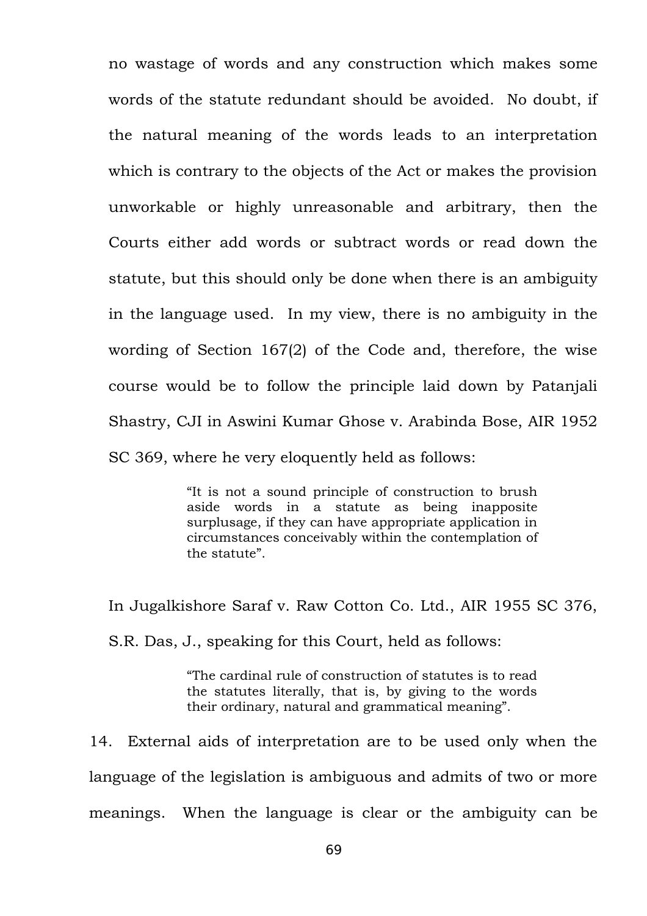no wastage of words and any construction which makes some words of the statute redundant should be avoided. No doubt, if the natural meaning of the words leads to an interpretation which is contrary to the objects of the Act or makes the provision unworkable or highly unreasonable and arbitrary, then the Courts either add words or subtract words or read down the statute, but this should only be done when there is an ambiguity in the language used. In my view, there is no ambiguity in the wording of Section 167(2) of the Code and, therefore, the wise course would be to follow the principle laid down by Patanjali Shastry, CJI in Aswini Kumar Ghose v. Arabinda Bose, AIR 1952 SC 369, where he very eloquently held as follows:

> "It is not a sound principle of construction to brush aside words in a statute as being inapposite surplusage, if they can have appropriate application in circumstances conceivably within the contemplation of the statute".

In Jugalkishore Saraf v. Raw Cotton Co. Ltd., AIR 1955 SC 376, S.R. Das, J., speaking for this Court, held as follows:

> "The cardinal rule of construction of statutes is to read the statutes literally, that is, by giving to the words their ordinary, natural and grammatical meaning".

14. External aids of interpretation are to be used only when the language of the legislation is ambiguous and admits of two or more meanings. When the language is clear or the ambiguity can be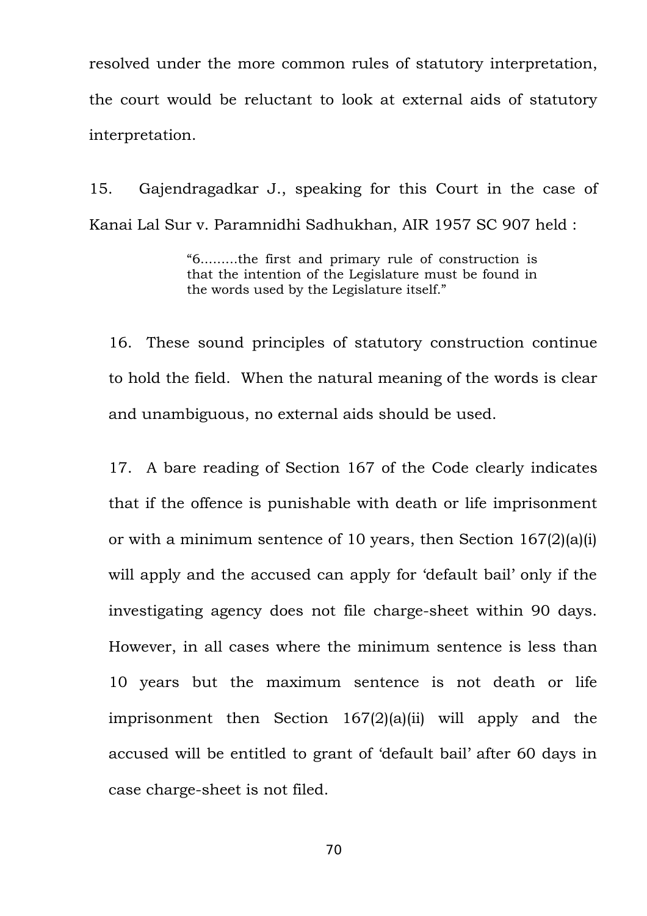resolved under the more common rules of statutory interpretation, the court would be reluctant to look at external aids of statutory interpretation.

15. Gajendragadkar J., speaking for this Court in the case of Kanai Lal Sur v. Paramnidhi Sadhukhan, AIR 1957 SC 907 held :

> "6.........the first and primary rule of construction is that the intention of the Legislature must be found in the words used by the Legislature itself."

16. These sound principles of statutory construction continue to hold the field. When the natural meaning of the words is clear and unambiguous, no external aids should be used.

17. A bare reading of Section 167 of the Code clearly indicates that if the offence is punishable with death or life imprisonment or with a minimum sentence of 10 years, then Section 167(2)(a)(i) will apply and the accused can apply for 'default bail' only if the investigating agency does not file charge-sheet within 90 days. However, in all cases where the minimum sentence is less than 10 years but the maximum sentence is not death or life imprisonment then Section 167(2)(a)(ii) will apply and the accused will be entitled to grant of 'default bail' after 60 days in case charge-sheet is not filed.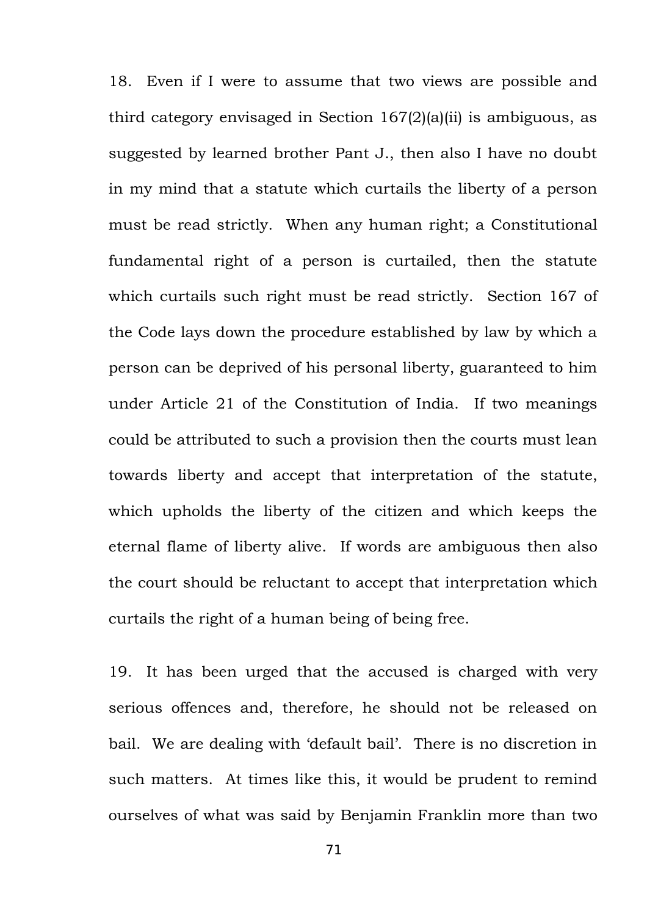18. Even if I were to assume that two views are possible and third category envisaged in Section 167(2)(a)(ii) is ambiguous, as suggested by learned brother Pant J., then also I have no doubt in my mind that a statute which curtails the liberty of a person must be read strictly. When any human right; a Constitutional fundamental right of a person is curtailed, then the statute which curtails such right must be read strictly. Section 167 of the Code lays down the procedure established by law by which a person can be deprived of his personal liberty, guaranteed to him under Article 21 of the Constitution of India. If two meanings could be attributed to such a provision then the courts must lean towards liberty and accept that interpretation of the statute, which upholds the liberty of the citizen and which keeps the eternal flame of liberty alive. If words are ambiguous then also the court should be reluctant to accept that interpretation which curtails the right of a human being of being free.

19. It has been urged that the accused is charged with very serious offences and, therefore, he should not be released on bail. We are dealing with 'default bail'. There is no discretion in such matters. At times like this, it would be prudent to remind ourselves of what was said by Benjamin Franklin more than two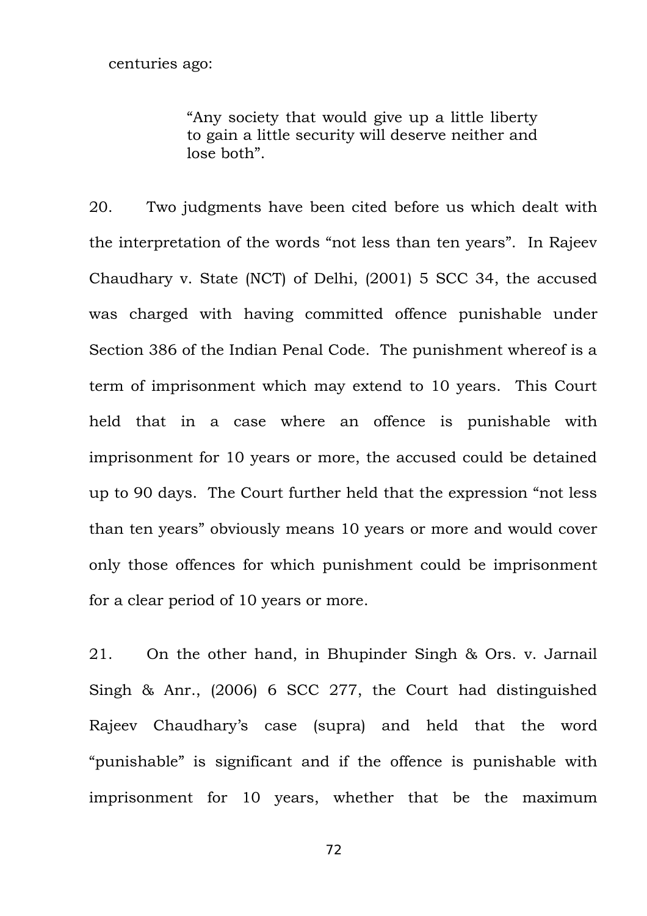"Any society that would give up a little liberty to gain a little security will deserve neither and lose both".

20. Two judgments have been cited before us which dealt with the interpretation of the words "not less than ten years". In Rajeev Chaudhary v. State (NCT) of Delhi, (2001) 5 SCC 34, the accused was charged with having committed offence punishable under Section 386 of the Indian Penal Code. The punishment whereof is a term of imprisonment which may extend to 10 years. This Court held that in a case where an offence is punishable with imprisonment for 10 years or more, the accused could be detained up to 90 days. The Court further held that the expression "not less than ten years" obviously means 10 years or more and would cover only those offences for which punishment could be imprisonment for a clear period of 10 years or more.

21. On the other hand, in Bhupinder Singh & Ors. v. Jarnail Singh & Anr., (2006) 6 SCC 277, the Court had distinguished Rajeev Chaudhary's case (supra) and held that the word "punishable" is significant and if the offence is punishable with imprisonment for 10 years, whether that be the maximum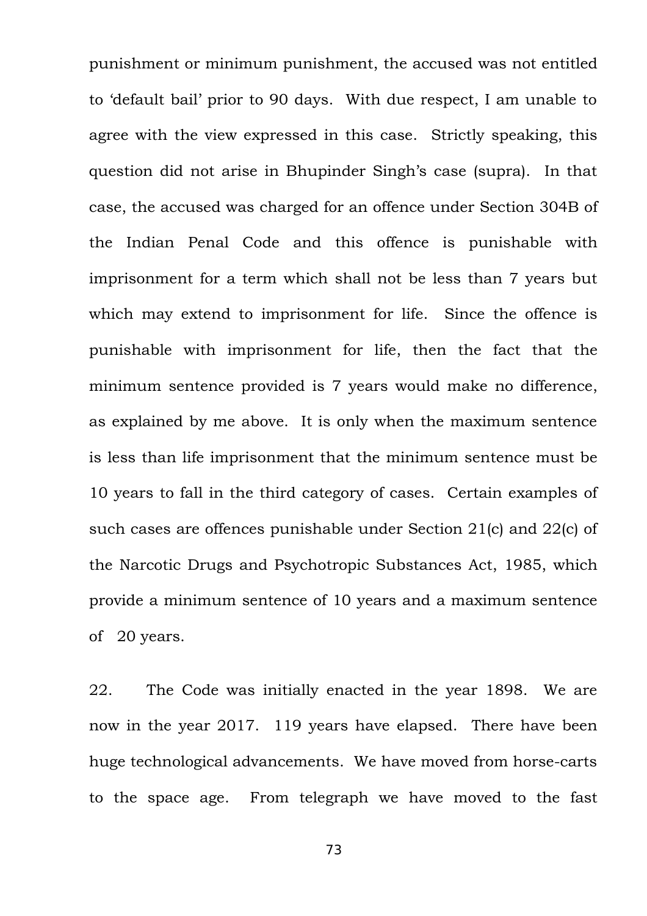punishment or minimum punishment, the accused was not entitled to 'default bail' prior to 90 days. With due respect, I am unable to agree with the view expressed in this case. Strictly speaking, this question did not arise in Bhupinder Singh's case (supra). In that case, the accused was charged for an offence under Section 304B of the Indian Penal Code and this offence is punishable with imprisonment for a term which shall not be less than 7 years but which may extend to imprisonment for life. Since the offence is punishable with imprisonment for life, then the fact that the minimum sentence provided is 7 years would make no difference, as explained by me above. It is only when the maximum sentence is less than life imprisonment that the minimum sentence must be 10 years to fall in the third category of cases. Certain examples of such cases are offences punishable under Section 21(c) and 22(c) of the Narcotic Drugs and Psychotropic Substances Act, 1985, which provide a minimum sentence of 10 years and a maximum sentence of 20 years.

22. The Code was initially enacted in the year 1898. We are now in the year 2017. 119 years have elapsed. There have been huge technological advancements. We have moved from horse-carts to the space age. From telegraph we have moved to the fast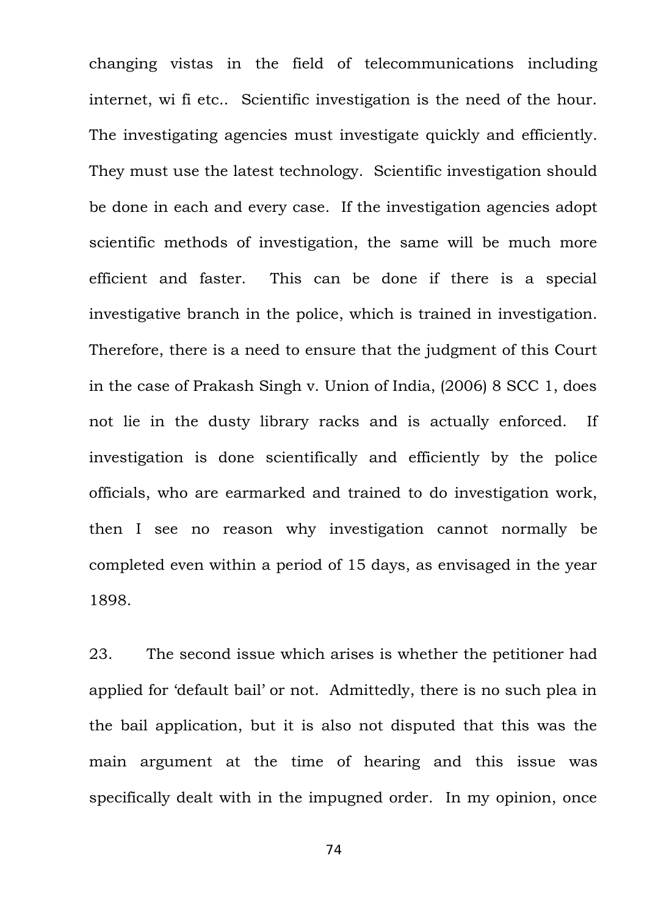changing vistas in the field of telecommunications including internet, wi fi etc.. Scientific investigation is the need of the hour. The investigating agencies must investigate quickly and efficiently. They must use the latest technology. Scientific investigation should be done in each and every case. If the investigation agencies adopt scientific methods of investigation, the same will be much more efficient and faster. This can be done if there is a special investigative branch in the police, which is trained in investigation. Therefore, there is a need to ensure that the judgment of this Court in the case of Prakash Singh v. Union of India, (2006) 8 SCC 1, does not lie in the dusty library racks and is actually enforced. If investigation is done scientifically and efficiently by the police officials, who are earmarked and trained to do investigation work, then I see no reason why investigation cannot normally be completed even within a period of 15 days, as envisaged in the year 1898.

23. The second issue which arises is whether the petitioner had applied for 'default bail' or not. Admittedly, there is no such plea in the bail application, but it is also not disputed that this was the main argument at the time of hearing and this issue was specifically dealt with in the impugned order. In my opinion, once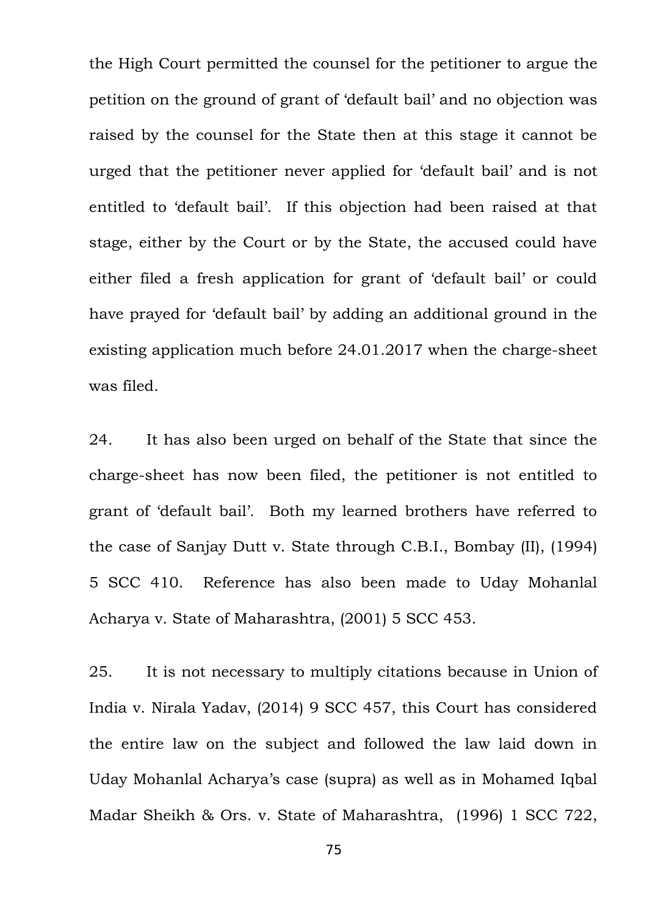the High Court permitted the counsel for the petitioner to argue the petition on the ground of grant of 'default bail' and no objection was raised by the counsel for the State then at this stage it cannot be urged that the petitioner never applied for 'default bail' and is not entitled to 'default bail'. If this objection had been raised at that stage, either by the Court or by the State, the accused could have either filed a fresh application for grant of 'default bail' or could have prayed for 'default bail' by adding an additional ground in the existing application much before 24.01.2017 when the charge-sheet was filed.

24. It has also been urged on behalf of the State that since the charge-sheet has now been filed, the petitioner is not entitled to grant of 'default bail'. Both my learned brothers have referred to the case of Sanjay Dutt v. State through C.B.I., Bombay (II), (1994) 5 SCC 410. Reference has also been made to Uday Mohanlal Acharya v. State of Maharashtra, (2001) 5 SCC 453.

25. It is not necessary to multiply citations because in Union of India v. Nirala Yadav, (2014) 9 SCC 457, this Court has considered the entire law on the subject and followed the law laid down in Uday Mohanlal Acharya's case (supra) as well as in Mohamed Iqbal Madar Sheikh & Ors. v. State of Maharashtra, (1996) 1 SCC 722,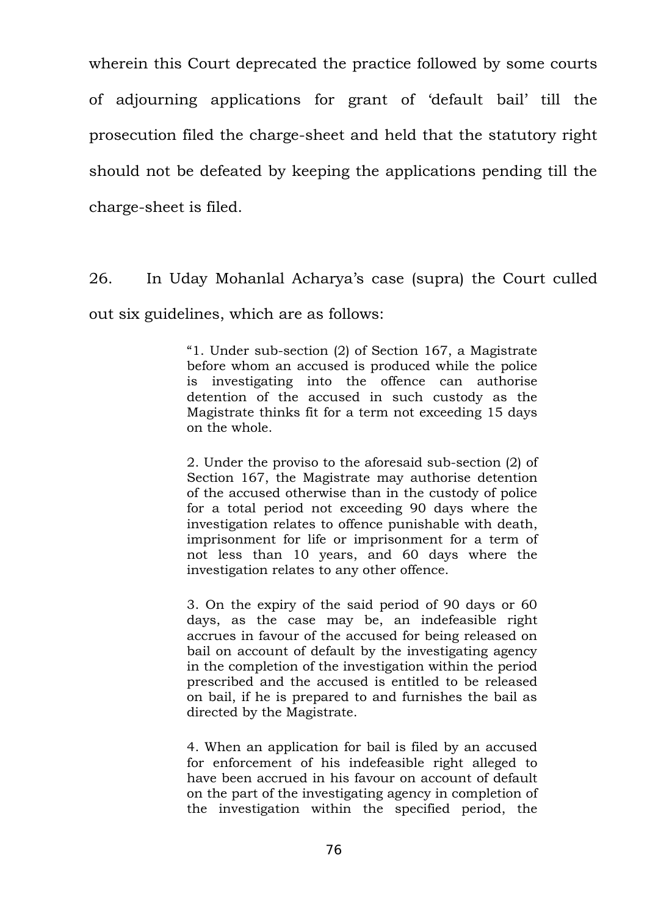wherein this Court deprecated the practice followed by some courts of adjourning applications for grant of 'default bail' till the prosecution filed the charge-sheet and held that the statutory right should not be defeated by keeping the applications pending till the charge-sheet is filed.

26. In Uday Mohanlal Acharya's case (supra) the Court culled out six guidelines, which are as follows:

> "1. Under sub-section (2) of Section 167, a Magistrate before whom an accused is produced while the police is investigating into the offence can authorise detention of the accused in such custody as the Magistrate thinks fit for a term not exceeding 15 days on the whole.

> 2. Under the proviso to the aforesaid sub-section (2) of Section 167, the Magistrate may authorise detention of the accused otherwise than in the custody of police for a total period not exceeding 90 days where the investigation relates to offence punishable with death, imprisonment for life or imprisonment for a term of not less than 10 years, and 60 days where the investigation relates to any other offence.

> 3. On the expiry of the said period of 90 days or 60 days, as the case may be, an indefeasible right accrues in favour of the accused for being released on bail on account of default by the investigating agency in the completion of the investigation within the period prescribed and the accused is entitled to be released on bail, if he is prepared to and furnishes the bail as directed by the Magistrate.

> 4. When an application for bail is filed by an accused for enforcement of his indefeasible right alleged to have been accrued in his favour on account of default on the part of the investigating agency in completion of the investigation within the specified period, the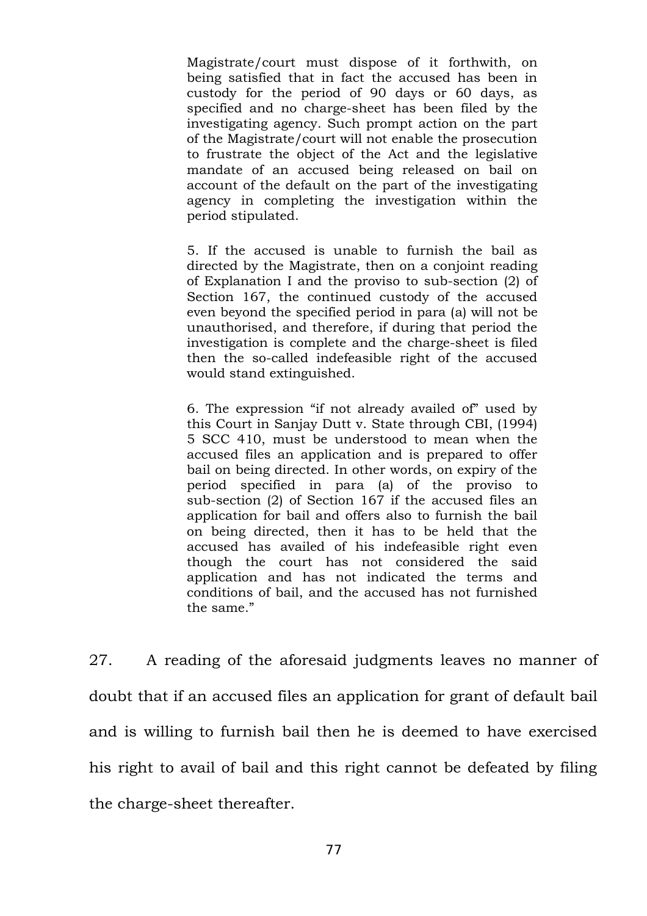Magistrate/court must dispose of it forthwith, on being satisfied that in fact the accused has been in custody for the period of 90 days or 60 days, as specified and no charge-sheet has been filed by the investigating agency. Such prompt action on the part of the Magistrate/court will not enable the prosecution to frustrate the object of the Act and the legislative mandate of an accused being released on bail on account of the default on the part of the investigating agency in completing the investigation within the period stipulated.

5. If the accused is unable to furnish the bail as directed by the Magistrate, then on a conjoint reading of Explanation I and the proviso to sub-section (2) of Section 167, the continued custody of the accused even beyond the specified period in para (a) will not be unauthorised, and therefore, if during that period the investigation is complete and the charge-sheet is filed then the so-called indefeasible right of the accused would stand extinguished.

6. The expression "if not already availed of" used by this Court in Sanjay Dutt v. State through CBI, (1994) 5 SCC 410, must be understood to mean when the accused files an application and is prepared to offer bail on being directed. In other words, on expiry of the period specified in para (a) of the proviso to sub-section (2) of Section 167 if the accused files an application for bail and offers also to furnish the bail on being directed, then it has to be held that the accused has availed of his indefeasible right even though the court has not considered the said application and has not indicated the terms and conditions of bail, and the accused has not furnished the same."

27. A reading of the aforesaid judgments leaves no manner of doubt that if an accused files an application for grant of default bail and is willing to furnish bail then he is deemed to have exercised his right to avail of bail and this right cannot be defeated by filing the charge-sheet thereafter.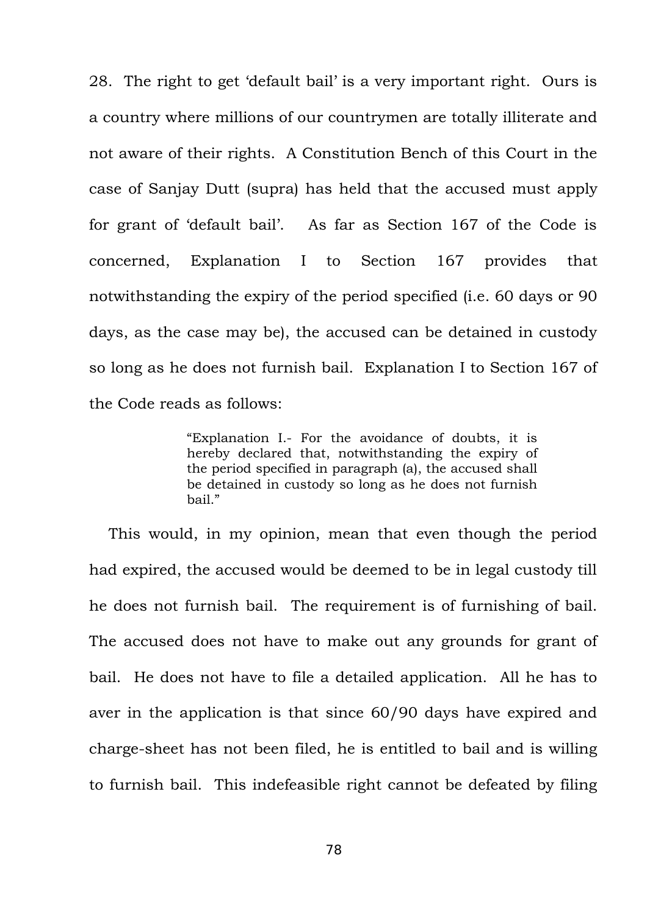28. The right to get 'default bail' is a very important right. Ours is a country where millions of our countrymen are totally illiterate and not aware of their rights. A Constitution Bench of this Court in the case of Sanjay Dutt (supra) has held that the accused must apply for grant of 'default bail'. As far as Section 167 of the Code is concerned, Explanation I to Section 167 provides that notwithstanding the expiry of the period specified (i.e. 60 days or 90 days, as the case may be), the accused can be detained in custody so long as he does not furnish bail. Explanation I to Section 167 of the Code reads as follows:

> "Explanation I.- For the avoidance of doubts, it is hereby declared that, notwithstanding the expiry of the period specified in paragraph (a), the accused shall be detained in custody so long as he does not furnish bail."

This would, in my opinion, mean that even though the period had expired, the accused would be deemed to be in legal custody till he does not furnish bail. The requirement is of furnishing of bail. The accused does not have to make out any grounds for grant of bail. He does not have to file a detailed application. All he has to aver in the application is that since 60/90 days have expired and charge-sheet has not been filed, he is entitled to bail and is willing to furnish bail. This indefeasible right cannot be defeated by filing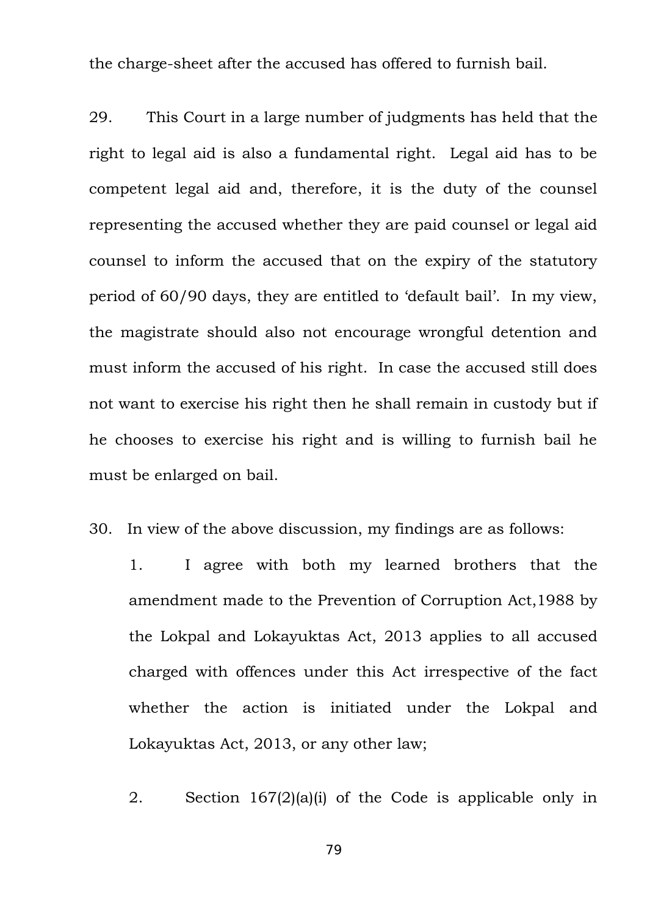the charge-sheet after the accused has offered to furnish bail.

29. This Court in a large number of judgments has held that the right to legal aid is also a fundamental right. Legal aid has to be competent legal aid and, therefore, it is the duty of the counsel representing the accused whether they are paid counsel or legal aid counsel to inform the accused that on the expiry of the statutory period of 60/90 days, they are entitled to 'default bail'. In my view, the magistrate should also not encourage wrongful detention and must inform the accused of his right. In case the accused still does not want to exercise his right then he shall remain in custody but if he chooses to exercise his right and is willing to furnish bail he must be enlarged on bail.

- 30. In view of the above discussion, my findings are as follows:
	- 1. I agree with both my learned brothers that the amendment made to the Prevention of Corruption Act,1988 by the Lokpal and Lokayuktas Act, 2013 applies to all accused charged with offences under this Act irrespective of the fact whether the action is initiated under the Lokpal and Lokayuktas Act, 2013, or any other law;
	- 2. Section 167(2)(a)(i) of the Code is applicable only in